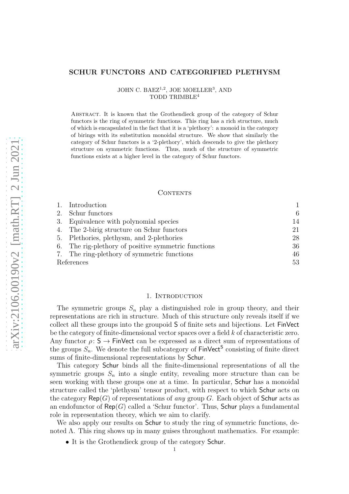### SCHUR FUNCTORS AND CATEGORIFIED PLETHYSM

JOHN C. BAEZ<sup>1,2</sup>, JOE MOELLER<sup>3</sup>, AND TODD TRIMBLE<sup>4</sup>

Abstract. It is known that the Grothendieck group of the category of Schur functors is the ring of symmetric functions. This ring has a rich structure, much of which is encapsulated in the fact that it is a 'plethory': a monoid in the category of birings with its substitution monoidal structure. We show that similarly the category of Schur functors is a '2-plethory', which descends to give the plethory structure on symmetric functions. Thus, much of the structure of symmetric functions exists at a higher level in the category of Schur functors.

### CONTENTS

|            | 1. Introduction                                     |    |
|------------|-----------------------------------------------------|----|
|            | 2. Schur functors                                   | 6  |
|            | 3. Equivalence with polynomial species              | 14 |
| 4.         | The 2-birig structure on Schur functors             | 21 |
|            | 5. Plethories, plethysm, and 2-plethories           | 28 |
|            | 6. The rig-plethory of positive symmetric functions | 36 |
|            | 7. The ring-plethory of symmetric functions         | 46 |
| References |                                                     | 53 |

### 1. INTRODUCTION

<span id="page-0-0"></span>The symmetric groups  $S_n$  play a distinguished role in group theory, and their representations are rich in structure. Much of this structure only reveals itself if we collect all these groups into the groupoid S of finite sets and bijections. Let FinVect be the category of finite-dimensional vector spaces over a field  $k$  of characteristic zero. Any functor  $\rho: S \to \text{FinVect}$  can be expressed as a direct sum of representations of the groups  $S_n$ . We denote the full subcategory of  $\mathsf{FinVect}^S$  consisting of finite direct sums of finite-dimensional representations by Schur.

This category Schur binds all the finite-dimensional representations of all the symmetric groups  $S_n$  into a single entity, revealing more structure than can be seen working with these groups one at a time. In particular, Schur has a monoidal structure called the 'plethysm' tensor product, with respect to which Schur acts on the category  $\mathsf{Rep}(G)$  of representations of *any* group G. Each object of **Schur** acts as an endofunctor of  $\mathsf{Rep}(G)$  called a 'Schur functor'. Thus, Schur plays a fundamental role in representation theory, which we aim to clarify.

We also apply our results on **Schur** to study the ring of symmetric functions, denoted  $\Lambda$ . This ring shows up in many guises throughout mathematics. For example:

• It is the Grothendieck group of the category Schur.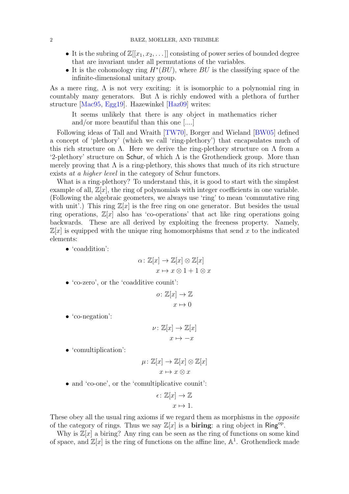- <span id="page-1-0"></span>• It is the subring of  $\mathbb{Z}[[x_1, x_2, \dots]]$  consisting of power series of bounded degree that are invariant under all permutations of the variables.
- It is the cohomology ring  $H^*(BU)$ , where  $BU$  is the classifying space of the infinite-dimensional unitary group.

As a mere ring,  $\Lambda$  is not very exciting: it is isomorphic to a polynomial ring in countably many generators. But  $\Lambda$  is richly endowed with a plethora of further structure [\[Mac95,](#page-52-1) [Egg19\]](#page-52-2). Hazewinkel [\[Haz09\]](#page-52-3) writes:

It seems unlikely that there is any object in mathematics richer and/or more beautiful than this one [....]

Following ideas of Tall and Wraith [\[TW70\]](#page-52-4), Borger and Wieland [\[BW05\]](#page-52-5) defined a concept of 'plethory' (which we call 'ring-plethory') that encapsulates much of this rich structure on  $\Lambda$ . Here we derive the ring-plethory structure on  $\Lambda$  from a '2-plethory' structure on Schur, of which  $\Lambda$  is the Grothendieck group. More than merely proving that  $\Lambda$  is a ring-plethory, this shows that much of its rich structure exists *at a higher level* in the category of Schur functors.

What is a ring-plethory? To understand this, it is good to start with the simplest example of all,  $\mathbb{Z}[x]$ , the ring of polynomials with integer coefficients in one variable. (Following the algebraic geometers, we always use 'ring' to mean 'commutative ring with unit'.) This ring  $\mathbb{Z}[x]$  is the free ring on one generator. But besides the usual ring operations,  $\mathbb{Z}[x]$  also has 'co-operations' that act like ring operations going backwards. These are all derived by exploiting the freeness property. Namely,  $\mathbb{Z}[x]$  is equipped with the unique ring homomorphisms that send x to the indicated elements:

• 'coaddition':

$$
\alpha \colon \mathbb{Z}[x] \to \mathbb{Z}[x] \otimes \mathbb{Z}[x]
$$

$$
x \mapsto x \otimes 1 + 1 \otimes x
$$

• 'co-zero', or the 'coadditive counit':

$$
o \colon \mathbb{Z}[x] \to \mathbb{Z}
$$

$$
x \mapsto 0
$$

• 'co-negation':

$$
\nu \colon \mathbb{Z}[x] \to \mathbb{Z}[x]
$$

$$
x \mapsto -x
$$

• 'comultiplication':

$$
\mu \colon \mathbb{Z}[x] \to \mathbb{Z}[x] \otimes \mathbb{Z}[x]
$$

$$
x \mapsto x \otimes x
$$

• and 'co-one', or the 'comultiplicative counit':

$$
\epsilon \colon \mathbb{Z}[x] \to \mathbb{Z}
$$

$$
x \mapsto 1.
$$

These obey all the usual ring axioms if we regard them as morphisms in the *opposite* of the category of rings. Thus we say  $\mathbb{Z}[x]$  is a **biring**: a ring object in Ring<sup>op</sup>.

Why is  $\mathbb{Z}[x]$  a biring? Any ring can be seen as the ring of functions on some kind of space, and  $\mathbb{Z}[x]$  is the ring of functions on the affine line,  $\mathbb{A}^1$ . Grothendieck made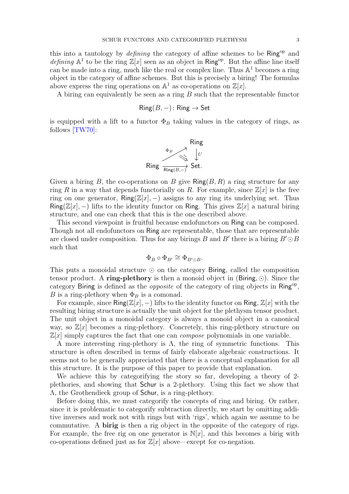<span id="page-2-0"></span>this into a tautology by *defining* the category of affine schemes to be Ring<sup>op</sup> and *defining*  $\mathbb{A}^1$  to be the ring  $\mathbb{Z}[x]$  seen as an object in Ring<sup>op</sup>. But the affine line itself can be made into a ring, much like the real or complex line. Thus  $\mathbb{A}^1$  becomes a ring object in the category of affine schemes. But this is precisely a biring! The formulas above express the ring operations on  $\mathbb{A}^1$  as co-operations on  $\mathbb{Z}[x]$ .

A biring can equivalently be seen as a ring  $B$  such that the representable functor

$$
Ring(B, -): Ring \to Set
$$

is equipped with a lift to a functor  $\Phi_B$  taking values in the category of rings, as follows [\[TW70\]](#page-52-4):



Given a biring B, the co-operations on B give  $\mathsf{Ring}(B, R)$  a ring structure for any ring R in a way that depends functorially on R. For example, since  $\mathbb{Z}[x]$  is the free ring on one generator,  $\mathsf{Ring}(\mathbb{Z}[x], -)$  assigns to any ring its underlying set. Thus Ring( $\mathbb{Z}[x]$ , -) lifts to the identity functor on Ring. This gives  $\mathbb{Z}[x]$  a natural biring structure, and one can check that this is the one described above.

This second viewpoint is fruitful because endofunctors on Ring can be composed. Though not all endofunctors on Ring are representable, those that are representable are closed under composition. Thus for any birings B and B' there is a biring  $B' \odot B$ such that

$$
\Phi_B \circ \Phi_{B'} \cong \Phi_{B' \odot B}.
$$

This puts a monoidal structure ⊙ on the category Biring, called the composition tensor product. A ring-plethory is then a monoid object in (Biring,  $\odot$ ). Since the category Biring is defined as the *opposite* of the category of ring objects in Ring<sup>op</sup>, B is a ring-plethory when  $\Phi_B$  is a comonad.

For example, since Ring( $\mathbb{Z}[x]$ , -) lifts to the identity functor on Ring,  $\mathbb{Z}[x]$  with the resulting biring structure is actually the unit object for the plethysm tensor product. The unit object in a monoidal category is always a monoid object in a canonical way, so  $\mathbb{Z}[x]$  becomes a ring-plethory. Concretely, this ring-plethory structure on  $\mathbb{Z}[x]$  simply captures the fact that one can *compose* polynomials in one variable.

A more interesting ring-plethory is  $\Lambda$ , the ring of symmetric functions. This structure is often described in terms of fairly elaborate algebraic constructions. It seems not to be generally appreciated that there is a conceptual explanation for all this structure. It is the purpose of this paper to provide that explanation.

We achieve this by categorifying the story so far, developing a theory of 2 plethories, and showing that Schur is a 2-plethory. Using this fact we show that Λ, the Grothendieck group of Schur, is a ring-plethory.

Before doing this, we must categorify the concepts of ring and biring. Or rather, since it is problematic to categorify subtraction directly, we start by omitting additive inverses and work not with rings but with 'rigs', which again we assume to be commutative. A birig is then a rig object in the opposite of the category of rigs. For example, the free rig on one generator is  $N[x]$ , and this becomes a birig with co-operations defined just as for  $\mathbb{Z}[x]$  above—except for co-negation.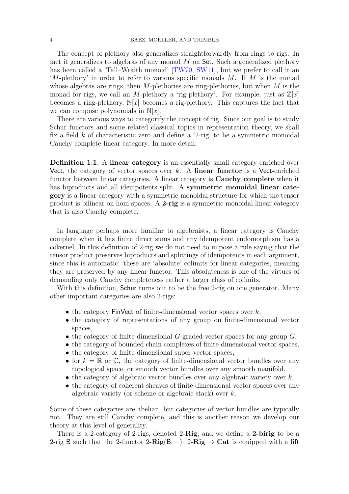<span id="page-3-1"></span>The concept of plethory also generalizes straightforwardly from rings to rigs. In fact it generalizes to algebras of any monad  $M$  on Set. Such a generalized plethory has been called a 'Tall–Wraith monoid' [\[TW70,](#page-52-4) [SW11\]](#page-52-6), but we prefer to call it an  $M$ -plethory' in order to refer to various specific monads M. If M is the monad whose algebras are rings, then  $M$ -plethories are ring-plethories, but when  $M$  is the monad for rigs, we call an M-plethory a 'rig-plethory'. For example, just as  $\mathbb{Z}[x]$ becomes a ring-plethory,  $N[x]$  becomes a rig-plethory. This captures the fact that we can compose polynomials in  $\mathbb{N}[x]$ .

There are various ways to categorify the concept of rig. Since our goal is to study Schur functors and some related classical topics in representation theory, we shall fix a field  $k$  of characteristic zero and define a '2-rig' to be a symmetric monoidal Cauchy complete linear category. In more detail:

<span id="page-3-0"></span>Definition 1.1. A linear category is an essentially small category enriched over Vect, the category of vector spaces over  $k$ . A linear functor is a Vect-enriched functor between linear categories. A linear category is Cauchy complete when it has biproducts and all idempotents split. A symmetric monoidal linear category is a linear category with a symmetric monoidal structure for which the tensor product is bilinear on hom-spaces. A 2-rig is a symmetric monoidal linear category that is also Cauchy complete.

In language perhaps more familiar to algebraists, a linear category is Cauchy complete when it has finite direct sums and any idempotent endomorphism has a cokernel. In this definition of 2-rig we do not need to impose a rule saying that the tensor product preserves biproducts and splittings of idempotents in each argument, since this is automatic: these are 'absolute' colimits for linear categories, meaning they are preserved by any linear functor. This absoluteness is one of the virtues of demanding only Cauchy completeness rather a larger class of colimits.

With this definition, **Schur** turns out to be the free 2-rig on one generator. Many other important categories are also 2-rigs:

- the category FinVect of finite-dimensional vector spaces over  $k$ ,
- the category of representations of any group on finite-dimensional vector spaces,
- the category of finite-dimensional  $G$ -graded vector spaces for any group  $G$ ,
- the category of bounded chain complexes of finite-dimensional vector spaces,
- the category of finite-dimensional super vector spaces,
- for  $k = \mathbb{R}$  or  $\mathbb{C}$ , the category of finite-dimensional vector bundles over any topological space, or smooth vector bundles over any smooth manifold,
- the category of algebraic vector bundles over any algebraic variety over  $k$ ,
- the category of coherent sheaves of finite-dimensional vector spaces over any algebraic variety (or scheme or algebraic stack) over k.

Some of these categories are abelian, but categories of vector bundles are typically not. They are still Cauchy complete, and this is another reason we develop our theory at this level of generality.

There is a 2-category of 2-rigs, denoted 2-Rig, and we define a 2-birig to be a 2-rig B such that the 2-functor 2- $\text{Rig}(B, -)$ : 2- $\text{Rig} \rightarrow \text{Cat}$  is equipped with a lift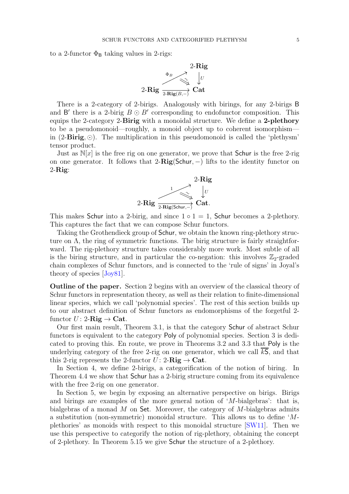<span id="page-4-0"></span>to a 2-functor  $\Phi_B$  taking values in 2-rigs:



There is a 2-category of 2-birigs. Analogously with birings, for any 2-birigs B and B' there is a 2-birig  $B \odot B'$  corresponding to endofunctor composition. This equips the 2-category 2-Birig with a monoidal structure. We define a 2-plethory to be a pseudomonoid—roughly, a monoid object up to coherent isomorphism in  $(2-\textbf{Birig}, \odot)$ . The multiplication in this pseudomonoid is called the 'plethysm' tensor product.

Just as  $\mathbb{N}[x]$  is the free rig on one generator, we prove that **Schur** is the free 2-rig on one generator. It follows that  $2-Rig(Schur, -)$  lifts to the identity functor on  $2-Rig$ :



This makes Schur into a 2-birig, and since  $1 \circ 1 = 1$ , Schur becomes a 2-plethory. This captures the fact that we can compose Schur functors.

Taking the Grothendieck group of Schur, we obtain the known ring-plethory structure on  $\Lambda$ , the ring of symmetric functions. The birig structure is fairly straightforward. The rig-plethory structure takes considerably more work. Most subtle of all is the biring structure, and in particular the co-negation: this involves  $\mathbb{Z}_2$ -graded chain complexes of Schur functors, and is connected to the 'rule of signs' in Joyal's theory of species [\[Joy81\]](#page-52-7).

Outline of the paper. Section [2](#page-5-0) begins with an overview of the classical theory of Schur functors in representation theory, as well as their relation to finite-dimensional linear species, which we call 'polynomial species'. The rest of this section builds up to our abstract definition of Schur functors as endomorphisms of the forgetful 2 functor  $U: 2\text{-}\mathbf{Rig} \to \text{Cat}.$ 

Our first main result, Theorem [3.1,](#page-13-1) is that the category Schur of abstract Schur functors is equivalent to the category Poly of polynomial species. Section [3](#page-13-0) is dedicated to proving this. En route, we prove in Theorems [3.2](#page-14-0) and [3.3](#page-14-1) that Poly is the underlying category of the free 2-rig on one generator, which we call  $\overline{kS}$ , and that this 2-rig represents the 2-functor  $U: 2\text{-}Rig \to \text{Cat}$ .

In Section [4,](#page-20-0) we define 2-birigs, a categorification of the notion of biring. In Theorem [4.4](#page-26-0) we show that Schur has a 2-birig structure coming from its equivalence with the free 2-rig on one generator.

In Section [5,](#page-27-0) we begin by exposing an alternative perspective on birigs. Birigs and birings are examples of the more general notion of  $M$ -bialgebras': that is, bialgebras of a monad  $M$  on Set. Moreover, the category of  $M$ -bialgebras admits a substitution (non-symmetric) monoidal structure. This allows us to define 'Mplethories' as monoids with respect to this monoidal structure [\[SW11\]](#page-52-6). Then we use this perspective to categorify the notion of rig-plethory, obtaining the concept of 2-plethory. In Theorem [5.15](#page-35-1) we give Schur the structure of a 2-plethory.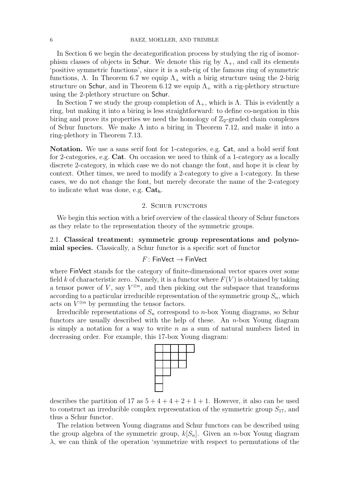In Section [6](#page-35-0) we begin the decategorification process by studying the rig of isomorphism classes of objects in Schur. We denote this rig by  $\Lambda_{+}$ , and call its elements 'positive symmetric functions', since it is a sub-rig of the famous ring of symmetric functions,  $\Lambda$ . In Theorem [6.7](#page-41-0) we equip  $\Lambda_{+}$  with a birig structure using the 2-birig structure on Schur, and in Theorem [6.12](#page-45-1) we equip  $\Lambda_{+}$  with a rig-plethory structure using the 2-plethory structure on Schur.

In Section [7](#page-45-0) we study the group completion of  $\Lambda_{+}$ , which is  $\Lambda$ . This is evidently a ring, but making it into a biring is less straightforward: to define co-negation in this biring and prove its properties we need the homology of  $\mathbb{Z}_2$ -graded chain complexes of Schur functors. We make  $\Lambda$  into a biring in Theorem [7.12,](#page-50-0) and make it into a ring-plethory in Theorem [7.13.](#page-51-0)

Notation. We use a sans serif font for 1-categories, e.g. Cat, and a bold serif font for 2-categories, e.g. Cat. On occasion we need to think of a 1-category as a locally discrete 2-category, in which case we do not change the font, and hope it is clear by context. Other times, we need to modify a 2-category to give a 1-category. In these cases, we do not change the font, but merely decorate the name of the 2-category to indicate what was done, e.g.  $Cat_h$ .

## 2. SCHUR FUNCTORS

<span id="page-5-0"></span>We begin this section with a brief overview of the classical theory of Schur functors as they relate to the representation theory of the symmetric groups.

2.1. Classical treatment: symmetric group representations and polynomial species. Classically, a Schur functor is a specific sort of functor

## $F:$  FinVect  $\rightarrow$  FinVect

where FinVect stands for the category of finite-dimensional vector spaces over some field k of characteristic zero. Namely, it is a functor where  $F(V)$  is obtained by taking a tensor power of V, say  $V^{\otimes n}$ , and then picking out the subspace that transforms according to a particular irreducible representation of the symmetric group  $S_n$ , which acts on  $V^{\otimes n}$  by permuting the tensor factors.

Irreducible representations of  $S_n$  correspond to n-box Young diagrams, so Schur functors are usually described with the help of these. An  $n$ -box Young diagram is simply a notation for a way to write  $n$  as a sum of natural numbers listed in decreasing order. For example, this 17-box Young diagram:



describes the partition of 17 as  $5+4+4+2+1+1$ . However, it also can be used to construct an irreducible complex representation of the symmetric group  $S_{17}$ , and thus a Schur functor.

The relation between Young diagrams and Schur functors can be described using the group algebra of the symmetric group,  $k[S_n]$ . Given an *n*-box Young diagram  $\lambda$ , we can think of the operation 'symmetrize with respect to permutations of the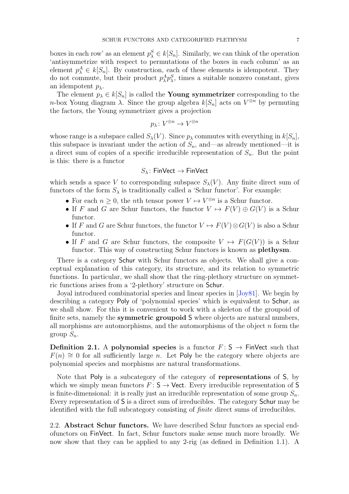<span id="page-6-0"></span>boxes in each row' as an element  $p_{\lambda}^{S} \in k[S_n]$ . Similarly, we can think of the operation 'antisymmetrize with respect to permutations of the boxes in each column' as an element  $p_{\lambda}^A \in k[S_n]$ . By construction, each of these elements is idempotent. They do not commute, but their product  $p_{\lambda}^A p_{\lambda}^S$ , times a suitable nonzero constant, gives an idempotent  $p_{\lambda}$ .

The element  $p_{\lambda} \in k[S_n]$  is called the **Young symmetrizer** corresponding to the n-box Young diagram  $\lambda$ . Since the group algebra  $k[S_n]$  acts on  $V^{\otimes n}$  by permuting the factors, the Young symmetrizer gives a projection

$$
p_{\lambda} \colon V^{\otimes n} \to V^{\otimes n}
$$

whose range is a subspace called  $S_{\lambda}(V)$ . Since  $p_{\lambda}$  commutes with everything in  $k[S_n]$ , this subspace is invariant under the action of  $S_n$ , and—as already mentioned—it is a direct sum of copies of a specific irreducible representation of  $S_n$ . But the point is this: there is a functor

$$
S_{\lambda} \colon \mathsf{FinVect} \to \mathsf{FinVect}
$$

which sends a space V to corresponding subspace  $S_{\lambda}(V)$ . Any finite direct sum of functors of the form  $S_{\lambda}$  is traditionally called a 'Schur functor'. For example:

- For each  $n \geq 0$ , the *n*th tensor power  $V \mapsto V^{\otimes n}$  is a Schur functor.
- If F and G are Schur functors, the functor  $V \mapsto F(V) \oplus G(V)$  is a Schur functor.
- If F and G are Schur functors, the functor  $V \mapsto F(V) \otimes G(V)$  is also a Schur functor.
- If F and G are Schur functors, the composite  $V \mapsto F(G(V))$  is a Schur functor. This way of constructing Schur functors is known as **plethysm**.

There is a category Schur with Schur functors as objects. We shall give a conceptual explanation of this category, its structure, and its relation to symmetric functions. In particular, we shall show that the ring-plethory structure on symmetric functions arises from a '2-plethory' structure on Schur.

Joyal introduced combinatorial species and linear species in [\[Joy81\]](#page-52-7). We begin by describing a category Poly of 'polynomial species' which is equivalent to Schur, as we shall show. For this it is convenient to work with a skeleton of the groupoid of finite sets, namely the **symmetric groupoid S** where objects are natural numbers, all morphisms are automorphisms, and the automorphisms of the object  $n$  form the group  $S_n$ .

Definition 2.1. A polynomial species is a functor  $F: S \rightarrow$  FinVect such that  $F(n) \cong 0$  for all sufficiently large n. Let Poly be the category where objects are polynomial species and morphisms are natural transformations.

Note that Poly is a subcategory of the category of representations of S, by which we simply mean functors  $F: S \rightarrow$  Vect. Every irreducible representation of S is finite-dimensional: it is really just an irreducible representation of some group  $S_n$ . Every representation of S is a direct sum of irreducibles. The category Schur may be identified with the full subcategory consisting of *finite* direct sums of irreducibles.

2.2. Abstract Schur functors. We have described Schur functors as special endofunctors on FinVect. In fact, Schur functors make sense much more broadly. We now show that they can be applied to any 2-rig (as defined in Definition [1.1\)](#page-3-0). A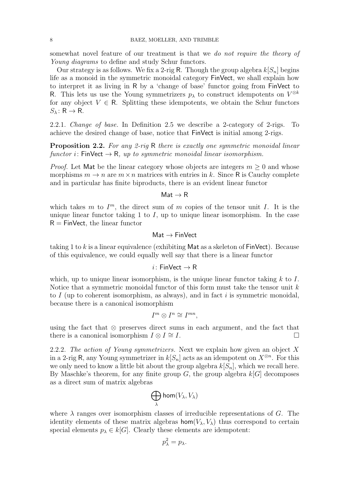somewhat novel feature of our treatment is that we *do not require the theory of Young diagrams* to define and study Schur functors.

Our strategy is as follows. We fix a 2-rig R. Though the group algebra  $k[S_n]$  begins life as a monoid in the symmetric monoidal category FinVect, we shall explain how to interpret it as living in R by a 'change of base' functor going from FinVect to R. This lets us use the Young symmetrizers  $p_{\lambda}$  to construct idempotents on  $V^{\otimes k}$ for any object  $V \in \mathbb{R}$ . Splitting these idempotents, we obtain the Schur functors  $S_{\lambda} \colon \mathsf{R} \to \mathsf{R}$ .

<span id="page-7-0"></span>2.2.1. *Change of base.* In Definition [2.5](#page-11-0) we describe a 2-category of 2-rigs. To achieve the desired change of base, notice that FinVect is initial among 2-rigs.

Proposition 2.2. *For any 2-rig* R *there is exactly one symmetric monoidal linear functor*  $i$ : FinVect  $\rightarrow$  R, up to symmetric monoidal linear isomorphism.

*Proof.* Let Mat be the linear category whose objects are integers  $m \geq 0$  and whose morphisms  $m \to n$  are  $m \times n$  matrices with entries in k. Since R is Cauchy complete and in particular has finite biproducts, there is an evident linear functor

### $Mat \rightarrow R$

which takes m to  $I^m$ , the direct sum of m copies of the tensor unit I. It is the unique linear functor taking 1 to  $I$ , up to unique linear isomorphism. In the case  $R = FinVect$ , the linear functor

$$
\mathsf{Mat} \to \mathsf{FinVect}
$$

taking 1 to k is a linear equivalence (exhibiting Mat as a skeleton of  $FinVect$ ). Because of this equivalence, we could equally well say that there is a linear functor

$$
i\colon \mathsf{FinVect} \to \mathsf{R}
$$

which, up to unique linear isomorphism, is the unique linear functor taking  $k$  to  $I$ . Notice that a symmetric monoidal functor of this form must take the tensor unit  $k$ to I (up to coherent isomorphism, as always), and in fact i is symmetric monoidal, because there is a canonical isomorphism

$$
I^m \otimes I^n \cong I^{mn},
$$

using the fact that ⊗ preserves direct sums in each argument, and the fact that there is a canonical isomorphism  $I \otimes I \cong I$ .

2.2.2. *The action of Young symmetrizers.* Next we explain how given an object X in a 2-rig R, any Young symmetrizer in  $k[S_n]$  acts as an idempotent on  $X^{\otimes n}$ . For this we only need to know a little bit about the group algebra  $k[S_n]$ , which we recall here. By Maschke's theorem, for any finite group  $G$ , the group algebra  $k[G]$  decomposes as a direct sum of matrix algebras

$$
\bigoplus_\lambda \mathsf{hom}(V_\lambda, V_\lambda)
$$

where  $\lambda$  ranges over isomorphism classes of irreducible representations of G. The identity elements of these matrix algebras  $\text{hom}(V_\lambda, V_\lambda)$  thus correspond to certain special elements  $p_{\lambda} \in k[G]$ . Clearly these elements are idempotent:

$$
p_{\lambda}^2 = p_{\lambda}.
$$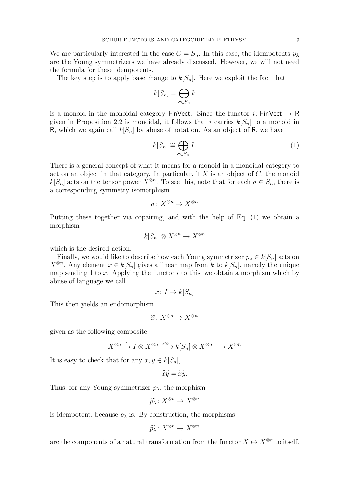We are particularly interested in the case  $G = S_n$ . In this case, the idempotents  $p_{\lambda}$ are the Young symmetrizers we have already discussed. However, we will not need the formula for these idempotents.

The key step is to apply base change to  $k[S_n]$ . Here we exploit the fact that

$$
k[S_n] = \bigoplus_{\sigma \in S_n} k
$$

is a monoid in the monoidal category FinVect. Since the functor i: FinVect  $\rightarrow$  R given in Proposition [2.2](#page-7-0) is monoidal, it follows that i carries  $k[S_n]$  to a monoid in R, which we again call  $k[S_n]$  by abuse of notation. As an object of R, we have

<span id="page-8-0"></span>
$$
k[S_n] \cong \bigoplus_{\sigma \in S_n} I. \tag{1}
$$

There is a general concept of what it means for a monoid in a monoidal category to act on an object in that category. In particular, if X is an object of  $C$ , the monoid  $k[S_n]$  acts on the tensor power  $X^{\otimes n}$ . To see this, note that for each  $\sigma \in S_n$ , there is a corresponding symmetry isomorphism

$$
\sigma\colon X^{\otimes n}\to X^{\otimes n}
$$

Putting these together via copairing, and with the help of Eq. [\(1\)](#page-8-0) we obtain a morphism

$$
k[S_n] \otimes X^{\otimes n} \to X^{\otimes n}
$$

which is the desired action.

Finally, we would like to describe how each Young symmetrizer  $p_{\lambda} \in k[S_n]$  acts on  $X^{\otimes n}$ . Any element  $x \in k[S_n]$  gives a linear map from k to  $k[S_n]$ , namely the unique map sending 1 to x. Applying the functor i to this, we obtain a morphism which by abuse of language we call

$$
x\colon I\to k[S_n]
$$

This then yields an endomorphism

$$
\widetilde{x} \colon X^{\otimes n} \to X^{\otimes n}
$$

given as the following composite.

$$
X^{\otimes n} \xrightarrow{\cong} I \otimes X^{\otimes n} \xrightarrow{x \otimes 1} k[S_n] \otimes X^{\otimes n} \longrightarrow X^{\otimes n}
$$

It is easy to check that for any  $x, y \in k[S_n]$ ,

$$
\widetilde{xy}=\widetilde{x}\widetilde{y}.
$$

Thus, for any Young symmetrizer  $p_{\lambda}$ , the morphism

$$
\widetilde{p_{\lambda}}\colon X^{\otimes n}\to X^{\otimes n}
$$

is idempotent, because  $p_{\lambda}$  is. By construction, the morphisms

$$
\widetilde{p_{\lambda}}\colon X^{\otimes n}\to X^{\otimes n}
$$

are the components of a natural transformation from the functor  $X \mapsto X^{\otimes n}$  to itself.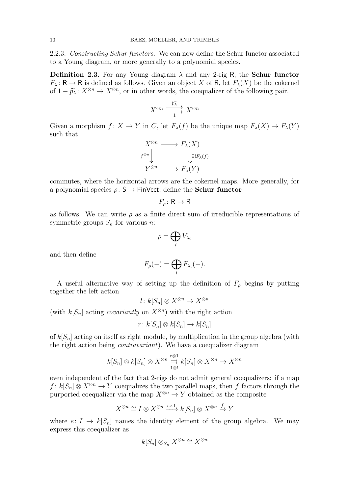2.2.3. *Constructing Schur functors.* We can now define the Schur functor associated to a Young diagram, or more generally to a polynomial species.

**Definition 2.3.** For any Young diagram  $\lambda$  and any 2-rig R, the Schur functor  $F_{\lambda} : \mathsf{R} \to \mathsf{R}$  is defined as follows. Given an object X of R, let  $F_{\lambda}(X)$  be the cokernel of  $1 - \widetilde{p}_{\lambda} : X^{\otimes n} \to X^{\otimes n}$ , or in other words, the coequalizer of the following pair.

$$
X^{\otimes n} \xrightarrow{\widetilde{p_{\lambda}}} X^{\otimes n}
$$

Given a morphism  $f: X \to Y$  in C, let  $F_{\lambda}(f)$  be the unique map  $F_{\lambda}(X) \to F_{\lambda}(Y)$ such that

$$
X^{\otimes n} \longrightarrow F_{\lambda}(X)
$$
  

$$
f^{\otimes n} \downarrow \qquad \qquad \downarrow \exists! F_{\lambda}(f)
$$
  

$$
Y^{\otimes n} \longrightarrow F_{\lambda}(Y)
$$

commutes, where the horizontal arrows are the cokernel maps. More generally, for a polynomial species  $\rho: S \to FinVect$ , define the **Schur functor** 

$$
F_{\rho} \colon \mathsf{R} \to \mathsf{R}
$$

as follows. We can write  $\rho$  as a finite direct sum of irreducible representations of symmetric groups  $S_n$  for various n:

$$
\rho=\bigoplus_i V_{\lambda_i}
$$

and then define

$$
F_{\rho}(-) = \bigoplus_{i} F_{\lambda_i}(-).
$$

A useful alternative way of setting up the definition of  $F_{\rho}$  begins by putting together the left action

$$
l: k[S_n] \otimes X^{\otimes n} \to X^{\otimes n}
$$

(with  $k[S_n]$  acting *covariantly* on  $X^{\otimes n}$ ) with the right action

$$
r\colon k[S_n]\otimes k[S_n]\to k[S_n]
$$

of  $k[S_n]$  acting on itself as right module, by multiplication in the group algebra (with the right action being *contravariant*). We have a coequalizer diagram

$$
k[S_n] \otimes k[S_n] \otimes X^{\otimes n} \underset{1 \otimes l}{\overset{r \otimes 1}{\to}} k[S_n] \otimes X^{\otimes n} \to X^{\otimes n}
$$

even independent of the fact that 2-rigs do not admit general coequalizers: if a map  $f: k[S_n] \otimes X^{\otimes n} \to Y$  coequalizes the two parallel maps, then f factors through the purported coequalizer via the map  $X^{\otimes n} \to Y$  obtained as the composite

$$
X^{\otimes n} \cong I \otimes X^{\otimes n} \xrightarrow{e \times 1} k[S_n] \otimes X^{\otimes n} \xrightarrow{f} Y
$$

where  $e: I \to k[S_n]$  names the identity element of the group algebra. We may express this coequalizer as

$$
k[S_n]\otimes_{S_n}X^{\otimes n}\cong X^{\otimes n}
$$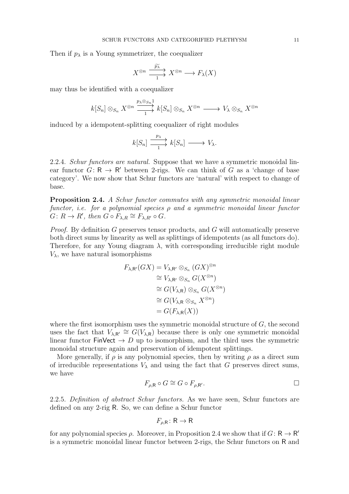Then if  $p_{\lambda}$  is a Young symmetrizer, the coequalizer

$$
X^{\otimes n} \xrightarrow{\widetilde{p_{\lambda}}} X^{\otimes n} \longrightarrow F_{\lambda}(X)
$$

may thus be identified with a coequalizer

$$
k[S_n] \otimes_{S_n} X^{\otimes n} \xrightarrow[\quad]{p_\lambda \otimes_{S_n} 1} k[S_n] \otimes_{S_n} X^{\otimes n} \longrightarrow V_\lambda \otimes_{S_n} X^{\otimes n}
$$

induced by a idempotent-splitting coequalizer of right modules

$$
k[S_n] \xrightarrow{p_\lambda} k[S_n] \longrightarrow V_\lambda.
$$

2.2.4. *Schur functors are natural.* Suppose that we have a symmetric monoidal linear functor  $G: \mathsf{R} \to \mathsf{R}'$  between 2-rigs. We can think of G as a 'change of base category'. We now show that Schur functors are 'natural' with respect to change of base.

<span id="page-10-0"></span>Proposition 2.4. *A Schur functor commutes with any symmetric monoidal linear functor, i.e. for a polynomial species* ρ *and a symmetric monoidal linear functor*  $G: R \to R'$ , then  $G \circ F_{\lambda,R} \cong F_{\lambda,R'} \circ G$ .

*Proof.* By definition G preserves tensor products, and G will automatically preserve both direct sums by linearity as well as splittings of idempotents (as all functors do). Therefore, for any Young diagram  $\lambda$ , with corresponding irreducible right module  $V_{\lambda}$ , we have natural isomorphisms

$$
F_{\lambda,\mathsf{R}'}(GX) = V_{\lambda,\mathsf{R}'} \otimes_{S_n} (GX)^{\otimes n}
$$
  
\n
$$
\cong V_{\lambda,\mathsf{R}'} \otimes_{S_n} G(X^{\otimes n})
$$
  
\n
$$
\cong G(V_{\lambda,\mathsf{R}}) \otimes_{S_n} G(X^{\otimes n})
$$
  
\n
$$
\cong G(V_{\lambda,\mathsf{R}} \otimes_{S_n} X^{\otimes n})
$$
  
\n
$$
= G(F_{\lambda,\mathsf{R}}(X))
$$

where the first isomorphism uses the symmetric monoidal structure of  $G$ , the second uses the fact that  $V_{\lambda,\mathbf{R}'} \cong G(V_{\lambda,\mathbf{R}})$  because there is only one symmetric monoidal linear functor FinVect  $\rightarrow$  D up to isomorphism, and the third uses the symmetric monoidal structure again and preservation of idempotent splittings.

More generally, if  $\rho$  is any polynomial species, then by writing  $\rho$  as a direct sum of irreducible representations  $V_{\lambda}$  and using the fact that G preserves direct sums, we have

$$
F_{\rho,\mathsf{R}} \circ G \cong G \circ F_{\rho,\mathsf{R}'}.
$$

2.2.5. *Definition of abstract Schur functors.* As we have seen, Schur functors are defined on any 2-rig R. So, we can define a Schur functor

$$
F_{\rho,\mathsf{R}}\colon \mathsf{R} \to \mathsf{R}
$$

for any polynomial species  $\rho$ . Moreover, in Proposition [2.4](#page-10-0) we show that if  $G: \mathsf{R} \to \mathsf{R}'$ is a symmetric monoidal linear functor between 2-rigs, the Schur functors on R and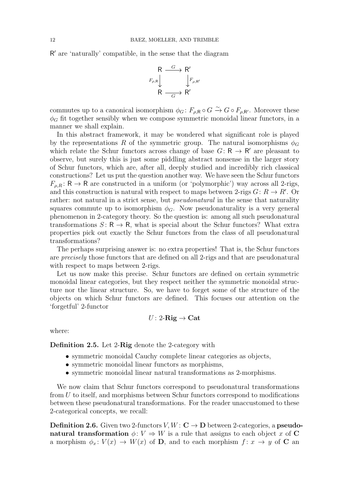R ′ are 'naturally' compatible, in the sense that the diagram

$$
R \xrightarrow{G} R'
$$
  
\n
$$
F_{\rho,R} \downarrow \qquad F_{\rho,R'}
$$
  
\n
$$
R \xrightarrow{G} R'
$$

commutes up to a canonical isomorphism  $\phi_G: F_{\rho, \mathsf{R}} \circ G \xrightarrow{\sim} G \circ F_{\rho, \mathsf{R'}}$ . Moreover these  $\phi_G$  fit together sensibly when we compose symmetric monoidal linear functors, in a manner we shall explain.

In this abstract framework, it may be wondered what significant role is played by the representations R of the symmetric group. The natural isomorphisms  $\phi_G$ which relate the Schur functors across change of base  $G: \mathsf{R} \to \mathsf{R}'$  are pleasant to observe, but surely this is just some piddling abstract nonsense in the larger story of Schur functors, which are, after all, deeply studied and incredibly rich classical constructions? Let us put the question another way. We have seen the Schur functors  $F_{\rho,R} \colon \mathsf{R} \to \mathsf{R}$  are constructed in a uniform (or 'polymorphic') way across all 2-rigs, and this construction is natural with respect to maps between 2-rigs  $G: R \to R'$ . Or rather: not natural in a strict sense, but *pseudonatural* in the sense that naturality squares commute up to isomorphism  $\phi_G$ . Now pseudonaturality is a very general phenomenon in 2-category theory. So the question is: among all such pseudonatural transformations  $S: \mathsf{R} \to \mathsf{R}$ , what is special about the Schur functors? What extra properties pick out exactly the Schur functors from the class of all pseudonatural transformations?

The perhaps surprising answer is: no extra properties! That is, the Schur functors are *precisely* those functors that are defined on all 2-rigs and that are pseudonatural with respect to maps between 2-rigs.

Let us now make this precise. Schur functors are defined on certain symmetric monoidal linear categories, but they respect neither the symmetric monoidal structure nor the linear structure. So, we have to forget some of the structure of the objects on which Schur functors are defined. This focuses our attention on the 'forgetful' 2-functor

$$
U\colon 2\text{-}\mathbf{Rig} \to \mathbf{Cat}
$$

<span id="page-11-0"></span>where:

Definition 2.5. Let 2-Rig denote the 2-category with

- symmetric monoidal Cauchy complete linear categories as objects,
- symmetric monoidal linear functors as morphisms,
- symmetric monoidal linear natural transformations as 2-morphisms.

We now claim that Schur functors correspond to pseudonatural transformations from U to itself, and morphisms between Schur functors correspond to modifications between these pseudonatural transformations. For the reader unaccustomed to these 2-categorical concepts, we recall:

**Definition 2.6.** Given two 2-functors  $V, W : \mathbf{C} \to \mathbf{D}$  between 2-categories, a **pseudo**natural transformation  $\phi: V \Rightarrow W$  is a rule that assigns to each object x of C a morphism  $\phi_x: V(x) \to W(x)$  of **D**, and to each morphism  $f: x \to y$  of **C** an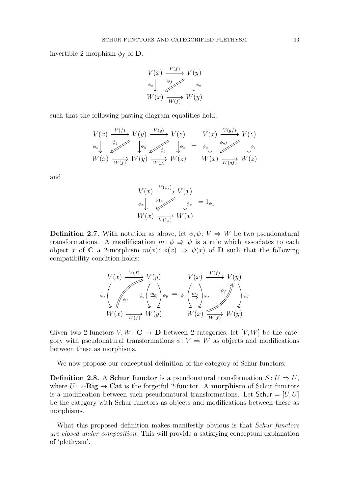invertible 2-morphism  $\phi_f$  of **D**:

$$
V(x) \xrightarrow{\qquad V(f)} V(y)
$$
  
\n
$$
\phi_x \downarrow \qquad \phi_f \downarrow \phi_x
$$
  
\n
$$
W(x) \xrightarrow{\qquad \phi_f} W(y)
$$

 $\sim$   $\sim$   $\sim$ 

such that the following pasting diagram equalities hold:

$$
V(x) \xrightarrow{\quad V(f)} V(y) \xrightarrow{\quad V(g)} V(z) \qquad V(x) \xrightarrow{\quad V(gf)} V(z)
$$
  
\n
$$
\phi_x \downarrow \qquad \phi_y \downarrow \qquad \phi_y \downarrow \phi_z = \phi_x \downarrow \qquad \phi_y \downarrow \phi_z
$$
  
\n
$$
W(x) \xrightarrow{\quad W(f)} W(y) \xrightarrow{\quad W(g)} W(z) \qquad W(x) \xrightarrow{\quad W(gf)} W(z)
$$

and

$$
V(x) \xrightarrow{V(1_x)} V(x)
$$
  
\n
$$
\phi_x \downarrow \qquad \phi_{1x} \downarrow \phi_x = 1_{\phi_x}
$$
  
\n
$$
W(x) \xrightarrow{V(1_x)} W(x)
$$

**Definition 2.7.** With notation as above, let  $\phi, \psi \colon V \Rightarrow W$  be two pseudonatural transformations. A **modification**  $m: \phi \Rightarrow \psi$  is a rule which associates to each object x of C a 2-morphism  $m(x)$ :  $\phi(x) \Rightarrow \psi(x)$  of D such that the following compatibility condition holds:

$$
V(x) \xrightarrow{V(f)} V(y) \qquad V(x) \xrightarrow{V(f)} V(y)
$$
  

$$
\phi_x \left( \psi_y \left( \frac{m_x}{\Rightarrow} \psi_y \right) = \phi_x \left( \frac{m_x}{\Rightarrow} \psi_x \right) \psi_x \left( \frac{m_y}{\Rightarrow} \psi_y \right) \psi_y
$$
  

$$
W(x) \xrightarrow{W(f)} W(y) \qquad W(x) \xrightarrow{W(f)} W(y)
$$

Given two 2-functors  $V, W : \mathbf{C} \to \mathbf{D}$  between 2-categories, let  $[V, W]$  be the category with pseudonatural transformations  $\phi: V \Rightarrow W$  as objects and modifications between these as morphisms.

We now propose our conceptual definition of the category of Schur functors:

**Definition 2.8.** A Schur functor is a pseudonatural transformation  $S: U \Rightarrow U$ , where  $U: 2\text{-}Rig \to \text{Cat}$  is the forgetful 2-functor. A morphism of Schur functors is a modification between such pseudonatural transformations. Let  $Schur = [U, U]$ be the category with Schur functors as objects and modifications between these as morphisms.

What this proposed definition makes manifestly obvious is that *Schur functors are closed under composition*. This will provide a satisfying conceptual explanation of 'plethysm'.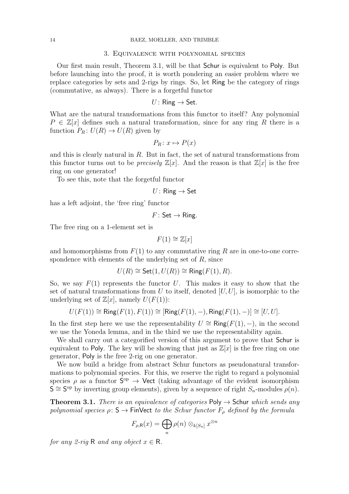#### 3. Equivalence with polynomial species

<span id="page-13-0"></span>Our first main result, Theorem [3.1,](#page-13-1) will be that Schur is equivalent to Poly. But before launching into the proof, it is worth pondering an easier problem where we replace categories by sets and 2-rigs by rings. So, let Ring be the category of rings (commutative, as always). There is a forgetful functor

$$
U\colon\mathsf{Ring}\to\mathsf{Set}.
$$

What are the natural transformations from this functor to itself? Any polynomial  $P \in \mathbb{Z}[x]$  defines such a natural transformation, since for any ring R there is a function  $P_R: U(R) \to U(R)$  given by

$$
P_R \colon x \mapsto P(x)
$$

and this is clearly natural in R. But in fact, the set of natural transformations from this functor turns out to be *precisely*  $\mathbb{Z}[x]$ . And the reason is that  $\mathbb{Z}[x]$  is the free ring on one generator!

To see this, note that the forgetful functor

 $U:$  Ring  $\rightarrow$  Set

has a left adjoint, the 'free ring' functor

 $F:$  Set  $\rightarrow$  Ring.

The free ring on a 1-element set is

$$
F(1) \cong \mathbb{Z}[x]
$$

and homomorphisms from  $F(1)$  to any commutative ring R are in one-to-one correspondence with elements of the underlying set of  $R$ , since

$$
U(R) \cong \mathsf{Set}(1, U(R)) \cong \mathsf{Ring}(F(1), R).
$$

So, we say  $F(1)$  represents the functor U. This makes it easy to show that the set of natural transformations from U to itself, denoted  $[U, U]$ , is isomorphic to the underlying set of  $\mathbb{Z}[x]$ , namely  $U(F(1))$ :

$$
U(F(1)) \cong \mathsf{Ring}(F(1), F(1)) \cong [\mathsf{Ring}(F(1), -), \mathsf{Ring}(F(1), -)] \cong [U, U].
$$

In the first step here we use the representability  $U \cong \mathsf{Ring}(F(1), -)$ , in the second we use the Yoneda lemma, and in the third we use the representability again.

We shall carry out a categorified version of this argument to prove that Schur is equivalent to Poly. The key will be showing that just as  $\mathbb{Z}[x]$  is the free ring on one generator, Poly is the free 2-rig on one generator.

We now build a bridge from abstract Schur functors as pseudonatural transformations to polynomial species. For this, we reserve the right to regard a polynomial species  $\rho$  as a functor  $S^{\text{op}} \to \text{Vect}$  (taking advantage of the evident isomorphism  $\mathsf{S} \cong \mathsf{S}^{\mathrm{op}}$  by inverting group elements), given by a sequence of right  $S_n$ -modules  $\rho(n)$ .

<span id="page-13-1"></span>**Theorem 3.1.** *There is an equivalence of categories*  $Poly \rightarrow$  Schur *which sends any polynomial species*  $\rho: S \to \text{FinVect}$  *to the Schur functor*  $F_{\rho}$  *defined by the formula* 

$$
F_{\rho,\mathsf{R}}(x) = \bigoplus_{n} \rho(n) \otimes_{k[S_n]} x^{\otimes n}
$$

*for any 2-rig* R *and any object*  $x \in \mathbb{R}$ *.*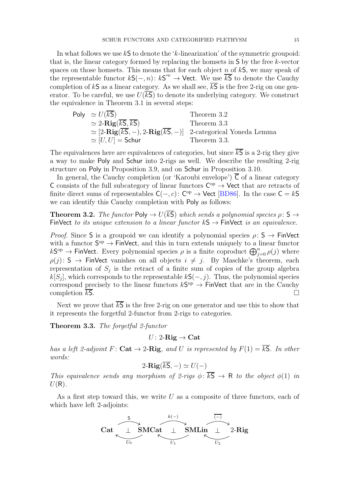<span id="page-14-2"></span>In what follows we use  $k\mathsf{S}$  to denote the 'k-linearization' of the symmetric groupoid: that is, the linear category formed by replacing the homsets in S by the free k-vector spaces on those homsets. This means that for each object n of  $kS$ , we may speak of the representable functor  $kS(-, n): kS^{op} \to \mathsf{Vect}$ . We use  $\overline{kS}$  to denote the Cauchy completion of kS as a linear category. As we shall see,  $\overline{kS}$  is the free 2-rig on one generator. To be careful, we use  $U(\overline{kS})$  to denote its underlying category. We construct the equivalence in Theorem [3.1](#page-13-1) in several steps:

Poly 
$$
\simeq U(\overline{kS})
$$
  
\n $\simeq 2-\text{Rig}(\overline{kS}, \overline{kS})$   
\n $\simeq [2-\text{Rig}(\overline{kS}, -), 2-\text{Rig}(\overline{kS}, -)]$   
\n $\simeq [U, U] = \text{Schur}$   
\nTheorem 3.3  
\nTheorem 3.3.

The equivalences here are equivalences of categories, but since  $\overline{kS}$  is a 2-rig they give a way to make Poly and Schur into 2-rigs as well. We describe the resulting 2-rig structure on Poly in Proposition [3.9,](#page-20-1) and on Schur in Proposition [3.10.](#page-20-2)

In general, the Cauchy completion (or 'Karoubi envelope')  $\overline{C}$  of a linear category C consists of the full subcategory of linear functors  $C^{op} \to \mathsf{Vect}$  that are retracts of finite direct sums of representables  $C(-, c)$ : C<sup>op</sup>  $\rightarrow$  Vect [\[BD86\]](#page-52-8). In the case  $C = kS$ we can identify this Cauchy completion with Poly as follows:

<span id="page-14-0"></span>**Theorem 3.2.** *The functor* Poly  $\rightarrow U(\overline{kS})$  *which sends a polynomial species*  $\rho: S \rightarrow$ FinVect *to its unique extension to a linear functor*  $kS \rightarrow$  FinVect *is an equivalence.* 

*Proof.* Since S is a groupoid we can identify a polynomial species  $\rho: S \to FinVect$ with a functor  $S^{op} \to FinVect$ , and this in turn extends uniquely to a linear functor  $k\mathsf{S}^{\mathrm{op}} \to \mathsf{Fin}\mathsf{Vect}$ . Every polynomial species  $\rho$  is a finite coproduct  $\bigoplus_{j=0}^n \rho(j)$  where  $\rho(j)$ : S  $\rightarrow$  FinVect vanishes on all objects  $i \neq j$ . By Maschke's theorem, each representation of  $S_j$  is the retract of a finite sum of copies of the group algebra  $k[S_j]$ , which corresponds to the representable  $k\mathsf{S}(-,j)$ . Thus, the polynomial species correspond precisely to the linear functors  $kS^{op} \to \text{FinVect}$  that are in the Cauchy completion  $k$ S.

<span id="page-14-1"></span>Next we prove that  $\overline{kS}$  is the free 2-rig on one generator and use this to show that it represents the forgetful 2-functor from 2-rigs to categories.

Theorem 3.3. *The forgetful 2-functor*

$$
U\colon\mathrm{2}\text{-}\mathbf{Rig}\to\mathbf{Cat}
$$

*has a left 2-adjoint*  $F: \mathbf{Cat} \to 2$ -Rig, and U *is represented by*  $F(1) = \overline{kS}$ . In other *words:*

$$
2\text{-}\mathbf{Rig}(\overline{kS},-) \simeq U(-)
$$

*This equivalence sends any morphism of 2-rigs*  $\phi$ :  $\overline{kS} \rightarrow R$  *to the object*  $\phi(1)$  *in*  $U(R)$ .

As a first step toward this, we write  $U$  as a composite of three functors, each of which have left 2-adjoints:

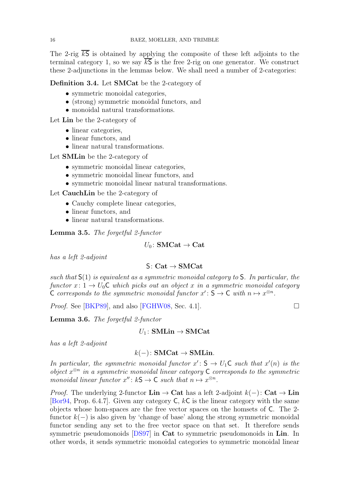The 2-rig  $\overline{kS}$  is obtained by applying the composite of these left adjoints to the terminal category 1, so we say  $\overline{kS}$  is the free 2-rig on one generator. We construct these 2-adjunctions in the lemmas below. We shall need a number of 2-categories:

## <span id="page-15-0"></span>Definition 3.4. Let SMCat be the 2-category of

- symmetric monoidal categories,
- (strong) symmetric monoidal functors, and
- monoidal natural transformations.

Let Lin be the 2-category of

- linear categories,
- linear functors, and
- linear natural transformations.

Let SMLin be the 2-category of

- symmetric monoidal linear categories,
- symmetric monoidal linear functors, and
- symmetric monoidal linear natural transformations.

Let CauchLin be the 2-category of

- Cauchy complete linear categories,
- linear functors, and
- linear natural transformations.

Lemma 3.5. *The forgetful 2-functor*

## $U_0$ : SMCat  $\rightarrow$  Cat

*has a left 2-adjoint*

## $S: Cat \rightarrow SMCat$

*such that* S(1) *is equivalent as a symmetric monoidal category to* S*. In particular, the functor*  $x: 1 \rightarrow U_0C$  *which picks out an object* x *in a symmetric monoidal category* C corresponds to the symmetric monoidal functor  $x' : S \to C$  with  $n \mapsto x^{\otimes n}$ .

<span id="page-15-1"></span>*Proof.* See [\[BKP89\]](#page-52-9), and also [\[FGHW08,](#page-52-10) Sec. 4.1].

Lemma 3.6. *The forgetful 2-functor*

 $U_1$ : SMLin  $\rightarrow$  SMCat

*has a left 2-adjoint*

## $k(-)$ : SMCat  $\rightarrow$  SMLin.

*In particular, the symmetric monoidal functor*  $x' \colon S \to U_1 \mathbb{C}$  *such that*  $x'(n)$  *is the object* x ⊗n *in a symmetric monoidal linear category* C *corresponds to the symmetric monoidal linear functor*  $x''$ :  $kS \to C$  *such that*  $n \mapsto x^{\otimes n}$ *.* 

*Proof.* The underlying 2-functor  $\text{Lin} \rightarrow \text{Cat}$  has a left 2-adjoint  $k(-)$ :  $\text{Cat} \rightarrow \text{Lin}$ [\[Bor94,](#page-52-11) Prop. 6.4.7]. Given any category  $C, kC$  is the linear category with the same objects whose hom-spaces are the free vector spaces on the homsets of C. The 2 functor  $k(-)$  is also given by 'change of base' along the strong symmetric monoidal functor sending any set to the free vector space on that set. It therefore sends symmetric pseudomonoids [\[DS97\]](#page-52-12) in Cat to symmetric pseudomonoids in Lin. In other words, it sends symmetric monoidal categories to symmetric monoidal linear

<span id="page-15-2"></span>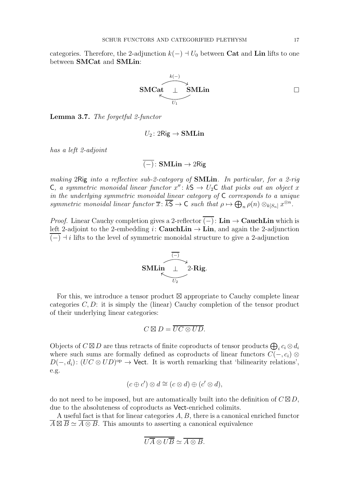categories. Therefore, the 2-adjunction  $k(-) \dashv U_0$  between **Cat** and **Lin** lifts to one between SMCat and SMLin:

$$
\begin{array}{ccc}\n & & k(-) \\
\hline\n\end{array}
$$
\nSMLin

<span id="page-16-0"></span>Lemma 3.7. *The forgetful 2-functor*

$$
U_2\colon 2\mathrm{Rig}\to\mathbf{SMLin}
$$

*has a left 2-adjoint*

$$
\overline{(-)}\colon \mathbf{SMLin}\to 2\mathsf{Rig}
$$

*making* 2Rig *into a reflective sub-2-category of* SMLin*. In particular, for a 2-rig* C, a symmetric monoidal linear functor  $x''$ :  $kS \rightarrow U_2C$  that picks out an object x *in the underlying symmetric monoidal linear category of* C *corresponds to a unique symmetric monoidal linear functor*  $\overline{x}$ :  $\overline{kS} \to C$  *such that*  $\rho \mapsto \bigoplus_n \rho(n) \otimes_{k[S_n]} x^{\otimes n}$ .

*Proof.* Linear Cauchy completion gives a 2-reflector  $(-)$ : Lin  $\rightarrow$  CauchLin which is left 2-adjoint to the 2-embedding i: CauchLin  $\rightarrow$  Lin, and again the 2-adjunction  $(-)$   $\rightarrow$  i lifts to the level of symmetric monoidal structure to give a 2-adjunction



For this, we introduce a tensor product ⊠ appropriate to Cauchy complete linear categories  $C, D$ : it is simply the (linear) Cauchy completion of the tensor product of their underlying linear categories:

$$
C \boxtimes D = \overline{UC \otimes UD}.
$$

Objects of  $C \boxtimes D$  are thus retracts of finite coproducts of tensor products  $\bigoplus_i c_i \otimes d_i$ where such sums are formally defined as coproducts of linear functors  $C(-, c_i) \otimes$  $D(-, d_i): (UC \otimes UD)^{\text{op}} \to \text{Vect}$ . It is worth remarking that 'bilinearity relations', e.g.

$$
(c \oplus c') \otimes d \cong (c \otimes d) \oplus (c' \otimes d),
$$

do not need to be imposed, but are automatically built into the definition of  $C \boxtimes D$ , due to the absoluteness of coproducts as Vect-enriched colimits.

A useful fact is that for linear categories A, B, there is a canonical enriched functor  $\overline{A} \boxtimes \overline{B} \simeq \overline{A \otimes B}$ . This amounts to asserting a canonical equivalence

$$
\overline{U\overline{A}\otimes U\overline{B}}\simeq \overline{A\otimes B}.
$$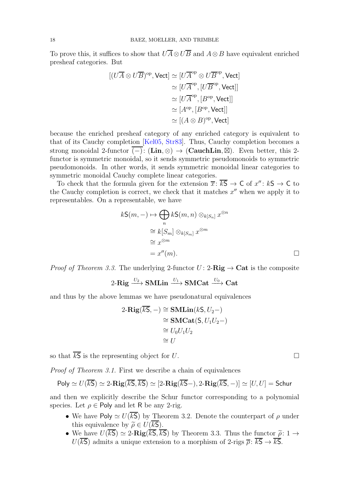<span id="page-17-0"></span>To prove this, it suffices to show that  $\overline{UA} \otimes \overline{UB}$  and  $A \otimes B$  have equivalent enriched presheaf categories. But

$$
[(U\overline{A} \otimes U\overline{B})^{\mathrm{op}}, \text{Vect}] \simeq [U\overline{A}^{\mathrm{op}} \otimes U\overline{B}^{\mathrm{op}}, \text{Vect}]
$$

$$
\simeq [U\overline{A}^{\mathrm{op}}, [U\overline{B}^{\mathrm{op}}, \text{Vect}]]
$$

$$
\simeq [U\overline{A}^{\mathrm{op}}, [B^{\mathrm{op}}, \text{Vect}]]
$$

$$
\simeq [A^{\mathrm{op}}, [B^{\mathrm{op}}, \text{Vect}]]
$$

$$
\simeq [(A \otimes B)^{\mathrm{op}}, \text{Vect}]
$$

because the enriched presheaf category of any enriched category is equivalent to that of its Cauchy completion [\[Kel05,](#page-52-13) [Str83\]](#page-52-14). Thus, Cauchy completion becomes a strong monoidal 2-functor (−): (Lin, ⊗)  $\rightarrow$  (CauchLin, ⊠). Even better, this 2functor is symmetric monoidal, so it sends symmetric pseudomonoids to symmetric pseudomonoids. In other words, it sends symmetric monoidal linear categories to symmetric monoidal Cauchy complete linear categories.

To check that the formula given for the extension  $\overline{x}$ :  $\overline{kS} \to C$  of  $x''$ :  $kS \to C$  to the Cauchy completion is correct, we check that it matches  $x''$  when we apply it to representables. On a representable, we have

$$
k\mathsf{S}(m,-) \mapsto \bigoplus_{n} k\mathsf{S}(m,n) \otimes_{k[S_n]} x^{\otimes n}
$$

$$
\cong k[S_m] \otimes_{k[S_m]} x^{\otimes m}
$$

$$
\cong x^{\otimes m}
$$

$$
= x''(m).
$$

*Proof of Theorem [3.3.](#page-14-1)* The underlying 2-functor  $U: 2\text{-}Rig \rightarrow \text{Cat}$  is the composite

2-Rig  $\stackrel{U_2}{\longrightarrow}$  SMLin  $\stackrel{U_1}{\longrightarrow}$  SMCat  $\stackrel{U_0}{\longrightarrow}$  Cat

and thus by the above lemmas we have pseudonatural equivalences

$$
2\text{-}\mathbf{Rig}(\overline{kS}, -) \cong \text{SMLin}(kS, U_2-)
$$

$$
\cong \text{SMCat}(S, U_1U_2-)
$$

$$
\cong U_0U_1U_2
$$

$$
\cong U
$$

so that  $\overline{kS}$  is the representing object for U.

*Proof of Theorem [3.1.](#page-13-1)* First we describe a chain of equivalences

Poly 
$$
\simeq U(\overline{kS}) \simeq 2-\text{Rig}(\overline{kS}, \overline{kS}) \simeq [2-\text{Rig}(\overline{kS}-), 2-\text{Rig}(\overline{kS}, -)] \simeq [U, U] = \text{Schur}
$$

and then we explicitly describe the Schur functor corresponding to a polynomial species. Let  $\rho \in \text{Poly}$  and let R be any 2-rig.

- We have Poly  $\simeq U(\overline{kS})$  by Theorem [3.2.](#page-14-0) Denote the counterpart of  $\rho$  under this equivalence by  $\widetilde{\rho} \in U(\overline{kS})$ .
- We have  $U(\overline{kS}) \simeq 2$ -Rig( $\overline{kS}, \overline{kS}$ ) by Theorem [3.3.](#page-14-1) Thus the functor  $\tilde{\rho}: 1 \rightarrow$  $U(\overline{kS})$  admits a unique extension to a morphism of 2-rigs  $\overline{\rho}$ :  $\overline{kS} \rightarrow \overline{kS}$ .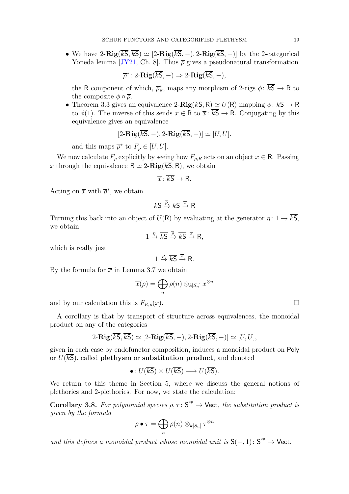<span id="page-18-1"></span>• We have  $2-Rig(\overline{kS}, \overline{kS}) \simeq [2-Rig(\overline{kS}, -), 2-Rig(\overline{kS}, -)]$  by the 2-categorical Yoneda lemma [\[JY21,](#page-52-15) Ch. 8]. Thus  $\bar{\rho}$  gives a pseudonatural transformation

$$
\overline{\rho}^* \colon 2\text{-}\mathbf{Rig}(\overline{kS}, -) \Rightarrow 2\text{-}\mathbf{Rig}(\overline{kS}, -),
$$

the R component of which,  $\bar{\rho}_{R}^{*}$ , maps any morphism of 2-rigs  $\phi$ :  $\overline{kS} \to R$  to the composite  $\phi \circ \overline{\rho}$ .

• Theorem [3.3](#page-14-1) gives an equivalence 2- $\mathbf{Rig}(\overline{kS}, R) \simeq U(R)$  mapping  $\phi: \overline{kS} \to R$ to  $\phi(1)$ . The inverse of this sends  $x \in \mathsf{R}$  to  $\overline{x}$ :  $\overline{kS} \to \mathsf{R}$ . Conjugating by this equivalence gives an equivalence

$$
[2-\mathbf{Rig}(\overline{kS},-),2-\mathbf{Rig}(\overline{kS},-)] \simeq [U,U].
$$

and this maps  $\overline{\rho}^*$  to  $F_{\rho} \in [U, U]$ .

We now calculate  $F_{\rho}$  explicitly by seeing how  $F_{\rho,R}$  acts on an object  $x \in \mathsf{R}$ . Passing x through the equivalence  $R \simeq 2-\text{Rig}(kS, R)$ , we obtain

$$
\overline{x} \colon \overline{kS} \to R.
$$

Acting on  $\bar{x}$  with  $\bar{\rho}^*$ , we obtain

$$
\overline{kS} \xrightarrow{\overline{\rho}} \overline{kS} \xrightarrow{\overline{x}} R
$$

Turning this back into an object of  $U(\mathsf{R})$  by evaluating at the generator  $\eta: 1 \to \overline{kS}$ , we obtain

$$
1 \xrightarrow{\eta} \overline{kS} \xrightarrow{\overline{\rho}} \overline{kS} \xrightarrow{\overline{x}} R,
$$

which is really just

$$
1 \xrightarrow{\rho} \overline{kS} \xrightarrow{\overline{x}} R.
$$

By the formula for  $\bar{x}$  in Lemma [3.7](#page-16-0) we obtain

$$
\overline{x}(\rho) = \bigoplus_n \rho(n) \otimes_{k[S_n]} x^{\otimes n}
$$

and by our calculation this is  $F_{R,\rho}(x)$ .

A corollary is that by transport of structure across equivalences, the monoidal product on any of the categories

$$
2-\mathbf{Rig}(\overline{kS},\overline{kS}) \simeq [2-\mathbf{Rig}(\overline{kS},-),2-\mathbf{Rig}(\overline{kS},-)] \simeq [U,U],
$$

given in each case by endofunctor composition, induces a monoidal product on Poly or  $U(\overline{kS})$ , called **plethysm** or **substitution product**, and denoted

•: 
$$
U(\overline{kS}) \times U(\overline{kS}) \longrightarrow U(\overline{kS})
$$
.

<span id="page-18-0"></span>We return to this theme in Section 5, where we discuss the general notions of plethories and 2-plethories. For now, we state the calculation:

Corollary 3.8. For polynomial species  $\rho, \tau \colon S^{\circ p} \to \mathsf{Vect}$ , the substitution product is *given by the formula*

$$
\rho \bullet \tau = \bigoplus_n \rho(n) \otimes_{k[S_n]} \tau^{\otimes n}
$$

and this defines a monoidal product whose monoidal unit is  $S(-, 1)$ :  $S^{\circ p} \rightarrow$  Vect.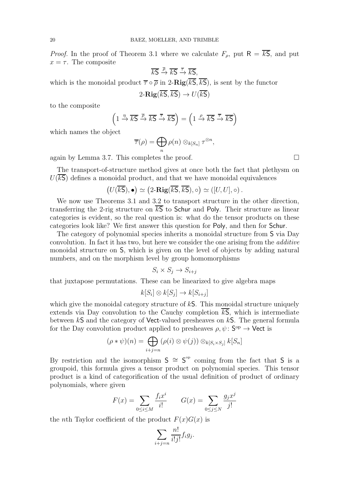*Proof.* In the proof of Theorem [3.1](#page-13-1) where we calculate  $F_{\rho}$ , put  $R = \overline{kS}$ , and put  $x = \tau$ . The composite

$$
\overline{kS} \xrightarrow{\overline{\rho}} \overline{kS} \xrightarrow{\overline{\tau}} \overline{kS},
$$

which is the monoidal product  $\overline{\tau} \circ \overline{\rho}$  in 2- $\text{Rig}(\overline{kS}, \overline{kS})$ , is sent by the functor

$$
2\text{-}\mathbf{Rig}(\overline{k\mathsf{S}},\overline{k\mathsf{S}}) \to U(\overline{k\mathsf{S}})
$$

to the composite

$$
\left(1 \xrightarrow{\eta} \overline{k} \overline{S} \xrightarrow{\overline{\rho}} \overline{k} \overline{S} \xrightarrow{\overline{\tau}} \overline{k} \overline{S}\right) = \left(1 \xrightarrow{\rho} \overline{k} \overline{S} \xrightarrow{\overline{\tau}} \overline{k} \overline{S}\right)
$$

which names the object

$$
\overline{\tau}(\rho) = \bigoplus_n \rho(n) \otimes_{k[S_n]} \tau^{\otimes n},
$$

again by Lemma [3.7.](#page-16-0) This completes the proof.  $\Box$ 

The transport-of-structure method gives at once both the fact that plethysm on  $U(\overline{kS})$  defines a monoidal product, and that we have monoidal equivalences

$$
\big(U(\overline{kS}),\bullet\big)\simeq\big(2\text{-}\mathbf{Rig}(\overline{kS},\overline{kS}),\circ\big)\simeq([U,U],\circ)\,.
$$

We now use Theorems [3.1](#page-13-1) and [3.2](#page-14-0) to transport structure in the other direction, transferring the 2-rig structure on  $\overline{kS}$  to Schur and Poly. Their structure as linear categories is evident, so the real question is: what do the tensor products on these categories look like? We first answer this question for Poly, and then for Schur.

The category of polynomial species inherits a monoidal structure from S via Day convolution. In fact it has two, but here we consider the one arising from the *additive* monoidal structure on S, which is given on the level of objects by adding natural numbers, and on the morphism level by group homomorphisms

$$
S_i \times S_j \to S_{i+j}
$$

that juxtapose permutations. These can be linearized to give algebra maps

$$
k[S_i] \otimes k[S_j] \to k[S_{i+j}]
$$

which give the monoidal category structure of  $kS$ . This monoidal structure uniquely extends via Day convolution to the Cauchy completion  $\overline{kS}$ , which is intermediate between  $kS$  and the category of Vect-valued presheaves on  $kS$ . The general formula for the Day convolution product applied to presheaves  $\rho, \psi \colon S^{\text{op}} \to \text{Vect}$  is

$$
(\rho * \psi)(n) = \bigoplus_{i+j=n} (\rho(i) \otimes \psi(j)) \otimes_{k[S_i \times S_j]} k[S_n]
$$

By restriction and the isomorphism  $S \cong S^{op}$  coming from the fact that S is a groupoid, this formula gives a tensor product on polynomial species. This tensor product is a kind of categorification of the usual definition of product of ordinary polynomials, where given

$$
F(x) = \sum_{0 \le i \le M} \frac{f_i x^i}{i!} \qquad G(x) = \sum_{0 \le j \le N} \frac{g_j x^j}{j!}
$$

the nth Taylor coefficient of the product  $F(x)G(x)$  is

$$
\sum_{i+j=n} \frac{n!}{i!j!} f_i g_j.
$$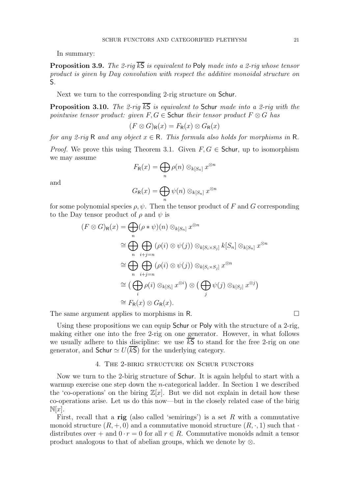<span id="page-20-1"></span>In summary:

**Proposition 3.9.** *The 2-rig*  $\overline{kS}$  *is equivalent to* Poly *made into a 2-rig whose tensor product is given by Day convolution with respect the additive monoidal structure on* S*.*

<span id="page-20-2"></span>Next we turn to the corresponding 2-rig structure on Schur.

**Proposition 3.10.** *The 2-rig*  $\overline{kS}$  *is equivalent to* Schur *made into a 2-rig with the pointwise tensor product: given*  $F, G \in$  Schur *their tensor product*  $F \otimes G$  *has* 

$$
(F \otimes G)_{\mathsf{R}}(x) = F_{\mathsf{R}}(x) \otimes G_{\mathsf{R}}(x)
$$

*for any 2-rig* R *and any object*  $x \in \mathbb{R}$ . This formula also holds for morphisms in R.

*Proof.* We prove this using Theorem [3.1.](#page-13-1) Given  $F, G \in$  Schur, up to isomorphism we may assume

$$
F_{\mathsf{R}}(x) = \bigoplus_{n} \rho(n) \otimes_{k[S_n]} x^{\otimes n}
$$

and

$$
G_{\mathsf{R}}(x) = \bigoplus_{n} \psi(n) \otimes_{k[S_n]} x^{\otimes n}
$$

for some polynomial species  $\rho, \psi$ . Then the tensor product of F and G corresponding to the Day tensor product of  $\rho$  and  $\psi$  is

$$
(F \otimes G)_{\mathsf{R}}(x) = \bigoplus_{n} (\rho * \psi)(n) \otimes_{k[S_n]} x^{\otimes n}
$$
  
\n
$$
\cong \bigoplus_{n} \bigoplus_{i+j=n} (\rho(i) \otimes \psi(j)) \otimes_{k[S_i \times S_j]} k[S_n] \otimes_{k[S_n]} x^{\otimes n}
$$
  
\n
$$
\cong \bigoplus_{n} \bigoplus_{i+j=n} (\rho(i) \otimes \psi(j)) \otimes_{k[S_i \times S_j]} x^{\otimes n}
$$
  
\n
$$
\cong (\bigoplus_{i} \rho(i) \otimes_{k[S_i]} x^{\otimes i}) \otimes (\bigoplus_{j} \psi(j) \otimes_{k[S_j]} x^{\otimes j})
$$
  
\n
$$
\cong F_{\mathsf{R}}(x) \otimes G_{\mathsf{R}}(x).
$$

The same argument applies to morphisms in R.  $\Box$ 

Using these propositions we can equip **Schur** or Poly with the structure of a 2-rig, making either one into the free 2-rig on one generator. However, in what follows we usually adhere to this discipline: we use  $kS$  to stand for the free 2-rig on one generator, and Schur  $\simeq U(\overline{kS})$  for the underlying category.

### 4. The 2-birig structure on Schur functors

<span id="page-20-0"></span>Now we turn to the 2-birig structure of Schur. It is again helpful to start with a warmup exercise one step down the *n*-categorical ladder. In Section [1](#page-0-0) we described the 'co-operations' on the biring  $\mathbb{Z}[x]$ . But we did not explain in detail how these co-operations arise. Let us do this now—but in the closely related case of the birig  $\mathbb{N}[x]$ .

First, recall that a rig (also called 'semirings') is a set  $R$  with a commutative monoid structure  $(R, +, 0)$  and a commutative monoid structure  $(R, \cdot, 1)$  such that  $\cdot$ distributes over + and  $0 \cdot r = 0$  for all  $r \in R$ . Commutative monoids admit a tensor product analogous to that of abelian groups, which we denote by ⊗.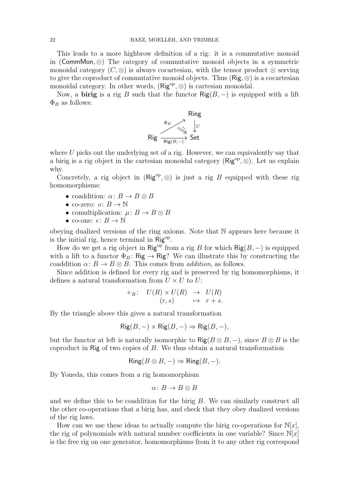This leads to a more highbrow definition of a rig: it is a commutative monoid in (CommMon, ⊗) The category of commutative monoid objects in a symmetric monoidal category  $(C, \otimes)$  is always cocartesian, with the tensor product  $\otimes$  serving to give the coproduct of commutative monoid objects. Thus  $(Rig, \otimes)$  is a cocartesian monoidal category. In other words,  $(Rig^{op}, \otimes)$  is cartesian monoidal.

Now, a **birig** is a rig B such that the functor  $\text{Rig}(B, -)$  is equipped with a lift  $\Phi_B$  as follows:



where  $U$  picks out the underlying set of a rig. However, we can equivalently say that a birig is a rig object in the cartesian monoidal category ( $\mathsf{Rig}^{\mathrm{op}}, \otimes$ ). Let us explain why.

Concretely, a rig object in  $(Rig^{\rm op}, \otimes)$  is just a rig B equipped with these rig homomorphisms:

- coaddition:  $\alpha: B \to B \otimes B$
- co-zero:  $o: B \to \mathbb{N}$
- comultiplication:  $\mu: B \to B \otimes B$
- co-one:  $\epsilon: B \to \mathbb{N}$

obeying dualized versions of the ring axioms. Note that N appears here because it is the initial rig, hence terminal in Rig<sup>op</sup>.

How do we get a rig object in Rig<sup>op</sup> from a rig B for which Rig $(B, -)$  is equipped with a lift to a functor  $\Phi_B: \mathsf{Rig} \to \mathsf{Rig}$ ? We can illustrate this by constructing the coaddition  $\alpha: B \to B \otimes B$ . This comes from *addition*, as follows.

Since addition is defined for every rig and is preserved by rig homomorphisms, it defines a natural transformation from  $U \times U$  to  $U$ :

$$
\begin{array}{rcl}\n+_{R}: & U(R) \times U(R) & \to & U(R) \\
(r, s) & \mapsto & r + s.\n\end{array}
$$

By the triangle above this gives a natural transformation

$$
Rig(B, -) \times Rig(B, -) \Rightarrow Rig(B, -),
$$

but the functor at left is naturally isomorphic to  $\text{Rig}(B \otimes B, -)$ , since  $B \otimes B$  is the coproduct in Rig of two copies of  $B$ . We thus obtain a natural transformation

$$
Ring(B \otimes B, -) \Rightarrow Ring(B, -).
$$

By Yoneda, this comes from a rig homomorphism

$$
\alpha\colon B\to B\otimes B
$$

and we define this to be coaddition for the birig  $B$ . We can similarly construct all the other co-operations that a birig has, and check that they obey dualized versions of the rig laws.

How can we use these ideas to actually compute the birig co-operations for  $N[x]$ , the rig of polynomials with natural number coefficients in one variable? Since  $\mathbb{N}[x]$ is the free rig on one generator, homomorphisms from it to any other rig correspond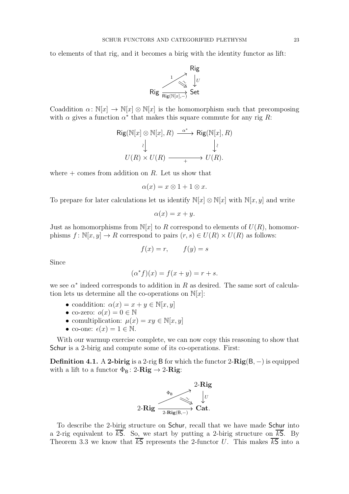to elements of that rig, and it becomes a birig with the identity functor as lift:



Coaddition  $\alpha: \mathbb{N}[x] \to \mathbb{N}[x] \otimes \mathbb{N}[x]$  is the homomorphism such that precomposing with  $\alpha$  gives a function  $\alpha^*$  that makes this square commute for any rig R:

$$
\begin{array}{ccc}\n\mathsf{Rig}(\mathbb{N}[x] \otimes \mathbb{N}[x], R) & \xrightarrow{\alpha^*} & \mathsf{Rig}(\mathbb{N}[x], R) \\
\downarrow & & \downarrow \\
U(R) \times U(R) & \xrightarrow{~~+} & U(R).\n\end{array}
$$

where  $+$  comes from addition on R. Let us show that

$$
\alpha(x) = x \otimes 1 + 1 \otimes x.
$$

To prepare for later calculations let us identify  $\mathbb{N}[x] \otimes \mathbb{N}[x]$  with  $\mathbb{N}[x, y]$  and write

$$
\alpha(x) = x + y.
$$

Just as homomorphisms from  $\mathbb{N}[x]$  to R correspond to elements of  $U(R)$ , homomorphisms  $f: \mathbb{N}[x, y] \to R$  correspond to pairs  $(r, s) \in U(R) \times U(R)$  as follows:

$$
f(x) = r, \qquad f(y) = s
$$

Since

$$
(\alpha^* f)(x) = f(x + y) = r + s.
$$

we see  $\alpha^*$  indeed corresponds to addition in R as desired. The same sort of calculation lets us determine all the co-operations on  $\mathbb{N}[x]$ :

- coaddition:  $\alpha(x) = x + y \in \mathbb{N}[x, y]$
- co-zero:  $o(x) = 0 \in \mathbb{N}$
- comultiplication:  $\mu(x) = xy \in \mathbb{N}[x, y]$
- co-one:  $\epsilon(x) = 1 \in \mathbb{N}$ .

With our warmup exercise complete, we can now copy this reasoning to show that Schur is a 2-birig and compute some of its co-operations. First:

**Definition 4.1.** A 2-birig is a 2-rig B for which the functor  $2-Rig(B, −)$  is equipped with a lift to a functor  $\Phi_{\mathsf{B}}$ : 2-**Rig**  $\rightarrow$  2-**Rig**:



To describe the 2-birig structure on Schur, recall that we have made Schur into a 2-rig equivalent to  $\overline{kS}$ . So, we start by putting a 2-birig structure on  $\overline{kS}$ . By Theorem [3.3](#page-14-1) we know that  $k\overline{s}$  represents the 2-functor U. This makes  $k\overline{s}$  into a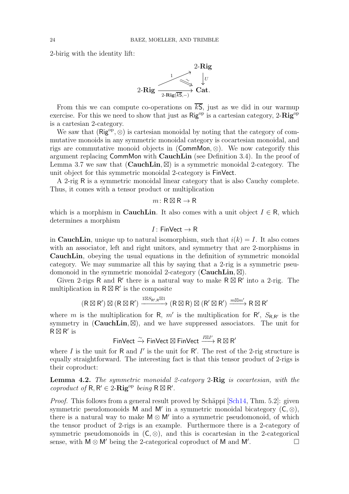<span id="page-23-0"></span>2-birig with the identity lift:



From this we can compute co-operations on  $\overline{kS}$ , just as we did in our warmup exercise. For this we need to show that just as  $\text{Rig}^{\text{op}}$  is a cartesian category, 2- $\text{Rig}^{\text{op}}$ is a cartesian 2-category.

We saw that  $(Rig^{op}, \otimes)$  is cartesian monoidal by noting that the category of commutative monoids in any symmetric monoidal category is cocartesian monoidal, and rigs are commutative monoid objects in (CommMon, ⊗). We now categorify this argument replacing CommMon with CauchLin (see Definition [3.4\)](#page-15-0). In the proof of Lemma [3.7](#page-16-0) we saw that  $(CauchLin, \boxtimes)$  is a symmetric monoidal 2-category. The unit object for this symmetric monoidal 2-category is FinVect.

A 2-rig R is a symmetric monoidal linear category that is also Cauchy complete. Thus, it comes with a tensor product or multiplication

#### $m: \mathsf{R} \boxtimes \mathsf{R} \to \mathsf{R}$

which is a morphism in **CauchLin**. It also comes with a unit object  $I \in \mathsf{R}$ , which determines a morphism

## $I:$  FinVect  $\rightarrow$  R

in **CauchLin**, unique up to natural isomorphism, such that  $i(k) = I$ . It also comes with an associator, left and right unitors, and symmetry that are 2-morphisms in CauchLin, obeying the usual equations in the definition of symmetric monoidal category. We may summarize all this by saying that a 2-rig is a symmetric pseudomonoid in the symmetric monoidal 2-category (CauchLin,  $\boxtimes$ ).

Given 2-rigs R and R' there is a natural way to make  $R \boxtimes R'$  into a 2-rig. The multiplication in  $R \boxtimes R'$  is the composite

$$
(R \boxtimes R') \boxtimes (R \boxtimes R') \xrightarrow{1 \boxtimes S_{R',R} \boxtimes 1} (R \boxtimes R) \boxtimes (R' \boxtimes R') \xrightarrow{m \boxtimes m'} R \boxtimes R'
$$

where m is the multiplication for R,  $m'$  is the multiplication for R',  $S_{R,R'}$  is the symmetry in  $(CauchLin, \mathbb{Z})$ , and we have suppressed associators. The unit for  $R \boxtimes R'$  is

FinVect  $\stackrel{\sim}{\to}$  FinVect ⊠ FinVect  $\stackrel{I\boxtimes I'}{\longrightarrow}$  R  $\boxtimes$  R'

where  $I$  is the unit for  $R$  and  $I'$  is the unit for  $R'$ . The rest of the 2-rig structure is equally straightforward. The interesting fact is that this tensor product of 2-rigs is their coproduct:

Lemma 4.2. *The symmetric monoidal 2-category* 2-Rig *is cocartesian, with the*  $\textit{coproduct of } \mathsf{R}, \mathsf{R}' \in 2\text{-}\mathbf{Rig}^{\text{op}} \textit{ being } \mathsf{R} \boxtimes \mathsf{R}'.$ 

*Proof.* This follows from a general result proved by Schäppi [\[Sch14,](#page-52-16) Thm. 5.2]: given symmetric pseudomonoids M and M' in a symmetric monoidal bicategory  $(C, \otimes)$ , there is a natural way to make  $M \otimes M'$  into a symmetric pseudomonoid, of which the tensor product of 2-rigs is an example. Furthermore there is a 2-category of symmetric pseudomonoids in  $(C, \otimes)$ , and this is cocartesian in the 2-categorical sense, with  $M \otimes M'$  being the 2-categorical coproduct of M and M'. .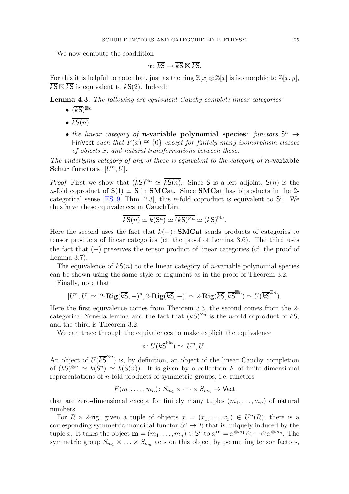<span id="page-24-0"></span>We now compute the coaddition

$$
\alpha\colon \overline{kS}\to \overline{kS}\boxtimes \overline{kS}.
$$

For this it is helpful to note that, just as the ring  $\mathbb{Z}[x]\otimes \mathbb{Z}[x]$  is isomorphic to  $\mathbb{Z}[x, y]$ ,  $\overline{kS} \boxtimes \overline{kS}$  is equivalent to  $\overline{kS(2)}$ . Indeed:

Lemma 4.3. *The following are equivalent Cauchy complete linear categories:*

- $\bullet$   $(\overline{kS})^{\boxtimes n}$
- $kS(n)$
- *the linear category of n*-variable polynomial species: functors  $S^n \rightarrow$ FinVect *such that*  $F(x) \cong \{0\}$  *except for finitely many isomorphism classes of objects* x*, and natural transformations between these.*

*The underlying category of any of these is equivalent to the category of n***-variable** Schur functors,  $[U^n, U]$ .

*Proof.* First we show that  $(\overline{kS})^{\boxtimes n} \simeq \overline{kS(n)}$ . Since S is a left adjoint,  $S(n)$  is the n-fold coproduct of  $S(1) \simeq S$  in **SMCat**. Since **SMCat** has biproducts in the 2-categorical sense [\[FS19,](#page-52-17) Thm. 2.3], this *n*-fold coproduct is equivalent to  $S<sup>n</sup>$ . We thus have these equivalences in CauchLin:

$$
\overline{k\mathsf{S}(n)} \simeq \overline{k(\mathsf{S}^n)} \simeq \overline{(k\mathsf{S})^{\boxtimes n}} \simeq (\overline{k\mathsf{S}})^{\boxtimes n}.
$$

Here the second uses the fact that  $k(-)$ : **SMCat** sends products of categories to tensor products of linear categories (cf. the proof of Lemma [3.6\)](#page-15-1). The third uses the fact that  $\overline{(-)}$  preserves the tensor product of linear categories (cf. the proof of Lemma [3.7\)](#page-16-0).

The equivalence of  $\overline{kS(n)}$  to the linear category of *n*-variable polynomial species can be shown using the same style of argument as in the proof of Theorem [3.2.](#page-14-0)

Finally, note that

$$
[U^n, U] \simeq [2-\mathbf{Rig}(\overline{kS}, -)^n, 2-\mathbf{Rig}(\overline{kS}, -)] \simeq 2-\mathbf{Rig}(\overline{kS}, \overline{kS}^{\boxtimes n}) \simeq U(\overline{kS}^{\boxtimes n}).
$$

Here the first equivalence comes from Theorem [3.3,](#page-14-1) the second comes from the 2 categorical Yoneda lemma and the fact that  $(\overline{kS})^{\boxtimes n}$  is the *n*-fold coproduct of  $\overline{kS}$ , and the third is Theorem [3.2.](#page-14-0)

We can trace through the equivalences to make explicit the equivalence

$$
\phi\colon U(\overline{kS}^{\boxtimes n})\simeq [U^n,U].
$$

An object of  $U(\overline{kS}^{\boxtimes n})$  is, by definition, an object of the linear Cauchy completion of  $(kS)^{\otimes n} \simeq k(S^n) \simeq k(S(n))$ . It is given by a collection F of finite-dimensional representations of  $n$ -fold products of symmetric groups, i.e. functors

$$
F(m_1,\ldots,m_n)\colon S_{m_1}\times\cdots\times S_{m_n}\to\mathsf{Vect}
$$

that are zero-dimensional except for finitely many tuples  $(m_1, \ldots, m_n)$  of natural numbers.

For R a 2-rig, given a tuple of objects  $x = (x_1, \ldots, x_n) \in U^n(R)$ , there is a corresponding symmetric monoidal functor  $S^n \to R$  that is uniquely induced by the tuple x. It takes the object  $\mathbf{m} = (m_1, \ldots, m_n) \in \mathbb{S}^n$  to  $x^{\mathbf{m}} = x^{\otimes m_1} \otimes \cdots \otimes x^{\otimes m_n}$ . The symmetric group  $S_{m_1} \times \ldots \times S_{m_n}$  acts on this object by permuting tensor factors,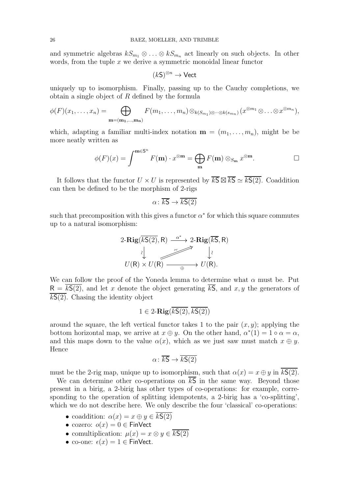and symmetric algebras  $kS_{m_1} \otimes \ldots \otimes kS_{m_n}$  act linearly on such objects. In other words, from the tuple  $x$  we derive a symmetric monoidal linear functor

$$
(k\mathsf{S})^{\otimes n}\to\mathsf{Vect}
$$

uniquely up to isomorphism. Finally, passing up to the Cauchy completions, we obtain a single object of  $R$  defined by the formula

$$
\phi(F)(x_1,\ldots,x_n)=\bigoplus_{\mathbf{m}=(\mathbf{m}_1,\ldots,\mathbf{m}_n)}F(m_1,\ldots,m_n)\otimes_{k(S_{m_1})\otimes\cdots\otimes k(s_{m_n})}(x^{\otimes m_1}\otimes\ldots\otimes x^{\otimes m_n}),
$$

which, adapting a familiar multi-index notation  $\mathbf{m} = (m_1, \ldots, m_n)$ , might be be more neatly written as

$$
\phi(F)(x) = \int^{\mathbf{m} \in \mathbf{S}^n} F(\mathbf{m}) \cdot x^{\otimes \mathbf{m}} = \bigoplus_{\mathbf{m}} F(\mathbf{m}) \otimes_{S_{\mathbf{m}}} x^{\otimes \mathbf{m}}.
$$

It follows that the functor  $U \times U$  is represented by  $\overline{kS} \boxtimes \overline{kS} \simeq \overline{kS(2)}$ . Coaddition can then be defined to be the morphism of 2-rigs

$$
\alpha \colon \overline{kS} \to \overline{kS(2)}
$$

such that precomposition with this gives a functor  $\alpha^*$  for which this square commutes up to a natural isomorphism:

$$
2-\text{Rig}(\overline{kS(2)}, R) \xrightarrow{\alpha^*} 2-\text{Rig}(\overline{kS}, R)
$$
  
\n
$$
\downarrow \qquad \qquad \downarrow \qquad \qquad \downarrow
$$
  
\n
$$
U(R) \times U(R) \xrightarrow{\alpha^*} U(R).
$$

We can follow the proof of the Yoneda lemma to determine what  $\alpha$  must be. Put  $R = kS(2)$ , and let x denote the object generating  $\overline{kS}$ , and x, y the generators of  $kS(2)$ . Chasing the identity object

$$
1\in 2\text{-}\mathbf{Rig}(\overline{k\mathsf{S}(2)},\overline{k\mathsf{S}(2)})
$$

around the square, the left vertical functor takes 1 to the pair  $(x, y)$ ; applying the bottom horizontal map, we arrive at  $x \oplus y$ . On the other hand,  $\alpha^*(1) = 1 \circ \alpha = \alpha$ , and this maps down to the value  $\alpha(x)$ , which as we just saw must match  $x \oplus y$ . Hence

$$
\alpha \colon \overline{kS} \to \overline{kS(2)}
$$

must be the 2-rig map, unique up to isomorphism, such that  $\alpha(x) = x \oplus y$  in kS(2).

We can determine other co-operations on  $\overline{kS}$  in the same way. Beyond those present in a birig, a 2-birig has other types of co-operations: for example, corresponding to the operation of splitting idempotents, a 2-birig has a 'co-splitting', which we do not describe here. We only describe the four 'classical' co-operations:

- coaddition:  $\alpha(x) = x \oplus y \in \overline{kS(2)}$
- cozero:  $o(x) = 0 \in$  FinVect
- comultiplication:  $\mu(x) = x \otimes y \in k\mathsf{S}(2)$
- co-one:  $\epsilon(x) = 1 \in$  FinVect.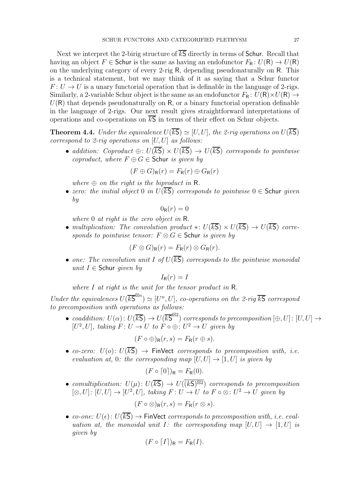Next we interpret the 2-birig structure of  $\overline{kS}$  directly in terms of Schur. Recall that having an object  $F \in$  Schur is the same as having an endofunctor  $F_R: U(R) \to U(R)$ on the underlying category of every 2-rig R, depending pseudonaturally on R. This is a technical statement, but we may think of it as saying that a Schur functor  $F: U \to U$  is a unary functorial operation that is definable in the language of 2-rigs. Similarly, a 2-variable Schur object is the same as an endofunctor  $F_R: U(R) \times U(R) \rightarrow$  $U(R)$  that depends pseudonaturally on R, or a binary functorial operation definable in the language of 2-rigs. Our next result gives straightforward interpretations of operations and co-operations on  $\overline{kS}$  in terms of their effect on Schur objects.

<span id="page-26-0"></span>**Theorem 4.4.** *Under the equivalence*  $U(\overline{kS}) \simeq [U, U]$ *, the 2-rig operations on*  $U(\overline{kS})$ *correspond to 2-rig operations on* [U, U] *as follows:*

• *addition:* Coproduct  $\bigoplus$ :  $U(\overline{kS}) \times U(\overline{kS}) \rightarrow U(\overline{kS})$  corresponds to pointwise *coproduct, where*  $F \oplus G \in$  Schur *is given by* 

$$
(F \oplus G)_{\mathsf{R}}(r) = F_{\mathsf{R}}(r) \oplus G_{\mathsf{R}}(r)
$$

*where*  $\oplus$  *on the right is the biproduct in* R.

• *zero: the initial object* 0 *in*  $U(\overline{kS})$  *corresponds to pointwise*  $0 \in$  Schur *given by*

$$
0_{\mathsf{R}}(r)=0
$$

*where* 0 *at right is the zero object in* R*.*

• *multiplication:* The convolution product  $\ast: U(\overline{kS}) \times U(\overline{kS}) \rightarrow U(\overline{kS})$  corre*sponds to pointwise tensor:*  $F \otimes G \in$  Schur *is given by* 

$$
(F \otimes G)_{\mathsf{R}}(r) = F_{\mathsf{R}}(r) \otimes G_{\mathsf{R}}(r).
$$

• *one: The convolution unit* I *of*  $U(\overline{kS})$  *corresponds to the pointwise monoidal unit* I ∈ Schur *given by*

$$
I_{\mathsf{R}}(r) = I
$$

*where* I *at right is the unit for the tensor product in* R*.*

*Under the equivalences*  $U(\overline{kS}^{\boxtimes n}) \simeq [U^n, U]$ , co-operations on the 2-rig  $\overline{kS}$  correspond *to precomposition with operations as follows:*

• *coaddition:*  $U(\alpha): U(\overline{kS}) \to U(\overline{kS}^{\boxtimes 2})$  *corresponds to precomposition*  $[\oplus, U]: [U, U] \to$  $[U^2, U]$ , taking  $F: U \to U$  to  $F \circ \bigoplus : U^2 \to U$  given by

$$
(F \circ \oplus)_{\mathsf{R}}(r,s) = F_{\mathsf{R}}(r \oplus s).
$$

• *co-zero:*  $U(o)$ :  $U(\overline{kS}) \rightarrow$  FinVect *corresponds to precomposition with, i.e. evaluation at,* 0*: the corresponding map*  $[U, U] \rightarrow [1, U]$  *is given by* 

$$
(F \circ [0])_{\mathsf{R}} = F_{\mathsf{R}}(0).
$$

• *comultiplication:*  $U(\mu): U(\overline{kS}) \to U((kS)^{\boxtimes 2})$  *corresponds to precomposition*  $[\otimes, U]: [U, U] \to [U^2, U],$  taking  $F: U \to U$  to  $F \circ \otimes : U^2 \to U$  given by

$$
(F\circ \otimes)_{\mathsf{R}}(r,s)=F_{\mathsf{R}}(r\otimes s).
$$

• *co-one:*  $U(\epsilon): U(\overline{kS}) \to \text{FinVect}$  *corresponds to precomposition with, i.e. evaluation at, the monoidal unit* I: the corresponding map  $[U, U] \rightarrow [1, U]$  is *given by*

$$
(F \circ [I])_{\mathsf{R}} = F_{\mathsf{R}}(I).
$$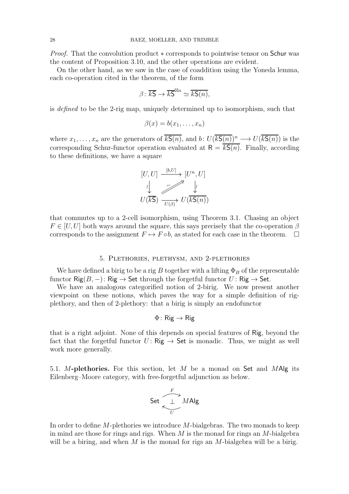*Proof.* That the convolution product  $∗$  corresponds to pointwise tensor on Schur was the content of Proposition [3.10,](#page-20-2) and the other operations are evident.

On the other hand, as we saw in the case of coaddition using the Yoneda lemma, each co-operation cited in the theorem, of the form

$$
\beta \colon \overline{kS} \to \overline{kS}^{\boxtimes n} \simeq \overline{kS(n)},
$$

is *defined* to be the 2-rig map, uniquely determined up to isomorphism, such that

$$
\beta(x) = b(x_1, \ldots, x_n)
$$

where  $x_1, \ldots, x_n$  are the generators of  $\overline{kS(n)}$ , and  $b: U(\overline{kS(n)})^n \longrightarrow U(\overline{kS(n)})$  is the corresponding Schur-functor operation evaluated at  $R = \overline{kS(n)}$ . Finally, according to these definitions, we have a square

$$
[U, U] \xrightarrow{[b, U]} [U^n, U]
$$
  

$$
\downarrow \qquad \qquad [U^n, U]
$$
  

$$
U(\overline{kS}) \xrightarrow{U(\beta)} U(\overline{kS(n)})
$$

that commutes up to a 2-cell isomorphism, using Theorem [3.1.](#page-13-1) Chasing an object  $F \in [U, U]$  both ways around the square, this says precisely that the co-operation  $\beta$ corresponds to the assignment  $F \mapsto F \circ b$ , as stated for each case in the theorem.  $\Box$ 

### 5. Plethories, plethysm, and 2-plethories

<span id="page-27-0"></span>We have defined a birig to be a rig B together with a lifting  $\Phi_B$  of the representable functor  $\text{Rig}(B, -)$ :  $\text{Rig} \rightarrow \text{Set}$  through the forgetful functor  $U$ :  $\text{Rig} \rightarrow \text{Set}$ .

We have an analogous categorified notion of 2-birig. We now present another viewpoint on these notions, which paves the way for a simple definition of rigplethory, and then of 2-plethory: that a birig is simply an endofunctor

# $\Phi$ : Rig  $\rightarrow$  Rig

that is a right adjoint. None of this depends on special features of Rig, beyond the fact that the forgetful functor  $U: \mathsf{Rig} \to \mathsf{Set}$  is monadic. Thus, we might as well work more generally.

5.1. M-plethories. For this section, let M be a monad on Set and MAlg its Eilenberg–Moore category, with free-forgetful adjunction as below.



In order to define  $M$ -plethories we introduce  $M$ -bialgebras. The two monads to keep in mind are those for rings and rigs. When  $M$  is the monad for rings an  $M$ -bialgebra will be a biring, and when  $M$  is the monad for rigs an  $M$ -bialgebra will be a birig.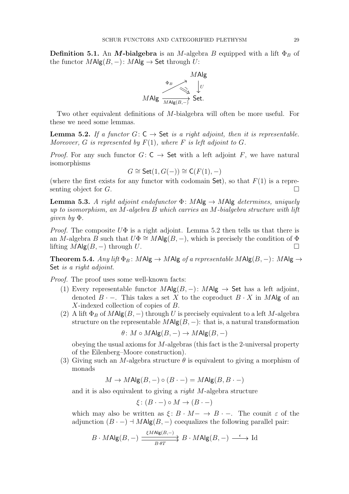**Definition 5.1.** An M-bialgebra is an M-algebra B equipped with a lift  $\Phi_B$  of the functor  $M\mathsf{Alg}(B, -)$ :  $M\mathsf{Alg} \to \mathsf{Set}$  through U:



<span id="page-28-0"></span>Two other equivalent definitions of M-bialgebra will often be more useful. For these we need some lemmas.

**Lemma 5.2.** *If a functor*  $G: C \rightarrow$  Set *is a right adjoint, then it is representable. Moreover,* G *is represented by*  $F(1)$ *, where* F *is left adjoint to G.* 

*Proof.* For any such functor  $G: C \rightarrow$  Set with a left adjoint F, we have natural isomorphisms

$$
G \cong \mathsf{Set}(1, G(-)) \cong \mathsf{C}(F(1), -)
$$

(where the first exists for any functor with codomain  $Set$ ), so that  $F(1)$  is a representing object for  $G$ .

<span id="page-28-2"></span>**Lemma 5.3.** A right adjoint endofunctor  $\Phi$ : MAlg  $\rightarrow$  MAlg determines, uniquely *up to isomorphism, an* M*-algebra* B *which carries an* M*-bialgebra structure with lift given by* Φ*.*

*Proof.* The composite  $U\Phi$  is a right adjoint. Lemma [5.2](#page-28-0) then tells us that there is an M-algebra B such that  $U\Phi \cong M\text{Alg}(B, -)$ , which is precisely the condition of  $\Phi$ lifting  $M\text{Alg}(B, -)$  through U.

<span id="page-28-1"></span>Theorem 5.4. *Any lift*  $\Phi_B$ : *MAlg*  $\rightarrow$  *MAlg of a representable*  $M$ Alg $(B, -)$ :  $M$ Alg  $\rightarrow$ Set *is a right adjoint.*

*Proof.* The proof uses some well-known facts:

- (1) Every representable functor  $M\mathsf{Alg}(B, -)$ :  $M\mathsf{Alg} \to \mathsf{Set}$  has a left adjoint, denoted  $B \cdot -$ . This takes a set X to the coproduct  $B \cdot X$  in MAlg of an X-indexed collection of copies of B.
- (2) A lift  $\Phi_B$  of  $M$ Alg $(B, -)$  through U is precisely equivalent to a left M-algebra structure on the representable  $M\mathsf{Alg}(B, -)$ : that is, a natural transformation

$$
\theta \colon M \circ M\mathsf{Alg}(B, -) \to M\mathsf{Alg}(B, -)
$$

obeying the usual axioms for M-algebras (this fact is the 2-universal property of the Eilenberg–Moore construction).

(3) Giving such an M-algebra structure  $\theta$  is equivalent to giving a morphism of monads

 $M \to M$ Alg $(B, -) \circ (B \cdot -) = M$ Alg $(B, B \cdot -)$ 

and it is also equivalent to giving a *right* M-algebra structure

 $\xi$  :  $(B - ) \circ M \to (B - )$ 

which may also be written as  $\xi: B \cdot M \rightarrow B \cdot -$ . The counit  $\varepsilon$  of the adjunction  $(B \cdot -) \dashv M\text{Alg}(B, -)$  coequalizes the following parallel pair:

$$
B \cdot M\text{Alg}(B, -) \xrightarrow{ \xi M\text{Alg}(B, -) } B \cdot M\text{Alg}(B, -) \xrightarrow{\epsilon} \text{Id}
$$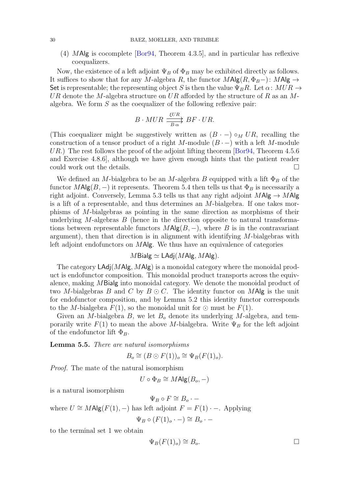(4) MAlg is cocomplete [\[Bor94,](#page-52-11) Theorem 4.3.5], and in particular has reflexive coequalizers.

Now, the existence of a left adjoint  $\Psi_B$  of  $\Phi_B$  may be exhibited directly as follows. It suffices to show that for any M-algebra R, the functor  $MAlg(R, \Phi_B-)$ :  $MAlg \rightarrow$ Set is representable; the representing object S is then the value  $\Psi_B R$ . Let  $\alpha: MUR \rightarrow$ UR denote the M-algebra structure on UR afforded by the structure of R as an Malgebra. We form  $S$  as the coequalizer of the following reflexive pair:

$$
B \cdot MUR \xrightarrow{ \xi UR \atop B \cdot \alpha} BF \cdot UR.
$$

(This coequalizer might be suggestively written as  $(B - ) \circ_M U R$ , recalling the construction of a tensor product of a right M-module  $(B - )$  with a left M-module UR.) The rest follows the proof of the adjoint lifting theorem [\[Bor94,](#page-52-11) Theorem 4.5.6] and Exercise 4.8.6], although we have given enough hints that the patient reader could work out the details.

We defined an M-bialgebra to be an M-algebra B equipped with a lift  $\Phi_B$  of the functor  $M\text{Alg}(B, -)$  it represents. Theorem [5.4](#page-28-1) then tells us that  $\Phi_B$  is necessarily a right adjoint. Conversely, Lemma [5.3](#page-28-2) tells us that any right adjoint  $M$ Alg  $\rightarrow$  MAlg is a lift of a representable, and thus determines an  $M$ -bialgebra. If one takes morphisms of M-bialgebras as pointing in the same direction as morphisms of their underlying M-algebras  $B$  (hence in the direction opposite to natural transformations between representable functors  $M\mathsf{Alg}(B, -)$ , where B is in the contravariant argument), then that direction is in alignment with identifying  $M$ -bialgebras with left adjoint endofunctors on  $M$ Alg. We thus have an equivalence of categories

$$
M\text{Bialg} \simeq \text{LAdj}(M\text{Alg}, M\text{Alg}).
$$

The category  $\textsf{LAdj}(M\textsf{Alg}, M\textsf{Alg})$  is a monoidal category where the monoidal product is endofunctor composition. This monoidal product transports across the equivalence, making MBialg into monoidal category. We denote the monoidal product of two M-bialgebras B and C by  $B \odot C$ . The identity functor on MAlg is the unit for endofunctor composition, and by Lemma [5.2](#page-28-0) this identity functor corresponds to the M-bialgebra  $F(1)$ , so the monoidal unit for  $\odot$  must be  $F(1)$ .

Given an M-bialgebra  $B$ , we let  $B<sub>o</sub>$  denote its underlying M-algebra, and temporarily write  $F(1)$  to mean the above M-bialgebra. Write  $\Psi_B$  for the left adjoint of the endofunctor lift  $\Phi_B$ .

Lemma 5.5. *There are natural isomorphisms*

$$
B_o \cong (B \odot F(1))_o \cong \Psi_B(F(1)_o).
$$

*Proof.* The mate of the natural isomorphism

 $U \circ \Phi_B \cong M\mathsf{Alg}(B_o, -)$ 

is a natural isomorphism

 $\Psi_B \circ F \cong B_o \cdot -$ 

where  $U \cong M\text{Alg}(F(1), -)$  has left adjoint  $F = F(1) \cdot -$ . Applying

$$
\Psi_B \circ (F(1)_o \cdot -) \cong B_o \cdot -
$$

to the terminal set 1 we obtain

$$
\Psi_B(F(1)_o) \cong B_o. \qquad \qquad \Box
$$

<span id="page-29-0"></span>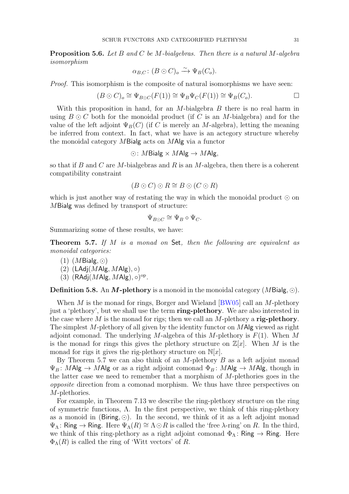<span id="page-30-1"></span>Proposition 5.6. *Let* B *and* C *be* M*-bialgebras. Then there is a natural* M*-algebra isomorphism*

$$
\alpha_{B,C} \colon (B \odot C)_o \xrightarrow{\sim} \Psi_B(C_o).
$$

*Proof.* This isomorphism is the composite of natural isomorphisms we have seen:

$$
(B \odot C)_o \cong \Psi_{B \odot C}(F(1)) \cong \Psi_B \Psi_C(F(1)) \cong \Psi_B(C_o).
$$

With this proposition in hand, for an  $M$ -bialgebra  $B$  there is no real harm in using  $B \odot C$  both for the monoidal product (if C is an M-bialgebra) and for the value of the left adjoint  $\Psi_B(C)$  (if C is merely an M-algebra), letting the meaning be inferred from context. In fact, what we have is an actegory structure whereby the monoidal category MBialg acts on MAlg via a functor

$$
\odot: M \mathsf{Bialg} \times M \mathsf{Alg} \to M \mathsf{Alg},
$$

so that if B and C are M-bialgebras and R is an M-algebra, then there is a coherent compatibility constraint

$$
(B \odot C) \odot R \cong B \odot (C \odot R)
$$

which is just another way of restating the way in which the monoidal product  $\odot$  on MBialg was defined by transport of structure:

$$
\Psi_{B\odot C} \cong \Psi_B \circ \Psi_C.
$$

<span id="page-30-0"></span>Summarizing some of these results, we have:

Theorem 5.7. *If* M *is a monad on* Set*, then the following are equivalent as monoidal categories:*

(1)  $(MBialg, \odot)$ 

$$
(2) \, (LAdj(MAlg, MAlg), \circ)
$$

 $(3)$   $(RAdj(MAlg, MAlg), \circ)^{op}.$ 

**Definition 5.8.** An M-plethory is a monoid in the monoidal category (MBialg,  $\odot$ ).

When M is the monad for rings, Borger and Wieland  $[BW05]$  call an M-plethory just a 'plethory', but we shall use the term ring-plethory. We are also interested in the case where M is the monad for rigs; then we call an M-plethory a rig-plethory. The simplest M-plethory of all given by the identity functor on MAlg viewed as right adjoint comonad. The underlying M-algebra of this M-plethory is  $F(1)$ . When M is the monad for rings this gives the plethory structure on  $\mathbb{Z}[x]$ . When M is the monad for rigs it gives the rig-plethory structure on  $\mathbb{N}[x]$ .

By Theorem [5.7](#page-30-0) we can also think of an  $M$ -plethory  $B$  as a left adjoint monad  $\Psi_B: M\text{Alg} \to M\text{Alg}$  or as a right adjoint comonad  $\Phi_B: M\text{Alg} \to M\text{Alg}$ , though in the latter case we need to remember that a morphism of  $M$ -plethories goes in the *opposite* direction from a comonad morphism. We thus have three perspectives on M-plethories.

For example, in Theorem [7.13](#page-51-0) we describe the ring-plethory structure on the ring of symmetric functions,  $\Lambda$ . In the first perspective, we think of this ring-plethory as a monoid in (Biring,  $\odot$ ). In the second, we think of it as a left adjoint monad  $\Psi_{\Lambda}$ : Ring → Ring. Here  $\Psi_{\Lambda}(R) \cong \Lambda \odot R$  is called the 'free  $\lambda$ -ring' on R. In the third, we think of this ring-plethory as a right adjoint comonad  $\Phi_{\Lambda}$ : Ring  $\rightarrow$  Ring. Here  $\Phi_{\Lambda}(R)$  is called the ring of 'Witt vectors' of R.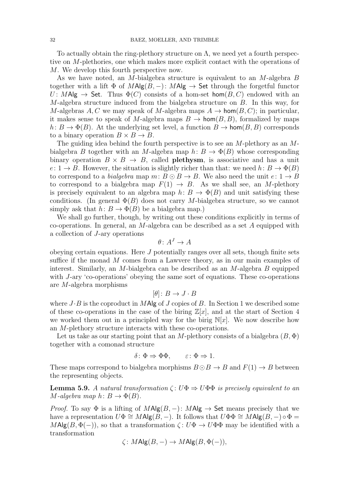To actually obtain the ring-plethory structure on  $\Lambda$ , we need yet a fourth perspective on M-plethories, one which makes more explicit contact with the operations of M. We develop this fourth perspective now.

As we have noted, an M-bialgebra structure is equivalent to an M-algebra B together with a lift  $\Phi$  of  $MAlg(B, -)$ :  $MAlg \to$  Set through the forgetful functor  $U: M\text{Alg} \to \text{Set}$ . Thus  $\Phi(C)$  consists of a hom-set hom $(B, C)$  endowed with an M-algebra structure induced from the bialgebra structure on  $B$ . In this way, for M-algebras A, C we may speak of M-algebra maps  $A \to \text{hom}(B, C)$ ; in particular, it makes sense to speak of M-algebra maps  $B \to \text{hom}(B, B)$ , formalized by maps  $h: B \to \Phi(B)$ . At the underlying set level, a function  $B \to \text{hom}(B, B)$  corresponds to a binary operation  $B \times B \to B$ .

The guiding idea behind the fourth perspective is to see an  $M$ -plethory as an  $M$ bialgebra B together with an M-algebra map  $h: B \to \Phi(B)$  whose corresponding binary operation  $B \times B \to B$ , called **plethysm**, is associative and has a unit  $e: 1 \to B$ . However, the situation is slightly richer than that: we need  $h: B \to \Phi(B)$ to correspond to a *bialgebra* map  $m: B \odot B \rightarrow B$ . We also need the unit  $e: 1 \rightarrow B$ to correspond to a bialgebra map  $F(1) \rightarrow B$ . As we shall see, an M-plethory is precisely equivalent to an algebra map  $h: B \to \Phi(B)$  and unit satisfying these conditions. (In general  $\Phi(B)$  does not carry M-bialgebra structure, so we cannot simply ask that  $h: B \to \Phi(B)$  be a bialgebra map.)

We shall go further, though, by writing out these conditions explicitly in terms of co-operations. In general, an M-algebra can be described as a set A equipped with a collection of J-ary operations

$$
\theta \colon A^J \to A
$$

obeying certain equations. Here  $J$  potentially ranges over all sets, though finite sets suffice if the monad M comes from a Lawvere theory, as in our main examples of interest. Similarly, an  $M$ -bialgebra can be described as an  $M$ -algebra  $B$  equipped with *J*-ary 'co-operations' obeying the same sort of equations. These co-operations are M-algebra morphisms

$$
[\theta] \colon B \to J \cdot B
$$

where  $J \cdot B$  is the coproduct in MAlg of J copies of B. In Section [1](#page-0-0) we described some of these co-operations in the case of the biring  $\mathbb{Z}[x]$ , and at the start of Section [4](#page-20-0) we worked them out in a principled way for the birig  $\mathbb{N}[x]$ . We now describe how an M-plethory structure interacts with these co-operations.

Let us take as our starting point that an M-plethory consists of a bialgebra  $(B, \Phi)$ together with a comonad structure

$$
\delta: \Phi \Rightarrow \Phi \Phi, \qquad \varepsilon: \Phi \Rightarrow 1.
$$

<span id="page-31-0"></span>These maps correspond to bialgebra morphisms  $B \odot B \rightarrow B$  and  $F(1) \rightarrow B$  between the representing objects.

**Lemma 5.9.** *A natural transformation*  $\zeta: U\Phi \Rightarrow U\Phi \Phi$  *is precisely equivalent to an*  $M$ *-algebra map*  $h: B \to \Phi(B)$ .

*Proof.* To say  $\Phi$  is a lifting of  $MAlg(B, -)$ :  $MAlg \to Set$  means precisely that we have a representation  $U\Phi \cong M\text{Alg}(B, -)$ . It follows that  $U\Phi \Phi \cong M\text{Alg}(B, -) \circ \Phi =$  $M\text{Alg}(B, \Phi(-))$ , so that a transformation  $\zeta: U\Phi \to U\Phi\Phi$  may be identified with a transformation

$$
\zeta: M\mathrm{Alg}(B, -) \to M\mathrm{Alg}(B, \Phi(-)),
$$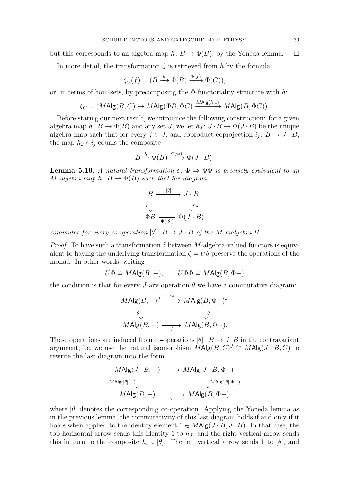but this corresponds to an algebra map  $h: B \to \Phi(B)$ , by the Yoneda lemma.  $\square$ 

In more detail, the transformation  $\zeta$  is retrieved from h by the formula

$$
\zeta_C(f) = (B \xrightarrow{h} \Phi(B) \xrightarrow{\Phi(f)} \Phi(C)),
$$

or, in terms of hom-sets, by precomposing the  $\Phi$ -functoriality structure with h:

$$
\zeta_C = (M\mathrm{Alg}(B,C) \to M\mathrm{Alg}(\Phi B, \Phi C) \xrightarrow{M\mathrm{Alg}(h,1)} M\mathrm{Alg}(B, \Phi C)).
$$

Before stating our next result, we introduce the following construction: for a given algebra map  $h: B \to \Phi(B)$  and any set J, we let  $h_J: J \cdot B \to \Phi(J \cdot B)$  be the unique algebra map such that for every  $j \in J$ , and coproduct coprojection  $i_j : B \to J \cdot B$ , the map  $h_J \circ i_j$  equals the composite

$$
B \xrightarrow{h} \Phi(B) \xrightarrow{\Phi(i_j)} \Phi(J \cdot B).
$$

<span id="page-32-0"></span>**Lemma 5.10.** *A natural transformation*  $\delta$ :  $\Phi \Rightarrow \Phi \Phi$  *is precisely equivalent to an*  $M$ -algebra map  $h: B \to \Phi(B)$  such that the diagram

$$
B \xrightarrow{\lbrack \theta \rbrack} J \cdot B
$$

$$
h \downarrow \qquad \qquad \downarrow h_J
$$

$$
\Phi B \xrightarrow{\Phi(\lbrack \theta \rbrack)} \Phi(J \cdot B)
$$

*commutes for every co-operation*  $[\theta]: B \to J \cdot B$  *of the M*-bialgebra *B*.

*Proof.* To have such a transformation  $\delta$  between M-algebra-valued functors is equivalent to having the underlying transformation  $\zeta = U\delta$  preserve the operations of the monad. In other words, writing

$$
U\Phi \cong M\text{Alg}(B, -), \qquad U\Phi \Phi \cong M\text{Alg}(B, \Phi -)
$$

the condition is that for every J-ary operation  $\theta$  we have a commutative diagram:

$$
MAlg(B, -)^{J} \xrightarrow{\zeta^{J}} MAlg(B, \Phi -)^{J}
$$

$$
\downarrow^{\theta} \qquad \qquad \downarrow^{\theta}
$$

$$
MAlg(B, -) \xrightarrow{\zeta} MAlg(B, \Phi -).
$$

These operations are induced from co-operations  $[\theta]: B \to J \cdot B$  in the contravariant argument, i.e. we use the natural isomorphism  $\overline{M}$ Alg $(B, C)^J \cong M$ Alg $(J \cdot B, C)$  to rewrite the last diagram into the form

$$
MAlg(J \cdot B, -) \longrightarrow MAlg(J \cdot B, \Phi-)
$$
  

$$
MAlg([\theta], -)
$$
  

$$
MAlg(B, -) \longrightarrow MAlg(B, \Phi-)
$$

where  $[\theta]$  denotes the corresponding co-operation. Applying the Yoneda lemma as in the previous lemma, the commutativity of this last diagram holds if and only if it holds when applied to the identity element  $1 \in M\mathsf{Alg}(J \cdot B, J \cdot B)$ . In that case, the top horizontal arrow sends this identity 1 to  $h<sub>J</sub>$ , and the right vertical arrow sends this in turn to the composite  $h_J \circ [\theta]$ . The left vertical arrow sends 1 to  $[\theta]$ , and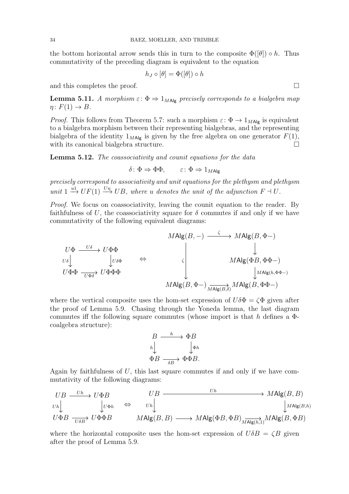the bottom horizontal arrow sends this in turn to the composite  $\Phi(|\theta|) \circ h$ . Thus commutativity of the preceding diagram is equivalent to the equation

$$
h_J\circ[\theta]=\Phi([\theta])\circ h
$$

<span id="page-33-0"></span>and this completes the proof.  $\Box$ 

**Lemma 5.11.** *A morphism*  $\varepsilon$ :  $\Phi \Rightarrow 1_{\text{MAlg}}$  *precisely corresponds to a bialgebra map*  $\eta: F(1) \to B$ .

*Proof.* This follows from Theorem [5.7:](#page-30-0) such a morphism  $\varepsilon: \Phi \to 1_{M\text{Alg}}$  is equivalent to a bialgebra morphism between their representing bialgebras, and the representing bialgebra of the identity  $1_{M\text{Alg}}$  is given by the free algebra on one generator  $F(1)$ , with its canonical bialgebra structure.

<span id="page-33-1"></span>Lemma 5.12. *The coassociativity and counit equations for the data*

$$
\delta: \Phi \Rightarrow \Phi \Phi, \qquad \varepsilon: \Phi \Rightarrow 1_{M \text{Alg}}
$$

*precisely correspond to associativity and unit equations for the plethysm and plethysm unit*  $1 \xrightarrow{u_1} UF(1) \xrightarrow{U_n} UB$ , where *u denotes the unit of the adjunction*  $F \dashv U$ .

*Proof.* We focus on coassociativity, leaving the counit equation to the reader. By faithfulness of U, the coassociativity square for  $\delta$  commutes if and only if we have commutativity of the following equivalent diagrams:

$$
MAlg(B,-) \xrightarrow{\qquad \zeta \qquad} MAlg(B,\Phi-)
$$
\n
$$
U\Phi \xrightarrow{\qquad \qquad U\Phi\Phi} U\Phi\Phi \xrightarrow{\qquad \qquad \zeta \qquad} U\Phi\Phi \xrightarrow{\qquad \qquad \zeta \qquad} MAlg(\Phi B, \Phi\Phi-)
$$
\n
$$
U\Phi\Phi \xrightarrow{\qquad \qquad U\Phi\Phi\Phi} U\Phi\Phi\Phi
$$
\n
$$
MAlg(B,\Phi-) \xrightarrow{\qquad \qquad MAlg(B,\Phi\Phi-)
$$
\n
$$
MAlg(B,\Phi-) \xrightarrow{\qquad \qquad MAlg(B,\Phi\Phi-)
$$

where the vertical composite uses the hom-set expression of  $U\delta\Phi = \zeta\Phi$  given after the proof of Lemma [5.9.](#page-31-0) Chasing through the Yoneda lemma, the last diagram commutes iff the following square commutes (whose import is that h defines a  $\Phi$ coalgebra structure):

$$
B \xrightarrow{h} \Phi B
$$
  
\n
$$
h \downarrow \qquad \qquad \downarrow \Phi h
$$
  
\n
$$
\Phi B \xrightarrow{\delta B} \Phi B.
$$

Again by faithfulness of  $U$ , this last square commutes if and only if we have commutativity of the following diagrams:

$$
\begin{array}{ccc}\nUB & \xrightarrow{Uh} & U\Phi B & \xrightarrow{UB} & \xrightarrow{Uh} & MAlg(B, B) \\
w_h \downarrow & \downarrow v\Phi h & \Leftrightarrow & v_h \downarrow & \downarrow \\
U\Phi B & \xrightarrow{U\Phi B} & MAlg(B, B) & \xrightarrow{MAlg(B, B)} & MAlg(B, B) & \rightarrow MAlg(B, B) \\
& \xrightarrow{V\Phi B} & MAlg(B, B) & \xrightarrow{MAlg(B, B)} & MAlg(B, B) & \rightarrow MAlg(B, \Phi B) \\
& \xrightarrow{V\Phi B} & \xrightarrow{V\Phi B} & \xrightarrow{MAlg(B, B)} & \xrightarrow{MAlg(B, B)} & \xrightarrow{MAlg(B, B)} & \xrightarrow{MAlg(B, B)} & \xrightarrow{MAlg(B, B)} & \xrightarrow{MAlg(B, B)} & \xrightarrow{MAlg(B, B)} & \xrightarrow{MAlg(B, B)} & \xrightarrow{MAlg(B, B)} & \xrightarrow{MAlg(B, B)} & \xrightarrow{MAlg(B, B)} & \xrightarrow{MAlg(B, B)} & \xrightarrow{MAlg(B, B)} & \xrightarrow{MAlg(B, B)} & \xrightarrow{MAlg(B, B)} & \xrightarrow{MAlg(B, B)} & \xrightarrow{MAlg(B, B)} & \xrightarrow{MAlg(B, B)} & \xrightarrow{MAlg(B, B)} & \xrightarrow{MAlg(B, B)} & \xrightarrow{MAlg(B, B)} & \xrightarrow{MAlg(B, B)} & \xrightarrow{MAlg(B, B)} & \xrightarrow{MAlg(B, B)} & \xrightarrow{MAlg(B, B)} & \xrightarrow{MAlg(B, B)} & \xrightarrow{MAlg(B, B)} & \xrightarrow{MAlg(B, B)} & \xrightarrow{MAlg(B, B)} & \xrightarrow{MAlg(B, B)} & \xrightarrow{MAlg(B, B)} & \xrightarrow{MAlg(B, B)} & \xrightarrow{MAlg(B, B)} & \xrightarrow{MAlg(B, B)} & \xrightarrow{MAlg(B, B)} & \xrightarrow{MAlg(B, B)} & \xrightarrow{MAlg(B, B)} & \xrightarrow{MAlg(B, B)} & \xrightarrow{MAlg(B, B)} & \xrightarrow{MAlg(B, B)} & \xrightarrow{MAlg(B,
$$

where the horizontal composite uses the hom-set expression of  $U\delta B = \zeta B$  given after the proof of Lemma [5.9.](#page-31-0)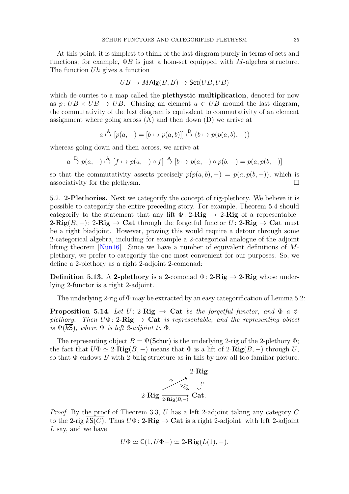<span id="page-34-1"></span>At this point, it is simplest to think of the last diagram purely in terms of sets and functions; for example,  $\Phi B$  is just a hom-set equipped with M-algebra structure. The function Uh gives a function

$$
UB \to M\text{Alg}(B, B) \to \text{Set}(UB, UB)
$$

which de-curries to a map called the **plethystic multiplication**, denoted for now as  $p: UB \times UB \rightarrow UB$ . Chasing an element  $a \in UB$  around the last diagram, the commutativity of the last diagram is equivalent to commutativity of an element assignment where going across  $(A)$  and then down  $(D)$  we arrive at

$$
a \stackrel{\mathcal{A}}{\mapsto} [p(a, -) = [b \mapsto p(a, b)]] \stackrel{\mathcal{D}}{\mapsto} (b \mapsto p(p(a, b), -))
$$

whereas going down and then across, we arrive at

$$
a \stackrel{\text{D}}{\mapsto} p(a, -) \stackrel{\text{A}}{\mapsto} [f \mapsto p(a, -) \circ f] \stackrel{\text{A}}{\mapsto} [b \mapsto p(a, -) \circ p(b, -) = p(a, p(b, -))]
$$

so that the commutativity asserts precisely  $p(p(a, b), -) = p(a, p(b, -))$ , which is associativity for the plethysm.  $\Box$ 

5.2. 2-Plethories. Next we categorify the concept of rig-plethory. We believe it is possible to categorify the entire preceding story. For example, Theorem [5.4](#page-28-1) should categorify to the statement that any lift  $\Phi: 2\text{-}Rig \to 2\text{-}Rig$  of a representable 2-Rig(B, –): 2-Rig  $\rightarrow$  Cat through the forgetful functor U: 2-Rig  $\rightarrow$  Cat must be a right biadjoint. However, proving this would require a detour through some 2-categorical algebra, including for example a 2-categorical analogue of the adjoint lifting theorem [\[Nun16\]](#page-52-18). Since we have a number of equivalent definitions of  $M$ plethory, we prefer to categorify the one most convenient for our purposes. So, we define a 2-plethory as a right 2-adjoint 2-comonad:

**Definition 5.13.** A 2-plethory is a 2-comonad  $\Phi$ : 2-Rig  $\rightarrow$  2-Rig whose underlying 2-functor is a right 2-adjoint.

<span id="page-34-0"></span>The underlying 2-rig of  $\Phi$  may be extracted by an easy categorification of Lemma [5.2:](#page-28-0)

**Proposition 5.14.** Let  $U: 2\text{-}Rig \rightarrow \text{Cat}$  be the forgetful functor, and  $\Phi$  a 2*plethory.* Then  $U\Phi$ : 2-Rig  $\rightarrow$  Cat *is representable, and the representing object is*  $\Psi(k\mathsf{S})$ *, where*  $\Psi$  *is left 2-adjoint to*  $\Phi$ *.* 

The representing object  $B = \Psi(\mathsf{Schur})$  is the underlying 2-rig of the 2-plethory  $\Phi$ ; the fact that  $U\Phi \simeq 2-\text{Rig}(B,-)$  means that  $\Phi$  is a lift of  $2-\text{Rig}(B,-)$  through U, so that  $\Phi$  endows  $B$  with 2-birig structure as in this by now all too familiar picture:



*Proof.* By the proof of Theorem [3.3,](#page-14-1) U has a left 2-adjoint taking any category C to the 2-rig  $\overline{kS(C)}$ . Thus  $U\Phi: 2\text{-}\mathbf{Rig} \to \mathbf{Cat}$  is a right 2-adjoint, with left 2-adjoint  $L$  say, and we have

$$
U\Phi \simeq \mathsf{C}(1, U\Phi-) \simeq 2\text{-}\mathbf{Rig}(L(1), -).
$$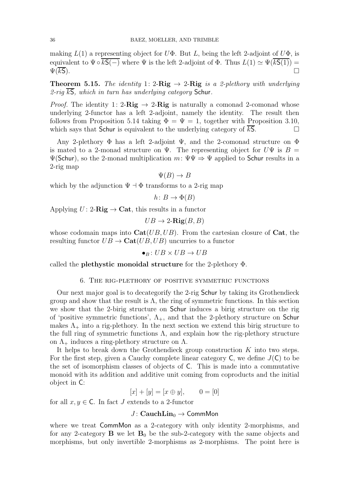making  $L(1)$  a representing object for  $U\Phi$ . But L, being the left 2-adjoint of  $U\Phi$ , is equivalent to  $\Psi \circ \overline{kS(-)}$  where  $\Psi$  is the left 2-adjoint of  $\Phi$ . Thus  $L(1) \simeq \Psi(\overline{kS(1)}) =$  $\Psi(\overline{kS})$ .

<span id="page-35-1"></span>**Theorem 5.15.** *The identity* 1: 2-Rig  $\rightarrow$  2-Rig *is a 2-plethory with underlying 2-rig* kS*, which in turn has underlying category* Schur*.*

*Proof.* The identity 1: 2-Rig  $\rightarrow$  2-Rig is naturally a comonad 2-comonad whose underlying 2-functor has a left 2-adjoint, namely the identity. The result then follows from Proposition [5.14](#page-34-0) taking  $\Phi = \Psi = 1$ , together with Proposition [3.10,](#page-20-2) which says that Schur is equivalent to the underlying category of  $kS$ .

Any 2-plethory  $\Phi$  has a left 2-adjoint  $\Psi$ , and the 2-comonad structure on  $\Phi$ is mated to a 2-monad structure on  $\Psi$ . The representing object for  $U\Psi$  is  $B =$  $\Psi(\text{Schur})$ , so the 2-monad multiplication  $m: \Psi \Psi \Rightarrow \Psi$  applied to Schur results in a 2-rig map

$$
\Psi(B) \to B
$$

which by the adjunction  $\Psi \dashv \Phi$  transforms to a 2-rig map

h:  $B \to \Phi(B)$ 

Applying  $U: 2\text{-}$ **Rig**  $\rightarrow$  **Cat**, this results in a functor

$$
UB \to 2\text{-}\mathbf{Rig}(B, B)
$$

whose codomain maps into  $Cat(UB, UB)$ . From the cartesian closure of Cat, the resulting functor  $UB \rightarrow \text{Cat}(UB, UB)$  uncurries to a functor

 $\bullet_B : UB \times UB \rightarrow UB$ 

<span id="page-35-0"></span>called the plethystic monoidal structure for the 2-plethory Φ.

### 6. The rig-plethory of positive symmetric functions

Our next major goal is to decategorify the 2-rig Schur by taking its Grothendieck group and show that the result is  $\Lambda$ , the ring of symmetric functions. In this section we show that the 2-birig structure on Schur induces a birig structure on the rig of 'positive symmetric functions',  $\Lambda_{+}$ , and that the 2-plethory structure on Schur makes  $\Lambda_{+}$  into a rig-plethory. In the next section we extend this birig structure to the full ring of symmetric functions  $\Lambda$ , and explain how the rig-plethory structure on  $\Lambda_+$  induces a ring-plethory structure on  $\Lambda$ .

It helps to break down the Grothendieck group construction  $K$  into two steps. For the first step, given a Cauchy complete linear category  $C$ , we define  $J(C)$  to be the set of isomorphism classes of objects of C. This is made into a commutative monoid with its addition and additive unit coming from coproducts and the initial object in C:

 $[x] + [y] = [x \oplus y], \qquad 0 = [0]$ 

for all  $x, y \in \mathsf{C}$ . In fact J extends to a 2-functor

# $J: \text{CauchLin}_{0} \rightarrow \text{CommMon}$

where we treat CommMon as a 2-category with only identity 2-morphisms, and for any 2-category  $\bf{B}$  we let  $\bf{B}_0$  be the sub-2-category with the same objects and morphisms, but only invertible 2-morphisms as 2-morphisms. The point here is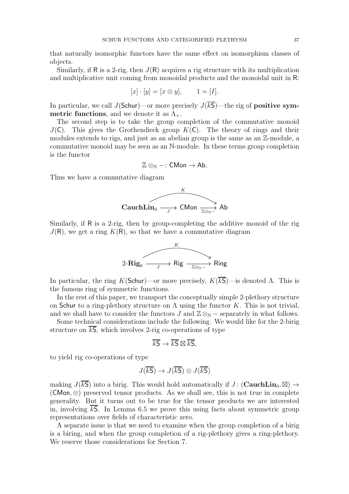that naturally isomorphic functors have the same effect on isomorphism classes of objects.

Similarly, if R is a 2-rig, then  $J(R)$  acquires a rig structure with its multiplication and multiplicative unit coming from monoidal products and the monoidal unit in R:

$$
[x] \cdot [y] = [x \otimes y], \qquad 1 = [I].
$$

In particular, we call J(Schur)—or more precisely  $J(\overline{kS})$ —the rig of **positive sym**metric functions, and we denote it as  $\Lambda_{+}$ .

The second step is to take the group completion of the commutative monoid  $J(\mathsf{C})$ . This gives the Grothendieck group  $K(\mathsf{C})$ . The theory of rings and their modules extends to rigs, and just as an abelian group is the same as an  $\mathbb{Z}$ -module, a commutative monoid may be seen as an N-module. In these terms group completion is the functor

$$
\mathbb{Z} \otimes_{\mathbb{N}} -: \mathsf{CMon} \to \mathsf{Ab}.
$$

Thus we have a commutative diagram



Similarly, if R is a 2-rig, then by group-completing the additive monoid of the rig  $J(R)$ , we get a ring  $K(R)$ , so that we have a commutative diagram



In particular, the ring K(Schur)—or more precisely,  $K(\overline{kS})$ —is denoted  $\Lambda$ . This is the famous ring of symmetric functions.

In the rest of this paper, we transport the conceptually simple 2-plethory structure on Schur to a ring-plethory structure on  $\Lambda$  using the functor K. This is not trivial, and we shall have to consider the functors J and  $\mathbb{Z}\otimes_{\mathbb{N}}$  – separately in what follows.

Some technical considerations include the following. We would like for the 2-birig structure on  $\overline{kS}$ , which involves 2-rig co-operations of type

$$
\overline{kS} \to \overline{kS} \boxtimes \overline{kS},
$$

to yield rig co-operations of type

$$
J(\overline{kS}) \to J(\overline{kS}) \otimes J(\overline{kS})
$$

making  $J(\overline{kS})$  into a birig. This would hold automatically if  $J$ : (**CauchLin**<sub>0</sub>,  $\boxtimes$ )  $\rightarrow$  $(\mathsf{CMon}, \otimes)$  preserved tensor products. As we shall see, this is not true in complete generality. But it turns out to be true for the tensor products we are interested in, involving  $\overline{kS}$ . In Lemma [6.5](#page-40-0) we prove this using facts about symmetric group representations over fields of characteristic zero.

A separate issue is that we need to examine when the group completion of a birig is a biring, and when the group completion of a rig-plethory gives a ring-plethory. We reserve those considerations for Section [7.](#page-45-0)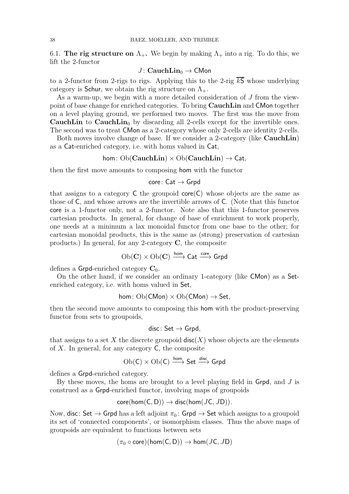6.1. The rig structure on  $\Lambda_{+}$ . We begin by making  $\Lambda_{+}$  into a rig. To do this, we lift the 2-functor

## $J: \text{CauchLin}_{0} \rightarrow \text{CMon}$

to a 2-functor from 2-rigs to rigs. Applying this to the 2-rig  $\overline{kS}$  whose underlying category is Schur, we obtain the rig structure on  $\Lambda_{+}$ .

As a warm-up, we begin with a more detailed consideration of J from the viewpoint of base change for enriched categories. To bring CauchLin and CMon together on a level playing ground, we performed two moves. The first was the move from **CauchLin** to **CauchLin**<sup>0</sup> by discarding all 2-cells except for the invertible ones. The second was to treat CMon as a 2-category whose only 2-cells are identity 2-cells.

Both moves involve change of base. If we consider a 2-category (like **CauchLin**) as a Cat-enriched category, i.e. with homs valued in Cat,

$$
\mathsf{hom}\colon \mathrm{Ob}(\mathbf{CauchLin})\times \mathrm{Ob}(\mathbf{CauchLin})\to \mathsf{Cat},
$$

then the first move amounts to composing hom with the functor

## $core: Cat \rightarrow Grpd$

that assigns to a category  $C$  the groupoid  $core(C)$  whose objects are the same as those of C, and whose arrows are the invertible arrows of C. (Note that this functor core is a 1-functor only, not a 2-functor. Note also that this 1-functor preserves cartesian products. In general, for change of base of enrichment to work properly, one needs at a minimum a lax monoidal functor from one base to the other; for cartesian monoidal products, this is the same as (strong) preservation of cartesian products.) In general, for any 2-category  $C$ , the composite

 $\mathrm{Ob}(\mathbf{C}) \times \mathrm{Ob}(\mathbf{C}) \xrightarrow{\mathsf{hom}} \mathsf{Cat} \xrightarrow{\mathsf{core}} \mathsf{Grpd}$ 

defines a Grpd-enriched category  $C_0$ .

On the other hand, if we consider an ordinary 1-category (like CMon) as a Setenriched category, i.e. with homs valued in Set,

$$
\mathsf{hom}\colon\mathrm{Ob}(\mathsf{CMon})\times\mathrm{Ob}(\mathsf{CMon})\to\mathsf{Set},
$$

then the second move amounts to composing this hom with the product-preserving functor from sets to groupoids,

$$
\mathsf{disc}\colon \mathsf{Set}\to \mathsf{Grpd},
$$

that assigns to a set X the discrete groupoid  $\textsf{disc}(X)$  whose objects are the elements of  $X$ . In general, for any category  $C$ , the composite

$$
\mathrm{Ob}(\mathsf{C}) \times \mathrm{Ob}(\mathsf{C}) \xrightarrow{\mathsf{hom}} \mathsf{Set} \xrightarrow{\mathsf{disc}} \mathsf{Grpd}
$$

defines a Grpd-enriched category.

By these moves, the homs are brought to a level playing field in  $\mathsf{Grpd}$ , and J is construed as a Grpd-enriched functor, involving maps of groupoids

$$
core(hom(C, D)) \rightarrow disc(hom(JC, JD)).
$$

Now, disc: Set  $\rightarrow$  Grpd has a left adjoint  $\pi_0$ : Grpd  $\rightarrow$  Set which assigns to a groupoid its set of 'connected components', or isomorphism classes. Thus the above maps of groupoids are equivalent to functions between sets

$$
(\pi_0 \circ \mathsf{core})(\mathsf{hom}(\mathsf{C},\mathsf{D})) \to \mathsf{hom}(J\mathsf{C},J\mathsf{D})
$$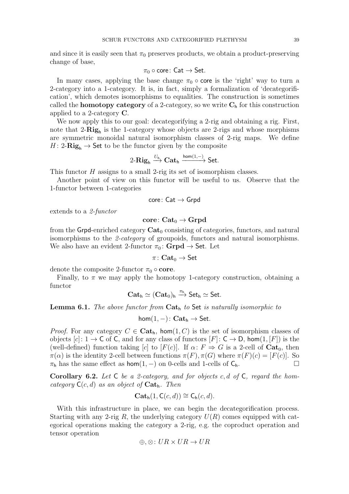and since it is easily seen that  $\pi_0$  preserves products, we obtain a product-preserving change of base,

$$
\pi_0 \circ \mathsf{core} \colon \mathsf{Cat} \to \mathsf{Set}.
$$

In many cases, applying the base change  $\pi_0 \circ \text{core}$  is the 'right' way to turn a 2-category into a 1-category. It is, in fact, simply a formalization of 'decategorification', which demotes isomorphisms to equalities. The construction is sometimes called the **homotopy category** of a 2-category, so we write  $C_h$  for this construction applied to a 2-category  $\mathbf C$ .

We now apply this to our goal: decategorifying a 2-rig and obtaining a rig. First, note that  $2-\text{Rig}_h$  is the 1-category whose objects are 2-rigs and whose morphisms are symmetric monoidal natural isomorphism classes of 2-rig maps. We define  $H: 2\text{-}\mathbf{Rig}_{h} \to \mathsf{Set}$  to be the functor given by the composite

$$
2\text{-}\mathbf{Rig}_h \xrightarrow{U_h} \mathbf{Cat}_h \xrightarrow{\mathsf{hom}(1,-)} \mathsf{Set}.
$$

This functor H assigns to a small 2-rig its set of isomorphism classes.

Another point of view on this functor will be useful to us. Observe that the 1-functor between 1-categories

$$
\mathsf{core}\colon \mathsf{Cat}\to \mathsf{Grpd}
$$

extends to a *2-functor*

### core:  $Cat_0 \rightarrow Grpd$

from the Grpd-enriched category  $\text{Cat}_0$  consisting of categories, functors, and natural isomorphisms to the *2-category* of groupoids, functors and natural isomorphisms. We also have an evident 2-functor  $\pi_0$ : **Grpd**  $\rightarrow$  **Set**. Let

$$
\pi\colon \mathbf{Cat}_0 \to \mathsf{Set}
$$

denote the composite 2-functor  $\pi_0 \circ \text{core.}$ 

Finally, to  $\pi$  we may apply the homotopy 1-category construction, obtaining a functor

$$
\mathbf{Cat}_h \simeq (\mathbf{Cat}_0)_h \xrightarrow{\pi_h} \mathsf{Set}_h \simeq \mathsf{Set}.
$$

Lemma 6.1. *The above functor from* Cat<sup>h</sup> *to* Set *is naturally isomorphic to*

$$
\mathsf{hom}(1,-)\colon \mathbf{Cat}_\mathsf{h} \to \mathsf{Set}.
$$

*Proof.* For any category  $C \in \mathbf{Cat}_h$ , hom $(1, C)$  is the set of isomorphism classes of objects  $[c]: 1 \to C$  of C, and for any class of functors  $[F]: C \to D$ , hom $(1, [F])$  is the (well-defined) function taking [c] to [F(c)]. If  $\alpha: F \Rightarrow G$  is a 2-cell of  $\text{Cat}_0$ , then  $\pi(\alpha)$  is the identity 2-cell between functions  $\pi(F), \pi(G)$  where  $\pi(F)(c) = [F(c)]$ . So  $\pi_h$  has the same effect as hom(1, –) on 0-cells and 1-cells of  $C_h$ .

<span id="page-38-0"></span>Corollary 6.2. *Let* C *be a 2-category, and for objects* c, d *of* C*, regard the homcategory* C(c, d) *as an object of* Cath*. Then*

$$
\mathbf{Cat}_{\mathsf{h}}(1, \mathsf{C}(c, d)) \cong \mathsf{C}_{\mathsf{h}}(c, d).
$$

With this infrastructure in place, we can begin the decategorification process. Starting with any 2-rig R, the underlying category  $U(R)$  comes equipped with categorical operations making the category a 2-rig, e.g. the coproduct operation and tensor operation

$$
\oplus, \otimes \colon UR \times UR \to UR
$$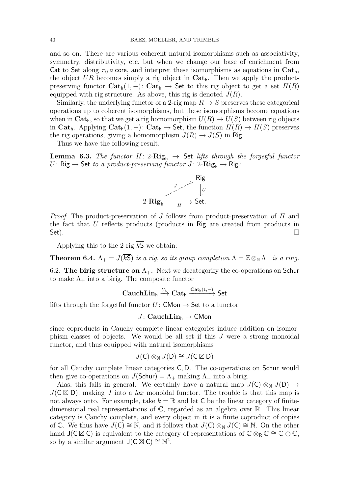and so on. There are various coherent natural isomorphisms such as associativity, symmetry, distributivity, etc. but when we change our base of enrichment from Cat to Set along  $\pi_0 \circ \text{core}$ , and interpret these isomorphisms as equations in Cat<sub>h</sub>, the object UR becomes simply a rig object in  $\mathbf{Cat}_h$ . Then we apply the productpreserving functor  $\mathbf{Cat}_h(1, -)$ :  $\mathbf{Cat}_h \to \mathbf{Set}$  to this rig object to get a set  $H(R)$ equipped with rig structure. As above, this rig is denoted  $J(R)$ .

Similarly, the underlying functor of a 2-rig map  $R \to S$  preserves these categorical operations up to coherent isomorphisms, but these isomorphisms become equations when in  $\mathbf{Cat}_h$ , so that we get a rig homomorphism  $U(R) \to U(S)$  between rig objects in Cat<sub>h</sub>. Applying  $\mathbf{Cat}_h(1, -)$ :  $\mathbf{Cat}_h \to \mathbf{Set}$ , the function  $H(R) \to H(S)$  preserves the rig operations, giving a homomorphism  $J(R) \to J(S)$  in Rig.

Thus we have the following result.

**Lemma 6.3.** *The functor*  $H: 2\text{-}Rig_h \rightarrow$  Set *lifts through the forgetful functor* U: Rig  $\rightarrow$  Set *to a product-preserving functor*  $J: 2\text{-}$ **Rig**<sub>h</sub>  $\rightarrow$  Rig:



*Proof.* The product-preservation of J follows from product-preservation of H and the fact that U reflects products (products in Rig are created from products in Set).  $\square$ 

Applying this to the 2-rig  $\overline{kS}$  we obtain:

**Theorem 6.4.**  $\Lambda_+ = J(\overline{kS})$  *is a rig, so its group completion*  $\Lambda = \mathbb{Z} \otimes_{\mathbb{N}} \Lambda_+$  *is a ring.* 

6.2. The birig structure on  $\Lambda_{+}$ . Next we decategorify the co-operations on Schur to make  $\Lambda_{+}$  into a birig. The composite functor

$$
\mathbf{CauchLin}_{h} \xrightarrow{U_{h}} \mathbf{Cat}_{h} \xrightarrow{\mathbf{Cat}_{h}(1,-)} \mathsf{Set}
$$

lifts through the forgetful functor  $U:$  CMon  $\rightarrow$  Set to a functor

## $J: \text{CauchLin}_{h} \rightarrow \text{CMon}$

since coproducts in Cauchy complete linear categories induce addition on isomorphism classes of objects. We would be all set if this J were a strong monoidal functor, and thus equipped with natural isomorphisms

$$
J(\mathsf{C}) \otimes_{\mathbb{N}} J(\mathsf{D}) \cong J(\mathsf{C} \boxtimes \mathsf{D})
$$

for all Cauchy complete linear categories C, D. The co-operations on Schur would then give co-operations on  $J($ Schur $) = \Lambda_+$  making  $\Lambda_+$  into a birig.

Alas, this fails in general. We certainly have a natural map  $J(\mathsf{C}) \otimes_{\mathbb{N}} J(\mathsf{D}) \to$  $J(\mathsf{C} \boxtimes \mathsf{D})$ , making J into a *lax* monoidal functor. The trouble is that this map is not always onto. For example, take  $k = \mathbb{R}$  and let C be the linear category of finitedimensional real representations of  $\mathbb{C}$ , regarded as an algebra over  $\mathbb{R}$ . This linear category is Cauchy complete, and every object in it is a finite coproduct of copies of C. We thus have  $J(\mathsf{C}) \cong \mathbb{N}$ , and it follows that  $J(\mathsf{C}) \otimes_{\mathbb{N}} J(\mathsf{C}) \cong \mathbb{N}$ . On the other hand  $J(C \boxtimes C)$  is equivalent to the category of representations of  $\mathbb{C} \otimes_{\mathbb{R}} \mathbb{C} \cong \mathbb{C} \oplus \mathbb{C}$ , so by a similar argument  $J(C \boxtimes C) \cong \mathbb{N}^2$ .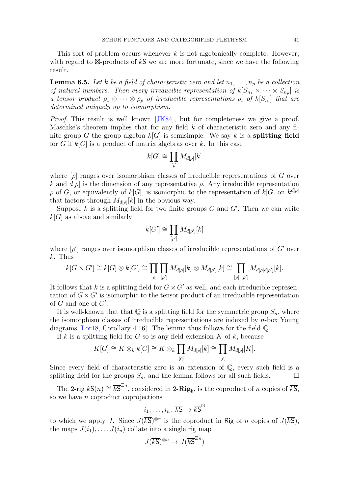<span id="page-40-1"></span><span id="page-40-0"></span>This sort of problem occurs whenever  $k$  is not algebraically complete. However, with regard to  $\boxtimes$ -products of  $\overline{kS}$  we are more fortunate, since we have the following result.

**Lemma 6.5.** Let k be a field of characteristic zero and let  $n_1, \ldots, n_p$  be a collection *of natural numbers. Then every irreducible representation of*  $k[S_{n_1} \times \cdots \times S_{n_p}]$  *is a tensor product*  $\rho_1 \otimes \cdots \otimes \rho_p$  *of irreducible representations*  $\rho_i$  *of*  $k[S_{n_i}]$  *that are determined uniquely up to isomorphism.*

*Proof.* This result is well known [\[JK84\]](#page-52-19), but for completeness we give a proof. Maschke's theorem implies that for any field  $k$  of characteristic zero and any finite group G the group algebra  $k[G]$  is semisimple. We say k is a **splitting field** for G if  $k[G]$  is a product of matrix algebras over k. In this case

$$
k[G]\cong \prod_{[\rho]} M_{d[\rho]}[k]
$$

where  $[\rho]$  ranges over isomorphism classes of irreducible representations of G over k and  $d[\rho]$  is the dimension of any representative  $\rho$ . Any irreducible representation  $\rho$  of G, or equivalently of  $k[G]$ , is isomorphic to the representation of  $k[G]$  on  $k^{d[\rho]}$ that factors through  $M_{d[\rho]}[k]$  in the obvious way.

Suppose k is a splitting field for two finite groups  $G$  and  $G'$ . Then we can write  $k[G]$  as above and similarly

$$
k[G'] \cong \prod_{[\rho']} M_{d[\rho']}[k]
$$

where  $[\rho']$  ranges over isomorphism classes of irreducible representations of  $G'$  over  $k$ . Thus

$$
k[G\times G'] \cong k[G] \otimes k[G'] \cong \prod_{[\rho]} \prod_{[\rho']} M_{d[\rho]}[k] \otimes M_{d[\rho']}[k] \cong \prod_{[\rho], [\rho']} M_{d[\rho]d[\rho']}[k].
$$

It follows that k is a splitting field for  $G \times G'$  as well, and each irreducible representation of  $G \times G'$  is isomorphic to the tensor product of an irreducible representation of  $G$  and one of  $G'$ .

It is well-known that that  $\mathbb Q$  is a splitting field for the symmetric group  $S_n$ , where the isomorphism classes of irreducible representations are indexed by  $n$ -box Young diagrams [\[Lor18,](#page-52-20) Corollary 4.16]. The lemma thus follows for the field Q.

If k is a splitting field for  $G$  so is any field extension  $K$  of  $k$ , because

$$
K[G] \cong K \otimes_k k[G] \cong K \otimes_k \prod_{[\rho]} M_{d[\rho]}[k] \cong \prod_{[\rho]} M_{d[\rho]}[K].
$$

Since every field of characteristic zero is an extension of Q, every such field is a splitting field for the groups  $S_n$ , and the lemma follows for all such fields.

The 2-rig  $\overline{kS(n)} \cong \overline{kS}^{\boxtimes n}$ , considered in 2- $\mathbf{Rig}_h$ , is the coproduct of n copies of  $\overline{kS}$ , so we have  $n$  coproduct coprojections

$$
i_1,\ldots,i_n\colon\overline{k\mathsf{S}}\to\overline{k\mathsf{S}}^\boxtimes
$$

to which we apply J. Since  $J(\overline{kS})^{\otimes n}$  is the coproduct in Rig of n copies of  $J(\overline{kS})$ , the maps  $J(i_1), \ldots, J(i_n)$  collate into a single rig map

$$
J(\overline{kS})^{\otimes n} \to J(\overline{kS}^{\boxtimes n})
$$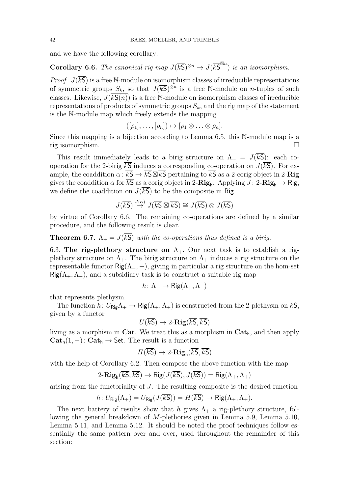<span id="page-41-1"></span>and we have the following corollary:

**Corollary 6.6.** *The canonical rig map*  $J(\overline{kS})^{\otimes n} \to J(\overline{kS}^{\boxtimes n})$  *is an isomorphism.* 

*Proof.*  $J(\overline{kS})$  is a free N-module on isomorphism classes of irreducible representations of symmetric groups  $S_k$ , so that  $J(\overline{kS})^{\otimes n}$  is a free N-module on *n*-tuples of such classes. Likewise,  $J(k\mathsf{S}(n))$  is a free N-module on isomorphism classes of irreducible representations of products of symmetric groups  $S_k$ , and the rig map of the statement is the N-module map which freely extends the mapping

$$
([\rho_1], \ldots, [\rho_n]) \mapsto [\rho_1 \otimes \ldots \otimes \rho_n].
$$

Since this mapping is a bijection according to Lemma [6.5,](#page-40-0) this N-module map is a rig isomorphism.

This result immediately leads to a birig structure on  $\Lambda_{+} = J(\overline{kS})$ : each cooperation for the 2-birig  $\overline{kS}$  induces a corresponding co-operation on  $J(\overline{kS})$ . For example, the coaddition  $\alpha: \overline{kS} \to \overline{kS} \boxtimes \overline{kS}$  pertaining to  $\overline{kS}$  as a 2-corig object in 2-**Rig** gives the coaddition  $\alpha$  for  $kS$  as a corig object in 2- $\mathbf{Rig}_h$ . Applying  $J:$  2- $\mathbf{Rig}_h \to \mathsf{Rig}_h$ , we define the coaddition on  $J(\overline{kS})$  to be the composite in Rig

$$
J(\overline{kS}) \stackrel{J(\alpha)}{\rightarrow} J(\overline{kS} \boxtimes \overline{kS}) \cong J(\overline{kS}) \otimes J(\overline{kS})
$$

<span id="page-41-0"></span>by virtue of Corollary [6.6.](#page-41-1) The remaining co-operations are defined by a similar procedure, and the following result is clear.

**Theorem 6.7.**  $\Lambda_{+} = J(\overline{kS})$  *with the co-operations thus defined is a birig.* 

6.3. The rig-plethory structure on  $\Lambda_{+}$ . Our next task is to establish a rigplethory structure on  $\Lambda_{+}$ . The birig structure on  $\Lambda_{+}$  induces a rig structure on the representable functor  $\text{Rig}(\Lambda_+, -)$ , giving in particular a rig structure on the hom-set  $\text{Rig}(\Lambda_+, \Lambda_+)$ , and a subsidiary task is to construct a suitable rig map

$$
h\colon \Lambda_+\to \mathsf{Rig}(\Lambda_+,\Lambda_+)
$$

that represents plethysm.

The function  $h: U_{\text{Rig}} \Lambda_+ \to \text{Rig}(\Lambda_+, \Lambda_+)$  is constructed from the 2-plethysm on  $\overline{kS}$ , given by a functor

$$
U(\overline{kS}) \to 2\text{-}\mathbf{Rig}(\overline{kS}, \overline{kS})
$$

living as a morphism in Cat. We treat this as a morphism in  $Cat<sub>h</sub>$ , and then apply  $\mathbf{Cat}_{\mathsf{h}}(1,-): \mathbf{Cat}_{\mathsf{h}} \to \mathsf{Set}.$  The result is a function

$$
H(\overline{kS}) \to 2\text{-}\mathbf{Rig}_h(\overline{kS}, \overline{kS})
$$

with the help of Corollary [6.2.](#page-38-0) Then compose the above function with the map

$$
2\text{-}\mathbf{Rig}_{h}(\overline{kS},\overline{kS}) \to \mathbf{Rig}(J(\overline{kS}),J(\overline{kS})) = \mathbf{Rig}(\Lambda_{+},\Lambda_{+})
$$

arising from the functoriality of J. The resulting composite is the desired function

$$
h\colon U_{\mathsf{Rig}}(\Lambda_+) = U_{\mathsf{Rig}}(J(\overline{kS})) = H(\overline{kS}) \to \mathsf{Rig}(\Lambda_+, \Lambda_+).
$$

The next battery of results show that h gives  $\Lambda_{+}$  a rig-plethory structure, following the general breakdown of M-plethories given in Lemma [5.9,](#page-31-0) Lemma [5.10,](#page-32-0) Lemma [5.11,](#page-33-0) and Lemma [5.12.](#page-33-1) It should be noted the proof techniques follow essentially the same pattern over and over, used throughout the remainder of this section: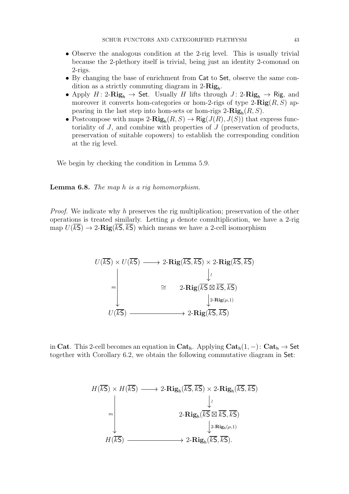- Observe the analogous condition at the 2-rig level. This is usually trivial because the 2-plethory itself is trivial, being just an identity 2-comonad on 2-rigs.
- By changing the base of enrichment from Cat to Set, observe the same condition as a strictly commuting diagram in  $2-Rig_h$ .
- Apply  $H: 2\text{-}\mathbf{Rig}_h \to \mathsf{Set}$ . Usually H lifts through  $J: 2\text{-}\mathbf{Rig}_h \to \mathsf{Rig}$ , and moreover it converts hom-categories or hom-2-rigs of type  $2-Rig(R, S)$  appearing in the last step into hom-sets or hom-rigs  $2\text{-}\mathbf{Rig}_{h}(R, S)$ .
- Postcompose with maps  $2\text{-}\mathbf{Rig}_{h}(R, S) \to \mathbf{Rig}(J(R), J(S))$  that express functoriality of  $J$ , and combine with properties of  $J$  (preservation of products, preservation of suitable copowers) to establish the corresponding condition at the rig level.

<span id="page-42-0"></span>We begin by checking the condition in Lemma [5.9.](#page-31-0)

Lemma 6.8. *The map* h *is a rig homomorphism.*

*Proof.* We indicate why h preserves the rig multiplication; preservation of the other operations is treated similarly. Letting  $\mu$  denote comultiplication, we have a 2-rig map  $U(\overline{kS}) \rightarrow 2$ -Rig $(\overline{kS}, \overline{kS})$  which means we have a 2-cell isomorphism

U(kS) × U(kS) 2-Rig(kS, kS) × 2-Rig(kS, kS) 2-Rig(kS ⊠ kS, kS) U(kS) 2-Rig(kS, kS) m ∼ 2-Rig(µ,1) ∼=

in Cat. This 2-cell becomes an equation in Cat<sub>h</sub>. Applying  $Cat_h(1, -)$ : Cat<sub>h</sub>  $\rightarrow$  Set together with Corollary [6.2,](#page-38-0) we obtain the following commutative diagram in Set:

$$
H(\overline{kS}) \times H(\overline{kS}) \longrightarrow 2-\mathbf{Rig}_h(\overline{kS}, \overline{kS}) \times 2-\mathbf{Rig}_h(\overline{kS}, \overline{kS})
$$
  
\n
$$
2-\mathbf{Rig}_h(\overline{kS} \boxtimes \overline{kS}, \overline{kS})
$$
  
\n
$$
2-\mathbf{Rig}_h(\overline{kS} \boxtimes \overline{kS}, \overline{kS})
$$
  
\n
$$
2-\mathbf{Rig}_h(\mu,1)
$$
  
\n
$$
H(\overline{kS}) \longrightarrow 2-\mathbf{Rig}_h(\overline{kS}, \overline{kS}).
$$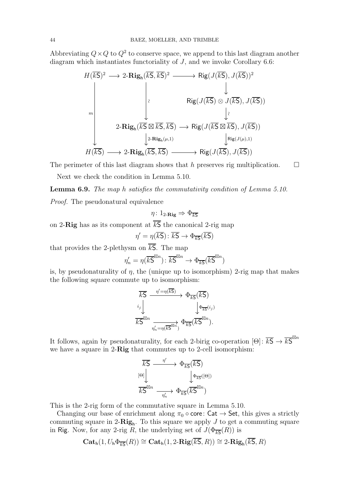Abbreviating  $Q \times Q$  to  $Q^2$  to conserve space, we append to this last diagram another diagram which instantiates functoriality of J, and we invoke Corollary [6.6:](#page-41-1)

$$
H(\overline{kS})^2 \longrightarrow 2\text{-}\mathbf{Rig}_h(\overline{kS}, \overline{kS})^2 \longrightarrow \text{Rig}(J(\overline{kS}), J(\overline{kS}))^2
$$
\n
$$
\downarrow \qquad \qquad \downarrow
$$
\n
$$
\text{Rig}(J(\overline{kS}) \otimes J(\overline{kS}), J(\overline{kS}))
$$
\n
$$
2\text{-}\mathbf{Rig}_h(\overline{kS} \boxtimes \overline{kS}, \overline{kS}) \longrightarrow \text{Rig}(J(\overline{kS} \boxtimes \overline{kS}), J(\overline{kS}))
$$
\n
$$
L^2\text{-}\mathbf{Rig}_h(\mu,1) \qquad \qquad \downarrow \text{Rig}(J(\overline{kS} \boxtimes \overline{kS}), J(\overline{kS}))
$$
\n
$$
H(\overline{kS}) \longrightarrow 2\text{-}\mathbf{Rig}_h(\overline{kS}, \overline{kS}) \longrightarrow \text{Rig}(J(\overline{kS}), J(\overline{kS}))
$$

The perimeter of this last diagram shows that h preserves rig multiplication.  $\square$ 

Next we check the condition in Lemma [5.10.](#page-32-0)

Lemma 6.9. *The map* h *satisfies the commutativity condition of Lemma [5.10.](#page-32-0) Proof.* The pseudonatural equivalence

$$
\eta\colon 1_{2\text{-}\mathbf{Rig}}\Rightarrow \Phi_{\overline{kS}}
$$

on 2-Rig has as its component at  $\overline{kS}$  the canonical 2-rig map

$$
\eta' = \eta(\overline{kS}) \colon \overline{kS} \to \Phi_{\overline{kS}}(\overline{kS})
$$

that provides the 2-plethysm on  $\overline{kS}$ . The map

$$
\eta_n' = \eta(\overline{kS}^{\boxtimes n}) \colon \overline{kS}^{\boxtimes n} \to \Phi_{\overline{kS}}(\overline{kS}^{\boxtimes n})
$$

is, by pseudonaturality of  $\eta$ , the (unique up to isomorphism) 2-rig map that makes the following square commute up to isomorphism:

$$
\frac{\overline{kS}}{\overline{kS}} \xrightarrow{\eta' = \eta(\overline{kS})} \Phi_{\overline{kS}}(\overline{kS})
$$
\n
$$
\downarrow_{i} \qquad \qquad \downarrow \Phi_{\overline{kS}}(i_j)
$$
\n
$$
\overline{kS}^{\boxtimes n} \xrightarrow{\eta'_n = \eta(\overline{kS}^{\boxtimes n})} \Phi_{\overline{kS}}(\overline{kS}^{\boxtimes n}).
$$

It follows, again by pseudonaturality, for each 2-birig co-operation  $[\Theta]: \overline{kS} \to \overline{kS}^{\boxtimes n}$ we have a square in 2-Rig that commutes up to 2-cell isomorphism:



This is the 2-rig form of the commutative square in Lemma [5.10.](#page-32-0)

Changing our base of enrichment along  $\pi_0 \circ \text{core}$ : Cat  $\rightarrow$  Set, this gives a strictly commuting square in 2- $\mathbf{Rig}_h$ . To this square we apply J to get a commuting square in Rig. Now, for any 2-rig R, the underlying set of  $J(\Phi_{\overline{kS}}(R))$  is

$$
\mathbf{Cat}_\mathsf{h}(1, U_\mathsf{h} \Phi_{\overline{\mathsf{ks}}}(R)) \cong \mathbf{Cat}_\mathsf{h}(1, 2\textbf{-}\mathbf{Rig}(\overline{kS}, R)) \cong 2\textbf{-}\mathbf{Rig}_\mathsf{h}(\overline{kS}, R)
$$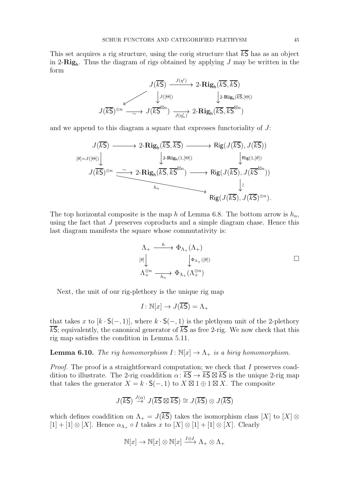This set acquires a rig structure, using the corig structure that  $\overline{kS}$  has as an object in 2- $\mathbf{Rig}_h$ . Thus the diagram of rigs obtained by applying J may be written in the form

$$
J(\overline{kS}) \xrightarrow{J(\eta')} 2\text{-}\mathbf{Rig}_{\mathsf{h}}(\overline{kS}, \overline{kS})
$$

$$
J(\overline{kS})^{\otimes n} \xrightarrow{\sim} J(\overline{kS}^{\boxtimes n}) \xrightarrow{J(\eta'_n)} 2\text{-}\mathbf{Rig}_{\mathsf{h}}(\overline{kS}, \overline{kS}^{\boxtimes n})
$$

and we append to this diagram a square that expresses functoriality of  $J$ :

$$
J(\overline{kS}) \longrightarrow 2\text{-}\mathbf{Rig}_{h}(\overline{kS}, \overline{kS}) \longrightarrow \text{Rig}(J(\overline{kS}), J(\overline{kS}))
$$
  
\n
$$
J(\overline{kS})^{\otimes n} \xrightarrow{\sim} 2\text{-}\mathbf{Rig}_{h}(\overline{kS}, \overline{kS}^{\otimes n}) \longrightarrow \text{Rig}(J(\overline{kS}), J(\overline{kS}^{\otimes n}))
$$
  
\n
$$
J(\overline{kS})^{\otimes n} \xrightarrow{\sim} 2\text{-}\mathbf{Rig}_{h}(\overline{kS}, \overline{kS}^{\otimes n}) \longrightarrow \text{Rig}(J(\overline{kS}), J(\overline{kS}^{\otimes n}))
$$
  
\n
$$
\downarrow \wr \text{Rig}(J(\overline{kS}), J(\overline{kS})^{\otimes n}).
$$

The top horizontal composite is the map h of Lemma [6.8.](#page-42-0) The bottom arrow is  $h_n$ , using the fact that J preserves coproducts and a simple diagram chase. Hence this last diagram manifests the square whose commutativity is:

$$
\Lambda_{+} \xrightarrow{\quad h \quad} \Phi_{\Lambda_{+}}(\Lambda_{+})
$$
\n
$$
\downarrow^{\theta} \downarrow^{\phi} \downarrow^{\phi} \downarrow^{\phi} \downarrow^{\phi} \downarrow^{\phi} \downarrow^{\phi} \downarrow^{\phi} \downarrow^{\phi} \downarrow^{\phi} \downarrow^{\phi} \downarrow^{\phi} \downarrow^{\phi} \downarrow^{\phi} \downarrow^{\phi} \downarrow^{\phi} \downarrow^{\phi} \downarrow^{\phi} \downarrow^{\phi} \downarrow^{\phi} \downarrow^{\phi} \downarrow^{\phi} \downarrow^{\phi} \downarrow^{\phi} \downarrow^{\phi} \downarrow^{\phi} \downarrow^{\phi} \downarrow^{\phi} \downarrow^{\phi} \downarrow^{\phi} \downarrow^{\phi} \downarrow^{\phi} \downarrow^{\phi} \downarrow^{\phi} \downarrow^{\phi} \downarrow^{\phi} \downarrow^{\phi} \downarrow^{\phi} \downarrow^{\phi} \downarrow^{\phi} \downarrow^{\phi} \downarrow^{\phi} \downarrow^{\phi} \downarrow^{\phi} \downarrow^{\phi} \downarrow^{\phi} \downarrow^{\phi} \downarrow^{\phi} \downarrow^{\phi} \downarrow^{\phi} \downarrow^{\phi} \downarrow^{\phi} \downarrow^{\phi} \downarrow^{\phi} \downarrow^{\phi} \downarrow^{\phi} \downarrow^{\phi} \downarrow^{\phi} \downarrow^{\phi} \downarrow^{\phi} \downarrow^{\phi} \downarrow^{\phi} \downarrow^{\phi} \downarrow^{\phi} \downarrow^{\phi} \downarrow^{\phi} \downarrow^{\phi} \downarrow^{\phi} \downarrow^{\phi} \downarrow^{\phi} \downarrow^{\phi} \downarrow^{\phi} \downarrow^{\phi} \downarrow^{\phi} \downarrow^{\phi} \downarrow^{\phi} \downarrow^{\phi} \downarrow^{\phi} \downarrow^{\phi} \downarrow^{\phi} \downarrow^{\phi} \downarrow^{\phi} \downarrow^{\phi} \downarrow^{\phi} \downarrow^{\phi} \downarrow^{\phi} \downarrow^{\phi} \downarrow^{\phi} \downarrow^{\phi} \downarrow^{\phi} \downarrow^{\phi} \downarrow^{\phi} \downarrow^{\phi} \downarrow^{\phi} \downarrow^{\phi} \downarrow^{\phi} \downarrow^{\phi} \downarrow^{\phi} \downarrow^{\phi} \downarrow^{\phi} \downarrow^{\phi} \downarrow^{\phi} \downarrow^{\phi} \downarrow
$$

Next, the unit of our rig-plethory is the unique rig map

$$
I \colon \mathbb{N}[x] \to J(\overline{kS}) = \Lambda_+
$$

that takes x to  $[k \cdot S(-, 1)]$ , where  $k \cdot S(-, 1)$  is the plethysm unit of the 2-plethory  $\overline{kS}$ ; equivalently, the canonical generator of  $\overline{kS}$  as free 2-rig. We now check that this rig map satisfies the condition in Lemma [5.11.](#page-33-0)

**Lemma 6.10.** *The rig homomorphism*  $I: \mathbb{N}[x] \to \Lambda_+$  *is a birig homomorphism.* 

*Proof.* The proof is a straightforward computation; we check that I preserves coaddition to illustrate. The 2-rig coaddition  $\alpha: \overline{kS} \to \overline{kS} \boxtimes \overline{kS}$  is the unique 2-rig map that takes the generator  $X = k \cdot \mathsf{S}(-,1)$  to  $X \boxtimes 1 \oplus 1 \boxtimes X$ . The composite

$$
J(\overline{kS}) \stackrel{J(\alpha)}{\rightarrow} J(\overline{kS} \boxtimes \overline{kS}) \cong J(\overline{kS}) \otimes J(\overline{kS})
$$

which defines coaddition on  $\Lambda_+ = J(\overline{kS})$  takes the isomorphism class [X] to [X] ⊗  $[1] + [1] \otimes [X]$ . Hence  $\alpha_{\Lambda_+} \circ I$  takes x to  $[X] \otimes [1] + [1] \otimes [X]$ . Clearly

$$
\mathbb{N}[x] \to \mathbb{N}[x] \otimes \mathbb{N}[x] \xrightarrow{I \otimes I} \Lambda_+ \otimes \Lambda_+
$$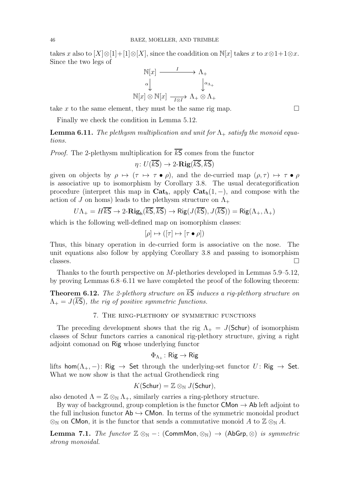takes x also to  $[X] \otimes [1] + [1] \otimes [X]$ , since the coaddition on  $\mathbb{N}[x]$  takes x to  $x \otimes 1 + 1 \otimes x$ . Since the two legs of



take x to the same element, they must be the same rig map.  $\square$ 

<span id="page-45-2"></span>Finally we check the condition in Lemma [5.12.](#page-33-1)

**Lemma 6.11.** *The plethysm multiplication and unit for*  $\Lambda_{+}$  *satisfy the monoid equations.*

*Proof.* The 2-plethysm multiplication for  $\overline{kS}$  comes from the functor

$$
\eta\colon U(\overline{kS})\to 2\text{-}\mathbf{Rig}(\overline{kS},\overline{kS})
$$

given on objects by  $\rho \mapsto (\tau \mapsto \tau \bullet \rho)$ , and the de-curried map  $(\rho, \tau) \mapsto \tau \bullet \rho$ is associative up to isomorphism by Corollary [3.8.](#page-18-0) The usual decategorification procedure (interpret this map in  $\mathbf{Cat}_h$ , apply  $\mathbf{Cat}_h(1, -)$ , and compose with the action of J on homs) leads to the plethysm structure on  $\Lambda_{+}$ 

$$
U\Lambda_+ = H\overline{kS} \to 2\text{-}\mathbf{Rig}_h(\overline{kS}, \overline{kS}) \to \mathbf{Rig}(J(\overline{kS}), J(\overline{kS})) = \mathbf{Rig}(\Lambda_+, \Lambda_+)
$$

which is the following well-defined map on isomorphism classes:

$$
[\rho] \mapsto ([\tau] \mapsto [\tau \bullet \rho])
$$

Thus, this binary operation in de-curried form is associative on the nose. The unit equations also follow by applying Corollary [3.8](#page-18-0) and passing to isomorphism classes.  $\square$ 

<span id="page-45-1"></span>Thanks to the fourth perspective on M-plethories developed in Lemmas [5.9](#page-31-0)[–5.12,](#page-33-1) by proving Lemmas [6.8–](#page-42-0)[6.11](#page-45-2) we have completed the proof of the following theorem:

<span id="page-45-0"></span>**Theorem 6.12.** *The 2-plethory structure on*  $\overline{kS}$  *induces a rig-plethory structure on*  $\Lambda_{+} = J(\overline{kS})$ , the rig of positive symmetric functions.

### 7. The ring-plethory of symmetric functions

The preceding development shows that the rig  $\Lambda_{+} = J(\mathsf{Schur})$  of isomorphism classes of Schur functors carries a canonical rig-plethory structure, giving a right adjoint comonad on Rig whose underlying functor

# $\Phi_{\Lambda_+}\colon \mathsf{Rig}\to \mathsf{Rig}$

lifts  $\textsf{hom}(\Lambda_+, -) \colon \mathsf{Rig} \to \mathsf{Set}$  through the underlying-set functor  $U \colon \mathsf{Rig} \to \mathsf{Set}.$ What we now show is that the actual Grothendieck ring

$$
K(\mathsf{Schur}) = \mathbb{Z} \otimes_{\mathbb{N}} J(\mathsf{Schur}),
$$

also denoted  $\Lambda = \mathbb{Z} \otimes_{\mathbb{N}} \Lambda_+$ , similarly carries a ring-plethory structure.

By way of background, group completion is the functor  $\mathsf{CMon} \to \mathsf{Ab}$  left adjoint to the full inclusion functor  $\mathsf{Ab} \hookrightarrow \mathsf{CMon}$ . In terms of the symmetric monoidal product  $\otimes_{\mathbb{N}}$  on CMon, it is the functor that sends a commutative monoid A to  $\mathbb{Z} \otimes_{\mathbb{N}} A$ .

Lemma 7.1. *The functor*  $\mathbb{Z} \otimes_{\mathbb{N}} -$ : (CommMon,  $\otimes_{\mathbb{N}}$ ) → (AbGrp,  $\otimes$ ) *is symmetric strong monoidal.*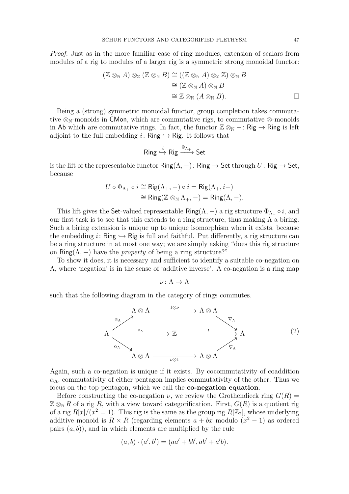*Proof.* Just as in the more familiar case of ring modules, extension of scalars from modules of a rig to modules of a larger rig is a symmetric strong monoidal functor:

$$
(\mathbb{Z} \otimes_{\mathbb{N}} A) \otimes_{\mathbb{Z}} (\mathbb{Z} \otimes_{\mathbb{N}} B) \cong ((\mathbb{Z} \otimes_{\mathbb{N}} A) \otimes_{\mathbb{Z}} \mathbb{Z}) \otimes_{\mathbb{N}} B
$$
  
\n
$$
\cong (\mathbb{Z} \otimes_{\mathbb{N}} A) \otimes_{\mathbb{N}} B
$$
  
\n
$$
\cong \mathbb{Z} \otimes_{\mathbb{N}} (A \otimes_{\mathbb{N}} B).
$$

Being a (strong) symmetric monoidal functor, group completion takes commutative  $\otimes_{\mathbb{N}}$ -monoids in CMon, which are commutative rigs, to commutative  $\otimes$ -monoids in Ab which are commutative rings. In fact, the functor  $\mathbb{Z} \otimes_{\mathbb{N}} -$ : Rig  $\rightarrow$  Ring is left adjoint to the full embedding  $i:$  Ring  $\hookrightarrow$  Rig. It follows that

$$
\mathsf{Ring} \stackrel{i}{\hookrightarrow} \mathsf{Rig} \xrightarrow{\Phi_{\Lambda_+}} \mathsf{Set}
$$

is the lift of the representable functor  $\text{Ring}(\Lambda, -)$ :  $\text{Ring} \to \text{Set}$  through  $U: \text{Rig} \to \text{Set}$ , because

$$
U \circ \Phi_{\Lambda_+} \circ i \cong \mathrm{Rig}(\Lambda_+, -) \circ i = \mathrm{Rig}(\Lambda_+, i-)
$$
  

$$
\cong \mathrm{Ring}(\mathbb{Z} \otimes_{\mathbb{N}} \Lambda_+, -) = \mathrm{Ring}(\Lambda, -).
$$

This lift gives the Set-valued representable Ring( $\Lambda$ ,  $-$ ) a rig structure  $\Phi_{\Lambda_+} \circ i$ , and our first task is to see that this extends to a ring structure, thus making  $\Lambda$  a biring. Such a biring extension is unique up to unique isomorphism when it exists, because the embedding i: Ring  $\hookrightarrow$  Rig is full and faithful. Put differently, a rig structure can be a ring structure in at most one way; we are simply asking "does this rig structure on Ring( $\Lambda$ , –) have the *property* of being a ring structure?"

To show it does, it is necessary and sufficient to identify a suitable co-negation on Λ, where 'negation' is in the sense of 'additive inverse'. A co-negation is a ring map

 $\nu: \Lambda \to \Lambda$ 

such that the following diagram in the category of rings commutes.

<span id="page-46-0"></span>

Again, such a co-negation is unique if it exists. By cocommutativity of coaddition  $\alpha_{\Lambda}$ , commutativity of either pentagon implies commutativity of the other. Thus we focus on the top pentagon, which we call the co-negation equation.

Before constructing the co-negation  $\nu$ , we review the Grothendieck ring  $G(R)$  =  $\mathbb{Z} \otimes_{\mathbb{N}} R$  of a rig R, with a view toward categorification. First,  $G(R)$  is a quotient rig of a rig  $R[x]/(x^2 = 1)$ . This rig is the same as the group rig  $R[\mathbb{Z}_2]$ , whose underlying additive monoid is  $R \times R$  (regarding elements  $a + bx$  modulo  $(x^2 - 1)$  as ordered pairs  $(a, b)$ , and in which elements are multiplied by the rule

$$
(a, b) \cdot (a', b') = (aa' + bb', ab' + a'b).
$$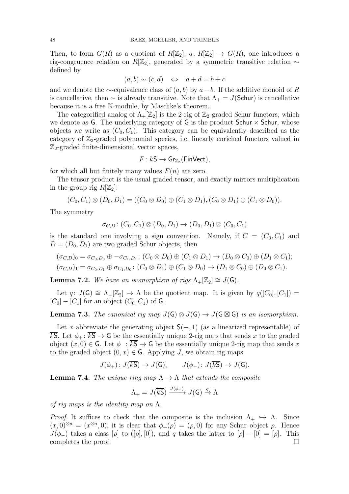Then, to form  $G(R)$  as a quotient of  $R[\mathbb{Z}_2]$ ,  $q: R[\mathbb{Z}_2] \to G(R)$ , one introduces a rig-congruence relation on R[ $\mathbb{Z}_2$ ], generated by a symmetric transitive relation ∼ defined by

$$
(a, b) \sim (c, d) \iff a + d = b + c
$$

and we denote the  $\sim$ -equivalence class of  $(a, b)$  by  $a - b$ . If the additive monoid of R is cancellative, then  $\sim$  is already transitive. Note that  $\Lambda_{+} = J(\mathsf{Schur})$  is cancellative because it is a free N-module, by Maschke's theorem.

The categorified analog of  $\Lambda_+[\mathbb{Z}_2]$  is the 2-rig of  $\mathbb{Z}_2$ -graded Schur functors, which we denote as  $G$ . The underlying category of  $G$  is the product Schur  $\times$  Schur, whose objects we write as  $(C_0, C_1)$ . This category can be equivalently described as the category of  $\mathbb{Z}_2$ -graded polynomial species, i.e. linearly enriched functors valued in  $\mathbb{Z}_2$ -graded finite-dimensional vector spaces,

$$
F\colon k\mathsf{S}\to \mathsf{Gr}_{\mathbb{Z}_2}(\mathsf{FinVect}),
$$

for which all but finitely many values  $F(n)$  are zero.

The tensor product is the usual graded tensor, and exactly mirrors multiplication in the group rig  $R[\mathbb{Z}_2]$ :

$$
(C_0, C_1) \otimes (D_0, D_1) = ((C_0 \otimes D_0) \oplus (C_1 \otimes D_1), (C_0 \otimes D_1) \oplus (C_1 \otimes D_0)).
$$

The symmetry

$$
\sigma_{C,D}
$$
:  $(C_0, C_1) \otimes (D_0, D_1) \to (D_0, D_1) \otimes (C_0, C_1)$ 

is the standard one involving a sign convention. Namely, if  $C = (C_0, C_1)$  and  $D = (D_0, D_1)$  are two graded Schur objects, then

$$
(\sigma_{C,D})_0 = \sigma_{C_0,D_0} \oplus -\sigma_{C_1,D_1} : (C_0 \otimes D_0) \oplus (C_1 \otimes D_1) \rightarrow (D_0 \otimes C_0) \oplus (D_1 \otimes C_1);
$$
  

$$
(\sigma_{C,D})_1 = \sigma_{C_0,D_1} \oplus \sigma_{C_1,D_0} : (C_0 \otimes D_1) \oplus (C_1 \otimes D_0) \rightarrow (D_1 \otimes C_0) \oplus (D_0 \otimes C_1).
$$

**Lemma 7.2.** *We have an isomorphism of rigs*  $\Lambda_+[\mathbb{Z}_2] \cong J(\mathsf{G})$ *.* 

<span id="page-47-1"></span>Let  $q: J(\mathsf{G}) \cong \Lambda_+[\mathbb{Z}_2] \to \Lambda$  be the quotient map. It is given by  $q([C_0], [C_1]) =$  $[C_0] - [C_1]$  for an object  $(C_0, C_1)$  of G.

**Lemma 7.3.** *The canonical rig map*  $J(G) \otimes J(G) \rightarrow J(G \boxtimes G)$  *is an isomorphism.* 

Let x abbreviate the generating object  $S(-, 1)$  (as a linearized representable) of  $\overline{kS}$ . Let  $\phi_+ : \overline{kS} \to G$  be the essentially unique 2-rig map that sends x to the graded object  $(x, 0) \in \mathsf{G}$ . Let  $\phi_- : \overline{kS} \to \mathsf{G}$  be the essentially unique 2-rig map that sends x to the graded object  $(0, x) \in \mathsf{G}$ . Applying J, we obtain rig maps

$$
J(\phi_+) \colon J(\overline{kS}) \to J(\mathsf{G}), \qquad J(\phi_-) \colon J(\overline{kS}) \to J(\mathsf{G}).
$$

<span id="page-47-0"></span>**Lemma 7.4.** *The unique ring map*  $\Lambda \to \Lambda$  *that extends the composite* 

$$
\Lambda_{+} = J(\overline{kS}) \xrightarrow{J(\phi_{+})} J(G) \xrightarrow{q} \Lambda
$$

*of rig maps is the identity map on* Λ*.*

*Proof.* It suffices to check that the composite is the inclusion  $\Lambda_+ \hookrightarrow \Lambda$ . Since  $(x,0)^{\otimes n} = (x^{\otimes n},0)$ , it is clear that  $\phi_+(\rho) = (\rho,0)$  for any Schur object  $\rho$ . Hence  $J(\phi_+)$  takes a class  $[\rho]$  to  $([\rho],[0])$ , and q takes the latter to  $[\rho]-[0] = [\rho]$ . This completes the proof.  $\Box$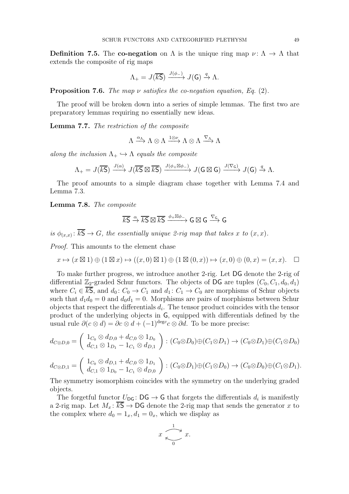**Definition 7.5.** The co-negation on  $\Lambda$  is the unique ring map  $\nu : \Lambda \to \Lambda$  that extends the composite of rig maps

$$
\Lambda_+ = J(\overline{kS}) \xrightarrow{J(\phi_-)} J(G) \xrightarrow{q} \Lambda.
$$

Proposition 7.6. *The map* ν *satisfies the co-negation equation, Eq.* [\(2\)](#page-46-0)*.*

<span id="page-48-0"></span>The proof will be broken down into a series of simple lemmas. The first two are preparatory lemmas requiring no essentially new ideas.

Lemma 7.7. *The restriction of the composite*

 $\Lambda \xrightarrow{\alpha_{\Lambda}} \Lambda \otimes \Lambda \xrightarrow{\tau_{\alpha}} \Lambda \otimes \Lambda \xrightarrow{\nabla_{\Lambda}} \Lambda$ 

*along the inclusion*  $\Lambda_+ \hookrightarrow \Lambda$  *equals the composite* 

$$
\Lambda_+ = J(\overline{kS}) \xrightarrow{J(\alpha)} J(\overline{kS} \boxtimes \overline{kS}) \xrightarrow{J(\phi_+ \boxtimes \phi_-)} J(G \boxtimes G) \xrightarrow{J(\nabla_G)} J(G) \xrightarrow{q} \Lambda.
$$

<span id="page-48-1"></span>The proof amounts to a simple diagram chase together with Lemma [7.4](#page-47-0) and Lemma [7.3.](#page-47-1)

Lemma 7.8. *The composite*

$$
\overline{k\mathsf{S}} \xrightarrow{\alpha} \overline{k\mathsf{S}} \boxtimes \overline{k\mathsf{S}} \xrightarrow{\phi_+ \boxtimes \phi_-} \mathsf{G} \boxtimes \mathsf{G} \xrightarrow{\nabla_\mathsf{G}} \mathsf{G}
$$

*is*  $\phi_{(x,x)}$ :  $k\mathsf{S} \to G$ , the essentially unique 2-rig map that takes x to  $(x, x)$ .

*Proof.* This amounts to the element chase

$$
x \mapsto (x \boxtimes 1) \oplus (1 \boxtimes x) \mapsto ((x, 0) \boxtimes 1) \oplus (1 \boxtimes (0, x)) \mapsto (x, 0) \oplus (0, x) = (x, x). \square
$$

To make further progress, we introduce another 2-rig. Let DG denote the 2-rig of differential  $\mathbb{Z}_2$ -graded Schur functors. The objects of DG are tuples  $(C_0, C_1, d_0, d_1)$ where  $C_i \in \overline{kS}$ , and  $d_0: C_0 \to C_1$  and  $d_1: C_1 \to C_0$  are morphisms of Schur objects such that  $d_1d_0 = 0$  and  $d_0d_1 = 0$ . Morphisms are pairs of morphisms between Schur objects that respect the differentials  $d_i$ . The tensor product coincides with the tensor product of the underlying objects in G, equipped with differentials defined by the usual rule  $\partial(c \otimes d) = \partial c \otimes d + (-1)^{\deg c} c \otimes \partial d$ . To be more precise:

$$
d_{C\otimes D,0} = \begin{pmatrix} 1_{C_0} \otimes d_{D,0} + d_{C,0} \otimes 1_{D_0} \\ d_{C,1} \otimes 1_{D_1} - 1_{C_1} \otimes d_{D,1} \end{pmatrix} : (C_0 \otimes D_0) \oplus (C_1 \otimes D_1) \to (C_0 \otimes D_1) \oplus (C_1 \otimes D_0)
$$

$$
d_{C\otimes D,1} = \begin{pmatrix} 1_{C_0} \otimes d_{D,1} + d_{C,0} \otimes 1_{D_1} \\ d_{C,1} \otimes 1_{D_0} - 1_{C_1} \otimes d_{D,0} \end{pmatrix} : (C_0 \otimes D_1) \oplus (C_1 \otimes D_0) \to (C_0 \otimes D_0) \oplus (C_1 \otimes D_1).
$$

The symmetry isomorphism coincides with the symmetry on the underlying graded objects.

The forgetful functor  $U_{\text{DG}}: \text{DG} \to \text{G}$  that forgets the differentials  $d_i$  is manifestly a 2-rig map. Let  $M_x: \overline{kS} \to DG$  denote the 2-rig map that sends the generator x to the complex where  $d_0 = 1_x, d_1 = 0_x$ , which we display as

$$
x \xrightarrow[0]{1} x.
$$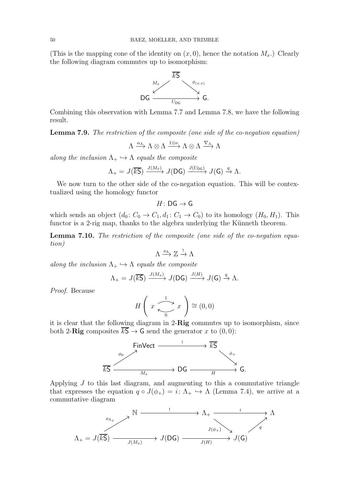(This is the mapping cone of the identity on  $(x, 0)$ , hence the notation  $M_x$ .) Clearly the following diagram commutes up to isomorphism:



<span id="page-49-0"></span>Combining this observation with Lemma [7.7](#page-48-0) and Lemma [7.8,](#page-48-1) we have the following result.

Lemma 7.9. *The restriction of the composite (one side of the co-negation equation)*

$$
\Lambda\xrightarrow{\alpha_\Lambda}\Lambda\otimes\Lambda\xrightarrow{1\otimes\nu}\Lambda\otimes\Lambda\xrightarrow{\nabla_\Lambda}\Lambda
$$

*along the inclusion*  $\Lambda_+ \hookrightarrow \Lambda$  *equals the composite* 

$$
\Lambda_{+} = J(\overline{kS}) \xrightarrow{J(M_x)} J(DG) \xrightarrow{J(U_{DG})} J(G) \xrightarrow{q} \Lambda.
$$

We now turn to the other side of the co-negation equation. This will be contextualized using the homology functor

$$
H\colon \mathsf{DG}\to \mathsf{G}
$$

<span id="page-49-1"></span>which sends an object  $(d_0: C_0 \to C_1, d_1: C_1 \to C_0)$  to its homology  $(H_0, H_1)$ . This functor is a 2-rig map, thanks to the algebra underlying the Künneth theorem.

Lemma 7.10. *The restriction of the composite (one side of the co-negation equation)*

$$
\Lambda\xrightarrow{o_\Lambda}\mathbb{Z}\xrightarrow{!}\Lambda
$$

*along the inclusion*  $\Lambda_+ \hookrightarrow \Lambda$  *equals the composite* 

$$
\Lambda_{+} = J(\overline{kS}) \xrightarrow{J(M_x)} J(DG) \xrightarrow{J(H)} J(G) \xrightarrow{q} \Lambda.
$$

*Proof.* Because

$$
H\left(x \xrightarrow[0]{1} x\right) \cong (0,0)
$$

it is clear that the following diagram in 2-Rig commutes up to isomorphism, since both 2-Rig composites  $\overline{kS} \rightarrow G$  send the generator x to  $(0,0)$ :



Applying  $J$  to this last diagram, and augmenting to this a commutative triangle that expresses the equation  $q \circ J(\phi_+) = i: \Lambda_+ \hookrightarrow \Lambda$  (Lemma [7.4\)](#page-47-0), we arrive at a commutative diagram

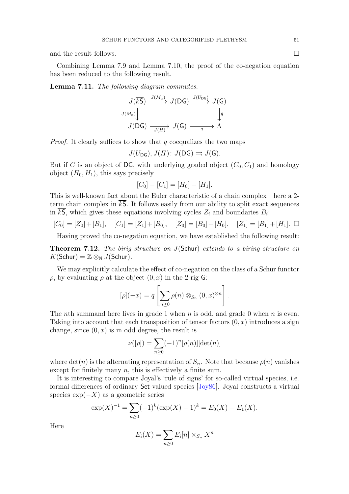<span id="page-50-1"></span>and the result follows.

Combining Lemma [7.9](#page-49-0) and Lemma [7.10,](#page-49-1) the proof of the co-negation equation has been reduced to the following result.

Lemma 7.11. *The following diagram commutes.*

$$
J(\overline{kS}) \xrightarrow{J(M_x)} J(DG) \xrightarrow{J(U_{DG})} J(G)
$$
  

$$
J(M_x) \downarrow \qquad \qquad \downarrow q
$$
  

$$
J(DG) \xrightarrow{J(H)} J(G) \xrightarrow{q} \Lambda
$$

*Proof.* It clearly suffices to show that q coequalizes the two maps

$$
J(U_{\mathsf{DG}}), J(H) \colon J(\mathsf{DG}) \rightrightarrows J(\mathsf{G}).
$$

But if C is an object of DG, with underlying graded object  $(C_0, C_1)$  and homology object  $(H_0, H_1)$ , this says precisely

$$
[C_0] - [C_1] = [H_0] - [H_1].
$$

This is well-known fact about the Euler characteristic of a chain complex—here a 2 term chain complex in  $\overline{kS}$ . It follows easily from our ability to split exact sequences in kS, which gives these equations involving cycles  $Z_i$  and boundaries  $B_i$ :

$$
[C_0] = [Z_0] + [B_1], \quad [C_1] = [Z_1] + [B_0], \quad [Z_0] = [B_0] + [H_0], \quad [Z_1] = [B_1] + [H_1]. \quad \Box
$$

<span id="page-50-0"></span>Having proved the co-negation equation, we have established the following result:

Theorem 7.12. *The birig structure on* J(Schur) *extends to a biring structure on*  $K(\mathsf{Schur}) = \mathbb{Z} \otimes_{\mathbb{N}} J(\mathsf{Schur}).$ 

We may explicitly calculate the effect of co-negation on the class of a Schur functor  $ρ$ , by evaluating  $ρ$  at the object  $(0, x)$  in the 2-rig G:

$$
[\rho](-x) = q \left[ \sum_{n \geq 0} \rho(n) \otimes_{S_n} (0, x)^{\otimes n} \right].
$$

The nth summand here lives in grade 1 when n is odd, and grade 0 when n is even. Taking into account that each transposition of tensor factors  $(0, x)$  introduces a sign change, since  $(0, x)$  is in odd degree, the result is

$$
\nu([\rho]) = \sum_{n\geq 0} (-1)^n [\rho(n)][\det(n)]
$$

where  $\det(n)$  is the alternating representation of  $S_n$ . Note that because  $\rho(n)$  vanishes except for finitely many  $n$ , this is effectively a finite sum.

It is interesting to compare Joyal's 'rule of signs' for so-called virtual species, i.e. formal differences of ordinary Set-valued species [\[Joy86\]](#page-52-21). Joyal constructs a virtual species  $\exp(-X)$  as a geometric series

$$
\exp(X)^{-1} = \sum_{n\geq 0} (-1)^k (\exp(X) - 1)^k = E_0(X) - E_1(X).
$$

Here

$$
E_i(X) = \sum_{n\geq 0} E_i[n] \times_{S_n} X^n
$$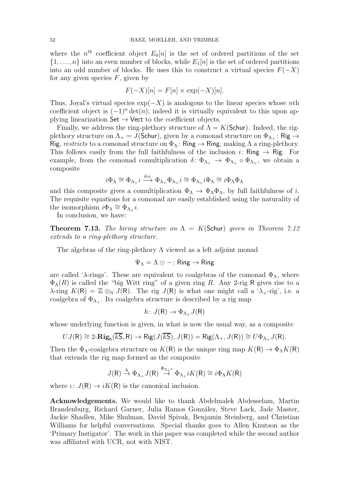where the  $n<sup>th</sup>$  coefficient object  $E_0[n]$  is the set of ordered partitions of the set  $\{1,\ldots,n\}$  into an even number of blocks, while  $E_1[n]$  is the set of ordered partitions into an odd number of blocks. He uses this to construct a virtual species  $F(-X)$ for any given species  $F$ , given by

$$
F(-X)[n] = F[n] \times \exp(-X)[n].
$$

Thus, Joyal's virtual species  $\exp(-X)$  is analogous to the linear species whose nth coefficient object is  $(-1)^n \det(n)$ ; indeed it is virtually equivalent to this upon applying linearization  $\mathsf{Set} \to \mathsf{Vect}$  to the coefficient objects.

Finally, we address the ring-plethory structure of  $\Lambda = K(\mathsf{Schur})$ . Indeed, the rigplethory structure on  $\Lambda_+ = J(\textsf{Schur})$ , given by a comonad structure on  $\Phi_{\Lambda_+} \colon \textsf{Rig} \to$ Rig, *restricts* to a comonad structure on  $\Phi_{\Lambda}$ : Ring  $\rightarrow$  Ring, making  $\Lambda$  a ring-plethory. This follows easily from the full faithfulness of the inclusion  $i:$  Ring  $\rightarrow$  Rig. For example, from the comonad comultiplication  $\delta: \Phi_{\Lambda_+} \to \Phi_{\Lambda_+}$  o  $\Phi_{\Lambda_+}$ , we obtain a composite

$$
i\Phi_{\Lambda}\cong \Phi_{\Lambda_+}i\xrightarrow{\delta\circ i}\Phi_{\Lambda_+}\Phi_{\Lambda_+}i\cong \Phi_{\Lambda_+}i\Phi_{\Lambda}\cong i\Phi_{\Lambda}\Phi_{\Lambda}
$$

and this composite gives a comultiplication  $\Phi_{\Lambda} \to \Phi_{\Lambda} \Phi_{\Lambda}$ , by full faithfulness of i. The requisite equations for a comonad are easily established using the naturality of the isomorphism  $i\Phi_{\Lambda} \cong \Phi_{\Lambda_+}i$ .

<span id="page-51-0"></span>In conclusion, we have:

**Theorem 7.13.** The biring structure on  $\Lambda = K(\text{Schur})$  given in Theorem [7.12](#page-50-0) *extends to a ring-plethory structure.*

The algebras of the ring-plethory  $\Lambda$  viewed as a left adjoint monad

$$
\Psi_{\Lambda} = \Lambda \odot - : \mathsf{Ring} \to \mathsf{Ring}
$$

are called ' $\lambda$ -rings'. These are equivalent to coalgebras of the comonad  $\Phi_{\Lambda}$ , where  $\Phi_{\Lambda}(R)$  is called the "big Witt ring" of a given ring R. Any 2-rig R gives rise to a  $\lambda$ -ring  $K(R) = \mathbb{Z} \otimes_{\mathbb{N}} J(R)$ . The rig  $J(R)$  is what one might call a ' $\lambda$ <sub>+</sub>-rig', i.e. a coalgebra of  $\Phi_{\Lambda_+}$ . Its coalgebra structure is described by a rig map

$$
h\colon J(\mathsf{R})\to\Phi_{\Lambda_+}J(\mathsf{R})
$$

whose underlying function is given, in what is now the usual way, as a composite

$$
UJ(\mathsf{R}) \cong 2\text{-}\mathbf{Rig}_{\mathsf{h}}(\overline{kS},\mathsf{R}) \to \mathsf{Rig}(J(\overline{kS}),J(\mathsf{R})) = \mathsf{Rig}(\Lambda_+,J(\mathsf{R})) \cong U\Phi_{\Lambda_+}J(\mathsf{R}).
$$

Then the  $\Phi_{\Lambda}$ -coalgebra structure on  $K(\mathsf{R})$  is the unique ring map  $K(\mathsf{R}) \to \Phi_{\Lambda} K(\mathsf{R})$ that extends the rig map formed as the composite

$$
J(\mathsf{R}) \stackrel{h}{\to} \Phi_{\Lambda_+} J(\mathsf{R}) \stackrel{\Phi_{\Lambda_+} \iota}{\to} \Phi_{\Lambda_+} i K(\mathsf{R}) \cong i \Phi_{\Lambda} K(\mathsf{R})
$$

where  $\iota: J(R) \to iK(R)$  is the canonical inclusion.

Acknowledgements. We would like to thank Abdelmalek Abdesselam, Martin Brandenburg, Richard Garner, Julia Ramos González, Steve Lack, Jade Master, Jackie Shadlen, Mike Shulman, David Spivak, Benjamin Steinberg, and Christian Williams for helpful conversations. Special thanks goes to Allen Knutson as the 'Primary Instigator'. The work in this paper was completed while the second author was affiliated with UCR, not with NIST.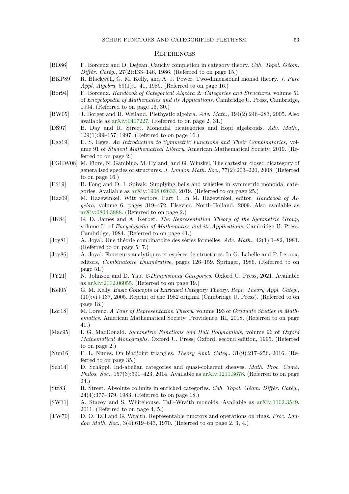#### <span id="page-52-0"></span>**REFERENCES**

- <span id="page-52-8"></span>[BD86] F. Borceux and D. Dejean. Cauchy completion in category theory. Cah. Topol. Géom. Différ. Catég.,  $27(2):133-146$ , 1986. (Referred to on page [15.](#page-14-2))
- <span id="page-52-9"></span>[BKP89] R. Blackwell, G. M. Kelly, and A. J. Power. Two-dimensional monad theory. J. Pure Appl. Algebra, 59(1):1–41, 1989. (Referred to on page [16.](#page-15-2))
- <span id="page-52-11"></span>[Bor94] F. Borceux. Handbook of Categorical Algebra 2: Categories and Structures, volume 51 of Encyclopedia of Mathematics and its Applications. Cambridge U. Press, Cambridge, 1994. (Referred to on page [16,](#page-15-2) [30.](#page-29-0))
- <span id="page-52-5"></span>[BW05] J. Borger and B. Weiland. Plethystic algebra. Adv. Math., 194(2):246–283, 2005. Also available as [arXiv:0407227.](https://arxiv.org/abs/math/0407227) (Referred to on page [2,](#page-1-0) [31.](#page-30-1))
- <span id="page-52-12"></span>[DS97] B. Day and R. Street. Monoidal bicategories and Hopf algebroids. Adv. Math., 129(1):99–157, 1997. (Referred to on page [16.](#page-15-2))
- <span id="page-52-2"></span>[Egg19] E. S. Egge. An Introduction to Symmetric Functions and Their Combinatorics, volume 91 of Student Mathematical Library. American Mathematical Society, 2019. (Referred to on page [2.](#page-1-0))
- <span id="page-52-10"></span>[FGHW08] M. Fiore, N. Gambino, M. Hyland, and G. Winskel. The cartesian closed bicategory of generalised species of structures. J. London Math. Soc., 77(2):203–220, 2008. (Referred to on page [16.](#page-15-2))
- <span id="page-52-17"></span>[FS19] B. Fong and D. I. Spivak. Supplying bells and whistles in symmetric monoidal categories. Available as [arXiv:1908.02633,](https://arxiv.org/abs/1908.02633) 2019. (Referred to on page [25.](#page-24-0))
- <span id="page-52-3"></span>[Haz09] M. Hazewinkel. Witt vectors. Part 1. In M. Hazewinkel, editor, Handbook of Algebra, volume 6, pages 319–472. Elsevier, North-Holland, 2009. Also available as [arXiv:0804.3888.](https://arxiv.org/abs/0804.3888) (Referred to on page [2.](#page-1-0))
- <span id="page-52-19"></span>[JK84] G. D. James and A. Kerber. The Representation Theory of the Symmetric Group, volume 51 of Encyclopedia of Mathematics and its Applications. Cambridge U. Press, Cambridge, 1984. (Referred to on page [41.](#page-40-1))
- <span id="page-52-7"></span>[Joy81] A. Joyal. Une théorie combinatoire des séries formelles. Adv. Math., 42(1):1–82, 1981. (Referred to on page [5,](#page-4-0) [7.](#page-6-0))
- <span id="page-52-21"></span>[Joy86] A. Joyal. Foncteurs analytiques et espèces de structures. In G. Labelle and P. Leroux, editors, *Combinatoire Énumérative*, pages  $126-159$ . Springer, 1986. (Referred to on page [51.](#page-50-1))
- <span id="page-52-15"></span>[JY21] N. Johnson and D. Yau. 2-Dimensional Categories. Oxford U. Press, 2021. Available as [arXiv:2002.06055.](https://arxiv.org/abs/2002.06055) (Referred to on page [19.](#page-18-1))
- <span id="page-52-13"></span>[Kel05] G. M. Kelly. Basic Concepts of Enriched Category Theory. Repr. Theory Appl. Categ., (10):vi+137, 2005. Reprint of the 1982 original (Cambridge U. Press). (Referred to on page [18.](#page-17-0))
- <span id="page-52-20"></span>[Lor18] M. Lorenz. A Tour of Representation Theory, volume 193 of Graduate Studies in Mathematics. American Mathematical Society, Providence, RI, 2018. (Referred to on page [41.](#page-40-1))
- <span id="page-52-1"></span>[Mac95] I. G. MacDonald. Symmetric Functions and Hall Polynomials, volume 96 of Oxford Mathematical Monographs. Oxford U. Press, Oxford, second edition, 1995. (Referred to on page [2.](#page-1-0))
- <span id="page-52-18"></span>[Nun16] F. L. Nunes. On biadjoint triangles. Theory Appl. Categ., 31(9):217–256, 2016. (Referred to on page [35.](#page-34-1))
- <span id="page-52-16"></span>[Sch14] D. Schäppi. Ind-abelian categories and quasi-coherent sheaves. Math. Proc. Camb. Philos. Soc., 157(3):391–423, 2014. Available as [arXiv:1211.3678.](https://arxiv.org/abs/1211.3678) (Referred to on page [24.](#page-23-0))
- <span id="page-52-14"></span>[Str83] R. Street. Absolute colimits in enriched categories. Cah. Topol. Géom. Différ. Catég., 24(4):377–379, 1983. (Referred to on page [18.](#page-17-0))
- <span id="page-52-6"></span>[SW11] A. Stacey and S. Whitehouse. Tall–Wraith monoids. Available as [arXiv:1102.3549,](https://arXiv.org/abs/1102.3549) 2011. (Referred to on page [4,](#page-3-1) [5.](#page-4-0))
- <span id="page-52-4"></span>[TW70] D. O. Tall and G. Wraith. Representable functors and operations on rings. Proc. London Math. Soc., 3(4):619–643, 1970. (Referred to on page [2,](#page-1-0) [3,](#page-2-0) [4.](#page-3-1))